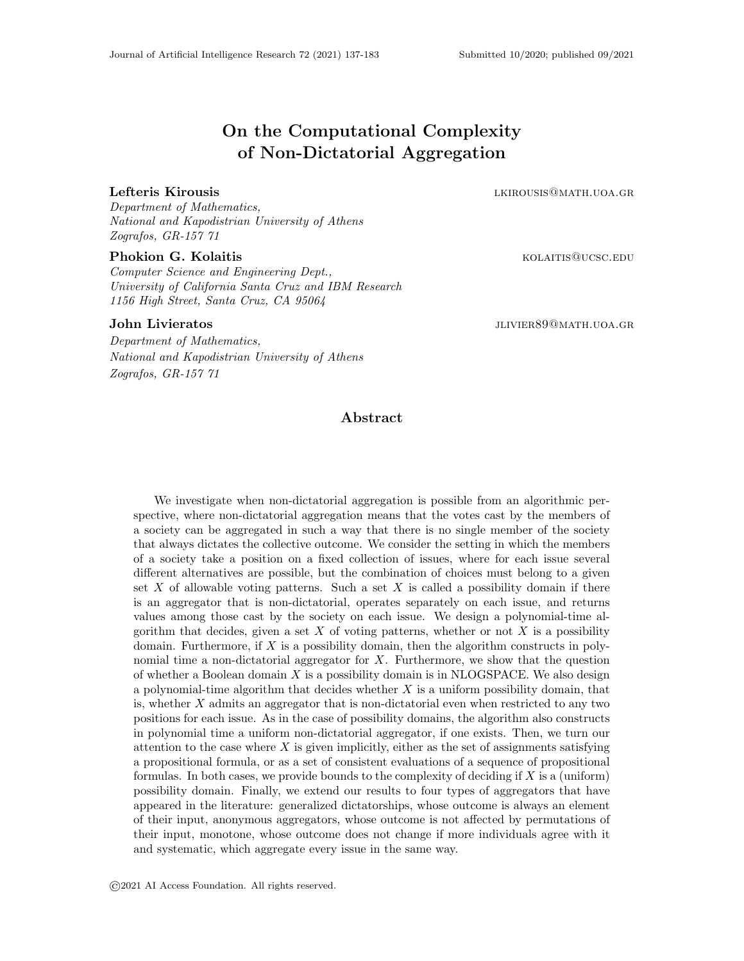# On the Computational Complexity of Non-Dictatorial Aggregation

#### Lefteris Kirousis and the settlement of the settlement of the settlement of the settlement of the settlement of the settlement of the settlement of the settlement of the settlement of the settlement of the settlement of th

Department of Mathematics, National and Kapodistrian University of Athens Zografos, GR-157 71

#### Phokion G. Kolaitis **Kolaitis** and the extension of the extension of the extension of the extension of the extension of the extension of the extension of the extension of the extension of the extension of the extension of

Computer Science and Engineering Dept., University of California Santa Cruz and IBM Research 1156 High Street, Santa Cruz, CA 95064

John Livieratos **julia 1999** Juliano Juliano Juliano Juliano Juliano Juliano Juliano Juliano Juliano Juliano Juliano Juliano Juliano Juliano Juliano Juliano Juliano Juliano Juliano Juliano Juliano Juliano Juliano Juliano J

Department of Mathematics, National and Kapodistrian University of Athens Zografos, GR-157 71

# Abstract

We investigate when non-dictatorial aggregation is possible from an algorithmic perspective, where non-dictatorial aggregation means that the votes cast by the members of a society can be aggregated in such a way that there is no single member of the society that always dictates the collective outcome. We consider the setting in which the members of a society take a position on a fixed collection of issues, where for each issue several different alternatives are possible, but the combination of choices must belong to a given set  $X$  of allowable voting patterns. Such a set  $X$  is called a possibility domain if there is an aggregator that is non-dictatorial, operates separately on each issue, and returns values among those cast by the society on each issue. We design a polynomial-time algorithm that decides, given a set  $X$  of voting patterns, whether or not  $X$  is a possibility domain. Furthermore, if  $X$  is a possibility domain, then the algorithm constructs in polynomial time a non-dictatorial aggregator for  $X$ . Furthermore, we show that the question of whether a Boolean domain  $X$  is a possibility domain is in NLOGSPACE. We also design a polynomial-time algorithm that decides whether  $X$  is a uniform possibility domain, that is, whether X admits an aggregator that is non-dictatorial even when restricted to any two positions for each issue. As in the case of possibility domains, the algorithm also constructs in polynomial time a uniform non-dictatorial aggregator, if one exists. Then, we turn our attention to the case where  $X$  is given implicitly, either as the set of assignments satisfying a propositional formula, or as a set of consistent evaluations of a sequence of propositional formulas. In both cases, we provide bounds to the complexity of deciding if  $X$  is a (uniform) possibility domain. Finally, we extend our results to four types of aggregators that have appeared in the literature: generalized dictatorships, whose outcome is always an element of their input, anonymous aggregators, whose outcome is not affected by permutations of their input, monotone, whose outcome does not change if more individuals agree with it and systematic, which aggregate every issue in the same way.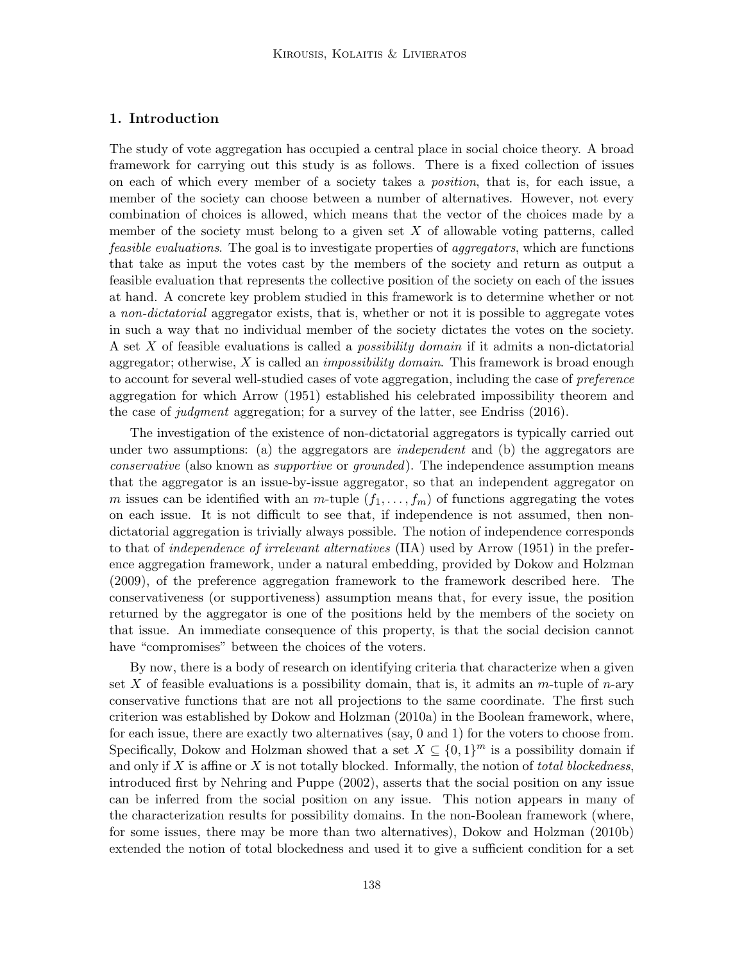# 1. Introduction

The study of vote aggregation has occupied a central place in social choice theory. A broad framework for carrying out this study is as follows. There is a fixed collection of issues on each of which every member of a society takes a position, that is, for each issue, a member of the society can choose between a number of alternatives. However, not every combination of choices is allowed, which means that the vector of the choices made by a member of the society must belong to a given set  $X$  of allowable voting patterns, called feasible evaluations. The goal is to investigate properties of aggregators, which are functions that take as input the votes cast by the members of the society and return as output a feasible evaluation that represents the collective position of the society on each of the issues at hand. A concrete key problem studied in this framework is to determine whether or not a non-dictatorial aggregator exists, that is, whether or not it is possible to aggregate votes in such a way that no individual member of the society dictates the votes on the society. A set X of feasible evaluations is called a *possibility domain* if it admits a non-dictatorial aggregator; otherwise,  $X$  is called an *impossibility domain*. This framework is broad enough to account for several well-studied cases of vote aggregation, including the case of *preference* aggregation for which Arrow (1951) established his celebrated impossibility theorem and the case of judgment aggregation; for a survey of the latter, see Endriss (2016).

The investigation of the existence of non-dictatorial aggregators is typically carried out under two assumptions: (a) the aggregators are *independent* and (b) the aggregators are conservative (also known as supportive or grounded). The independence assumption means that the aggregator is an issue-by-issue aggregator, so that an independent aggregator on m issues can be identified with an m-tuple  $(f_1, \ldots, f_m)$  of functions aggregating the votes on each issue. It is not difficult to see that, if independence is not assumed, then nondictatorial aggregation is trivially always possible. The notion of independence corresponds to that of independence of irrelevant alternatives (IIA) used by Arrow (1951) in the preference aggregation framework, under a natural embedding, provided by Dokow and Holzman (2009), of the preference aggregation framework to the framework described here. The conservativeness (or supportiveness) assumption means that, for every issue, the position returned by the aggregator is one of the positions held by the members of the society on that issue. An immediate consequence of this property, is that the social decision cannot have "compromises" between the choices of the voters.

By now, there is a body of research on identifying criteria that characterize when a given set X of feasible evaluations is a possibility domain, that is, it admits an  $m$ -tuple of  $n$ -ary conservative functions that are not all projections to the same coordinate. The first such criterion was established by Dokow and Holzman (2010a) in the Boolean framework, where, for each issue, there are exactly two alternatives (say, 0 and 1) for the voters to choose from. Specifically, Dokow and Holzman showed that a set  $X \subseteq \{0,1\}^m$  is a possibility domain if and only if  $X$  is affine or  $X$  is not totally blocked. Informally, the notion of *total blockedness*, introduced first by Nehring and Puppe (2002), asserts that the social position on any issue can be inferred from the social position on any issue. This notion appears in many of the characterization results for possibility domains. In the non-Boolean framework (where, for some issues, there may be more than two alternatives), Dokow and Holzman (2010b) extended the notion of total blockedness and used it to give a sufficient condition for a set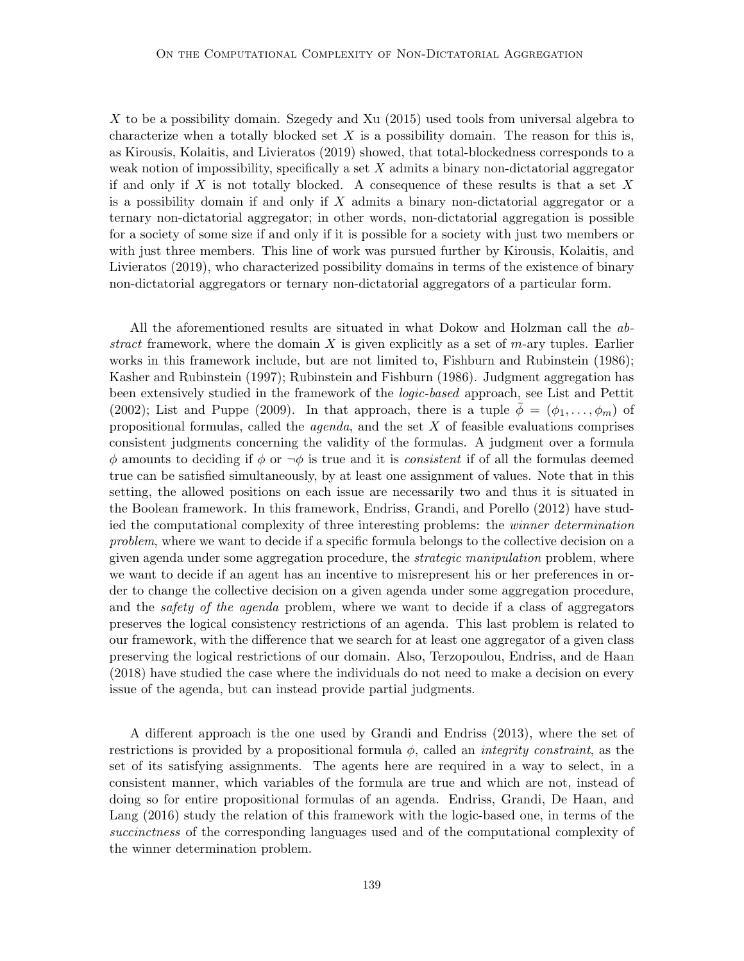X to be a possibility domain. Szegedy and Xu (2015) used tools from universal algebra to characterize when a totally blocked set  $X$  is a possibility domain. The reason for this is, as Kirousis, Kolaitis, and Livieratos (2019) showed, that total-blockedness corresponds to a weak notion of impossibility, specifically a set  $X$  admits a binary non-dictatorial aggregator if and only if X is not totally blocked. A consequence of these results is that a set X is a possibility domain if and only if  $X$  admits a binary non-dictatorial aggregator or a ternary non-dictatorial aggregator; in other words, non-dictatorial aggregation is possible for a society of some size if and only if it is possible for a society with just two members or with just three members. This line of work was pursued further by Kirousis, Kolaitis, and Livieratos (2019), who characterized possibility domains in terms of the existence of binary non-dictatorial aggregators or ternary non-dictatorial aggregators of a particular form.

All the aforementioned results are situated in what Dokow and Holzman call the abstract framework, where the domain  $X$  is given explicitly as a set of  $m$ -ary tuples. Earlier works in this framework include, but are not limited to, Fishburn and Rubinstein (1986); Kasher and Rubinstein (1997); Rubinstein and Fishburn (1986). Judgment aggregation has been extensively studied in the framework of the logic-based approach, see List and Pettit (2002); List and Puppe (2009). In that approach, there is a tuple  $\phi = (\phi_1, \ldots, \phi_m)$  of propositional formulas, called the *agenda*, and the set  $X$  of feasible evaluations comprises consistent judgments concerning the validity of the formulas. A judgment over a formula  $\phi$  amounts to deciding if  $\phi$  or  $\neg \phi$  is true and it is *consistent* if of all the formulas deemed true can be satisfied simultaneously, by at least one assignment of values. Note that in this setting, the allowed positions on each issue are necessarily two and thus it is situated in the Boolean framework. In this framework, Endriss, Grandi, and Porello (2012) have studied the computational complexity of three interesting problems: the winner determination problem, where we want to decide if a specific formula belongs to the collective decision on a given agenda under some aggregation procedure, the *strategic manipulation* problem, where we want to decide if an agent has an incentive to misrepresent his or her preferences in order to change the collective decision on a given agenda under some aggregation procedure, and the *safety of the agenda* problem, where we want to decide if a class of aggregators preserves the logical consistency restrictions of an agenda. This last problem is related to our framework, with the difference that we search for at least one aggregator of a given class preserving the logical restrictions of our domain. Also, Terzopoulou, Endriss, and de Haan (2018) have studied the case where the individuals do not need to make a decision on every issue of the agenda, but can instead provide partial judgments.

A different approach is the one used by Grandi and Endriss (2013), where the set of restrictions is provided by a propositional formula  $\phi$ , called an *integrity constraint*, as the set of its satisfying assignments. The agents here are required in a way to select, in a consistent manner, which variables of the formula are true and which are not, instead of doing so for entire propositional formulas of an agenda. Endriss, Grandi, De Haan, and Lang  $(2016)$  study the relation of this framework with the logic-based one, in terms of the succinctness of the corresponding languages used and of the computational complexity of the winner determination problem.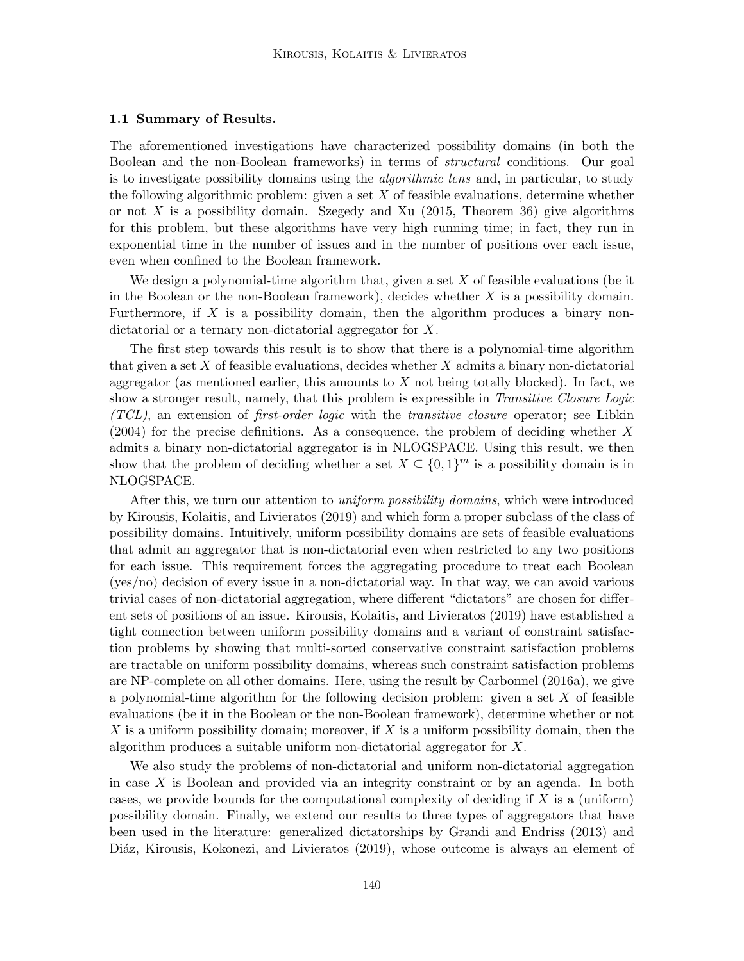#### 1.1 Summary of Results.

The aforementioned investigations have characterized possibility domains (in both the Boolean and the non-Boolean frameworks) in terms of structural conditions. Our goal is to investigate possibility domains using the *algorithmic lens* and, in particular, to study the following algorithmic problem: given a set  $X$  of feasible evaluations, determine whether or not X is a possibility domain. Szegedy and Xu  $(2015,$  Theorem 36) give algorithms for this problem, but these algorithms have very high running time; in fact, they run in exponential time in the number of issues and in the number of positions over each issue, even when confined to the Boolean framework.

We design a polynomial-time algorithm that, given a set  $X$  of feasible evaluations (be it in the Boolean or the non-Boolean framework), decides whether  $X$  is a possibility domain. Furthermore, if  $X$  is a possibility domain, then the algorithm produces a binary nondictatorial or a ternary non-dictatorial aggregator for X.

The first step towards this result is to show that there is a polynomial-time algorithm that given a set  $X$  of feasible evaluations, decides whether  $X$  admits a binary non-dictatorial aggregator (as mentioned earlier, this amounts to  $X$  not being totally blocked). In fact, we show a stronger result, namely, that this problem is expressible in *Transitive Closure Logic*  $(TCL)$ , an extension of *first-order logic* with the *transitive closure* operator; see Libkin (2004) for the precise definitions. As a consequence, the problem of deciding whether X admits a binary non-dictatorial aggregator is in NLOGSPACE. Using this result, we then show that the problem of deciding whether a set  $X \subseteq \{0,1\}^m$  is a possibility domain is in NLOGSPACE.

After this, we turn our attention to *uniform possibility domains*, which were introduced by Kirousis, Kolaitis, and Livieratos (2019) and which form a proper subclass of the class of possibility domains. Intuitively, uniform possibility domains are sets of feasible evaluations that admit an aggregator that is non-dictatorial even when restricted to any two positions for each issue. This requirement forces the aggregating procedure to treat each Boolean (yes/no) decision of every issue in a non-dictatorial way. In that way, we can avoid various trivial cases of non-dictatorial aggregation, where different "dictators" are chosen for different sets of positions of an issue. Kirousis, Kolaitis, and Livieratos (2019) have established a tight connection between uniform possibility domains and a variant of constraint satisfaction problems by showing that multi-sorted conservative constraint satisfaction problems are tractable on uniform possibility domains, whereas such constraint satisfaction problems are NP-complete on all other domains. Here, using the result by Carbonnel (2016a), we give a polynomial-time algorithm for the following decision problem: given a set  $X$  of feasible evaluations (be it in the Boolean or the non-Boolean framework), determine whether or not X is a uniform possibility domain; moreover, if X is a uniform possibility domain, then the algorithm produces a suitable uniform non-dictatorial aggregator for X.

We also study the problems of non-dictatorial and uniform non-dictatorial aggregation in case  $X$  is Boolean and provided via an integrity constraint or by an agenda. In both cases, we provide bounds for the computational complexity of deciding if  $X$  is a (uniform) possibility domain. Finally, we extend our results to three types of aggregators that have been used in the literature: generalized dictatorships by Grandi and Endriss (2013) and Diáz, Kirousis, Kokonezi, and Livieratos (2019), whose outcome is always an element of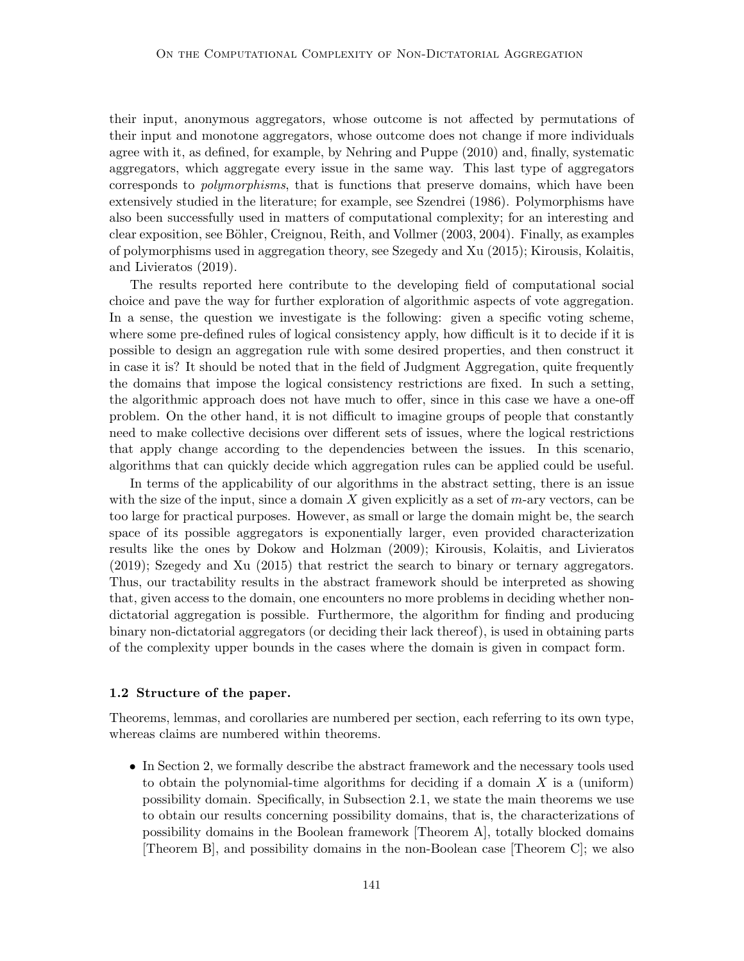their input, anonymous aggregators, whose outcome is not affected by permutations of their input and monotone aggregators, whose outcome does not change if more individuals agree with it, as defined, for example, by Nehring and Puppe (2010) and, finally, systematic aggregators, which aggregate every issue in the same way. This last type of aggregators corresponds to polymorphisms, that is functions that preserve domains, which have been extensively studied in the literature; for example, see Szendrei (1986). Polymorphisms have also been successfully used in matters of computational complexity; for an interesting and clear exposition, see Böhler, Creignou, Reith, and Vollmer (2003, 2004). Finally, as examples of polymorphisms used in aggregation theory, see Szegedy and Xu (2015); Kirousis, Kolaitis, and Livieratos (2019).

The results reported here contribute to the developing field of computational social choice and pave the way for further exploration of algorithmic aspects of vote aggregation. In a sense, the question we investigate is the following: given a specific voting scheme, where some pre-defined rules of logical consistency apply, how difficult is it to decide if it is possible to design an aggregation rule with some desired properties, and then construct it in case it is? It should be noted that in the field of Judgment Aggregation, quite frequently the domains that impose the logical consistency restrictions are fixed. In such a setting, the algorithmic approach does not have much to offer, since in this case we have a one-off problem. On the other hand, it is not difficult to imagine groups of people that constantly need to make collective decisions over different sets of issues, where the logical restrictions that apply change according to the dependencies between the issues. In this scenario, algorithms that can quickly decide which aggregation rules can be applied could be useful.

In terms of the applicability of our algorithms in the abstract setting, there is an issue with the size of the input, since a domain  $X$  given explicitly as a set of  $m$ -ary vectors, can be too large for practical purposes. However, as small or large the domain might be, the search space of its possible aggregators is exponentially larger, even provided characterization results like the ones by Dokow and Holzman (2009); Kirousis, Kolaitis, and Livieratos (2019); Szegedy and Xu (2015) that restrict the search to binary or ternary aggregators. Thus, our tractability results in the abstract framework should be interpreted as showing that, given access to the domain, one encounters no more problems in deciding whether nondictatorial aggregation is possible. Furthermore, the algorithm for finding and producing binary non-dictatorial aggregators (or deciding their lack thereof), is used in obtaining parts of the complexity upper bounds in the cases where the domain is given in compact form.

# 1.2 Structure of the paper.

Theorems, lemmas, and corollaries are numbered per section, each referring to its own type, whereas claims are numbered within theorems.

• In Section 2, we formally describe the abstract framework and the necessary tools used to obtain the polynomial-time algorithms for deciding if a domain  $X$  is a (uniform) possibility domain. Specifically, in Subsection 2.1, we state the main theorems we use to obtain our results concerning possibility domains, that is, the characterizations of possibility domains in the Boolean framework [Theorem A], totally blocked domains [Theorem B], and possibility domains in the non-Boolean case [Theorem C]; we also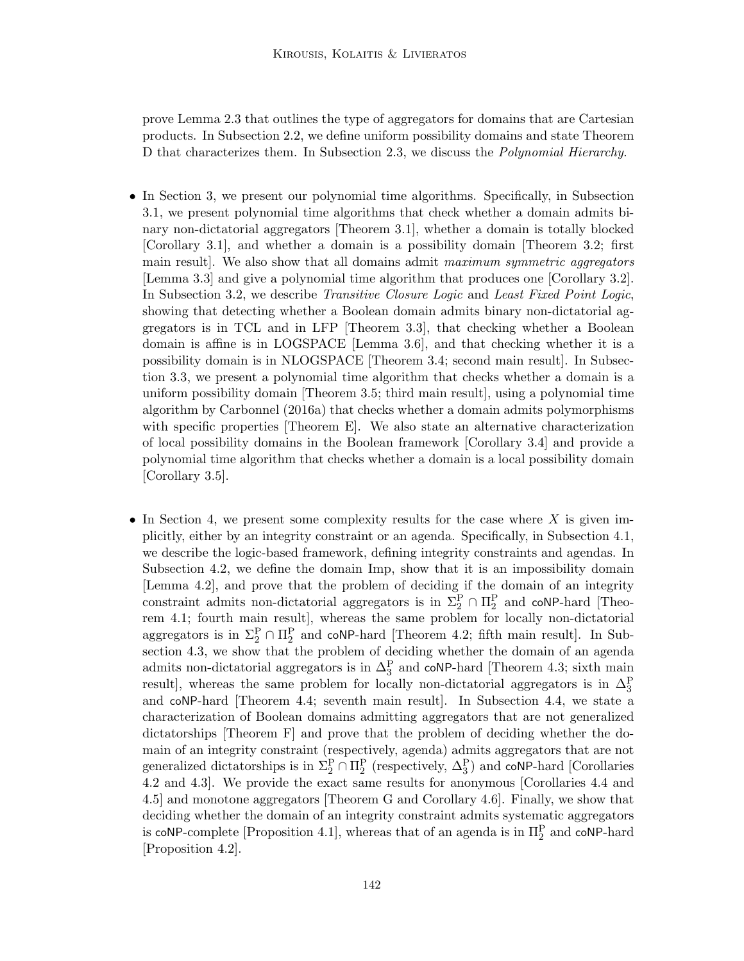prove Lemma 2.3 that outlines the type of aggregators for domains that are Cartesian products. In Subsection 2.2, we define uniform possibility domains and state Theorem D that characterizes them. In Subsection 2.3, we discuss the Polynomial Hierarchy.

- In Section 3, we present our polynomial time algorithms. Specifically, in Subsection 3.1, we present polynomial time algorithms that check whether a domain admits binary non-dictatorial aggregators [Theorem 3.1], whether a domain is totally blocked [Corollary 3.1], and whether a domain is a possibility domain [Theorem 3.2; first main result]. We also show that all domains admit maximum symmetric aggregators [Lemma 3.3] and give a polynomial time algorithm that produces one [Corollary 3.2]. In Subsection 3.2, we describe *Transitive Closure Logic* and *Least Fixed Point Logic*, showing that detecting whether a Boolean domain admits binary non-dictatorial aggregators is in TCL and in LFP [Theorem 3.3], that checking whether a Boolean domain is affine is in LOGSPACE [Lemma 3.6], and that checking whether it is a possibility domain is in NLOGSPACE [Theorem 3.4; second main result]. In Subsection 3.3, we present a polynomial time algorithm that checks whether a domain is a uniform possibility domain [Theorem 3.5; third main result], using a polynomial time algorithm by Carbonnel (2016a) that checks whether a domain admits polymorphisms with specific properties [Theorem E]. We also state an alternative characterization of local possibility domains in the Boolean framework [Corollary 3.4] and provide a polynomial time algorithm that checks whether a domain is a local possibility domain [Corollary 3.5].
- In Section 4, we present some complexity results for the case where  $X$  is given implicitly, either by an integrity constraint or an agenda. Specifically, in Subsection 4.1, we describe the logic-based framework, defining integrity constraints and agendas. In Subsection 4.2, we define the domain Imp, show that it is an impossibility domain [Lemma 4.2], and prove that the problem of deciding if the domain of an integrity constraint admits non-dictatorial aggregators is in  $\Sigma_2^P \cap \Pi_2^P$  and coNP-hard [Theorem 4.1; fourth main result], whereas the same problem for locally non-dictatorial aggregators is in  $\Sigma_2^P \cap \Pi_2^P$  and coNP-hard [Theorem 4.2; fifth main result]. In Subsection 4.3, we show that the problem of deciding whether the domain of an agenda admits non-dictatorial aggregators is in  $\Delta_3^P$  and coNP-hard [Theorem 4.3; sixth main result], whereas the same problem for locally non-dictatorial aggregators is in  $\Delta_3^{\rm P}$ and coNP-hard [Theorem 4.4; seventh main result]. In Subsection 4.4, we state a characterization of Boolean domains admitting aggregators that are not generalized dictatorships [Theorem F] and prove that the problem of deciding whether the domain of an integrity constraint (respectively, agenda) admits aggregators that are not generalized dictatorships is in  $\Sigma_2^P \cap \Pi_2^P$  (respectively,  $\Delta_3^P$ ) and coNP-hard [Corollaries 4.2 and 4.3]. We provide the exact same results for anonymous [Corollaries 4.4 and 4.5] and monotone aggregators [Theorem G and Corollary 4.6]. Finally, we show that deciding whether the domain of an integrity constraint admits systematic aggregators is coNP-complete [Proposition 4.1], whereas that of an agenda is in  $\Pi_2^{\rm P}$  and coNP-hard [Proposition 4.2].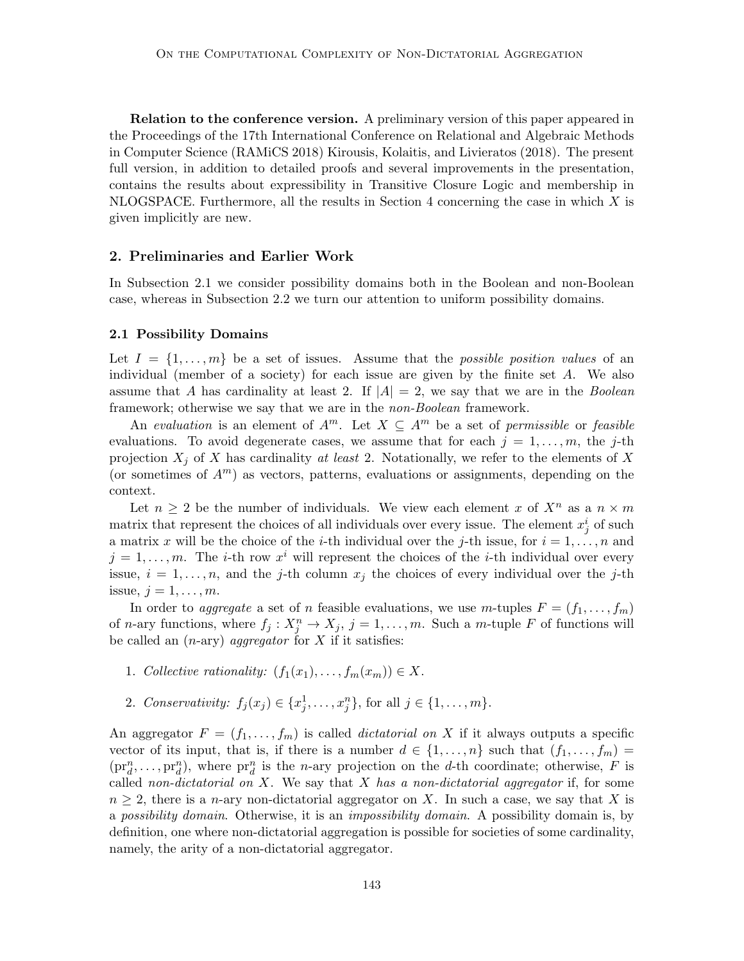Relation to the conference version. A preliminary version of this paper appeared in the Proceedings of the 17th International Conference on Relational and Algebraic Methods in Computer Science (RAMiCS 2018) Kirousis, Kolaitis, and Livieratos (2018). The present full version, in addition to detailed proofs and several improvements in the presentation, contains the results about expressibility in Transitive Closure Logic and membership in NLOGSPACE. Furthermore, all the results in Section 4 concerning the case in which  $X$  is given implicitly are new.

# 2. Preliminaries and Earlier Work

In Subsection 2.1 we consider possibility domains both in the Boolean and non-Boolean case, whereas in Subsection 2.2 we turn our attention to uniform possibility domains.

#### 2.1 Possibility Domains

Let  $I = \{1, \ldots, m\}$  be a set of issues. Assume that the *possible position values* of an individual (member of a society) for each issue are given by the finite set  $A$ . We also assume that A has cardinality at least 2. If  $|A| = 2$ , we say that we are in the *Boolean* framework; otherwise we say that we are in the *non-Boolean* framework.

An evaluation is an element of  $A^m$ . Let  $X \subseteq A^m$  be a set of permissible or feasible evaluations. To avoid degenerate cases, we assume that for each  $j = 1, \ldots, m$ , the j-th projection  $X_j$  of X has cardinality at least 2. Notationally, we refer to the elements of X (or sometimes of  $A<sup>m</sup>$ ) as vectors, patterns, evaluations or assignments, depending on the context.

Let  $n \geq 2$  be the number of individuals. We view each element x of  $X^n$  as a  $n \times m$ matrix that represent the choices of all individuals over every issue. The element  $x_j^i$  of such a matrix x will be the choice of the i-th individual over the j-th issue, for  $i = 1, \ldots, n$  and  $j = 1, \ldots, m$ . The *i*-th row  $x^i$  will represent the choices of the *i*-th individual over every issue,  $i = 1, \ldots, n$ , and the j-th column  $x_j$  the choices of every individual over the j-th issue,  $j = 1, \ldots, m$ .

In order to aggregate a set of n feasible evaluations, we use m-tuples  $F = (f_1, \ldots, f_m)$ of *n*-ary functions, where  $f_j: X_j^n \to X_j$ ,  $j = 1, ..., m$ . Such a *m*-tuple *F* of functions will be called an  $(n\text{-ary})$  *aggregator* for X if it satisfies:

- 1. Collective rationality:  $(f_1(x_1), \ldots, f_m(x_m)) \in X$ .
- 2. Conservativity:  $f_j(x_j) \in \{x_j^1, \ldots, x_j^n\}$ , for all  $j \in \{1, \ldots, m\}$ .

An aggregator  $F = (f_1, \ldots, f_m)$  is called *dictatorial on X* if it always outputs a specific vector of its input, that is, if there is a number  $d \in \{1, \ldots, n\}$  such that  $(f_1, \ldots, f_m)$  $(pr_d^n,\ldots,pr_d^n)$ , where  $pr_d^n$  is the *n*-ary projection on the *d*-th coordinate; otherwise, *F* is called non-dictatorial on X. We say that X has a non-dictatorial aggregator if, for some  $n \geq 2$ , there is a *n*-ary non-dictatorial aggregator on X. In such a case, we say that X is a possibility domain. Otherwise, it is an impossibility domain. A possibility domain is, by definition, one where non-dictatorial aggregation is possible for societies of some cardinality, namely, the arity of a non-dictatorial aggregator.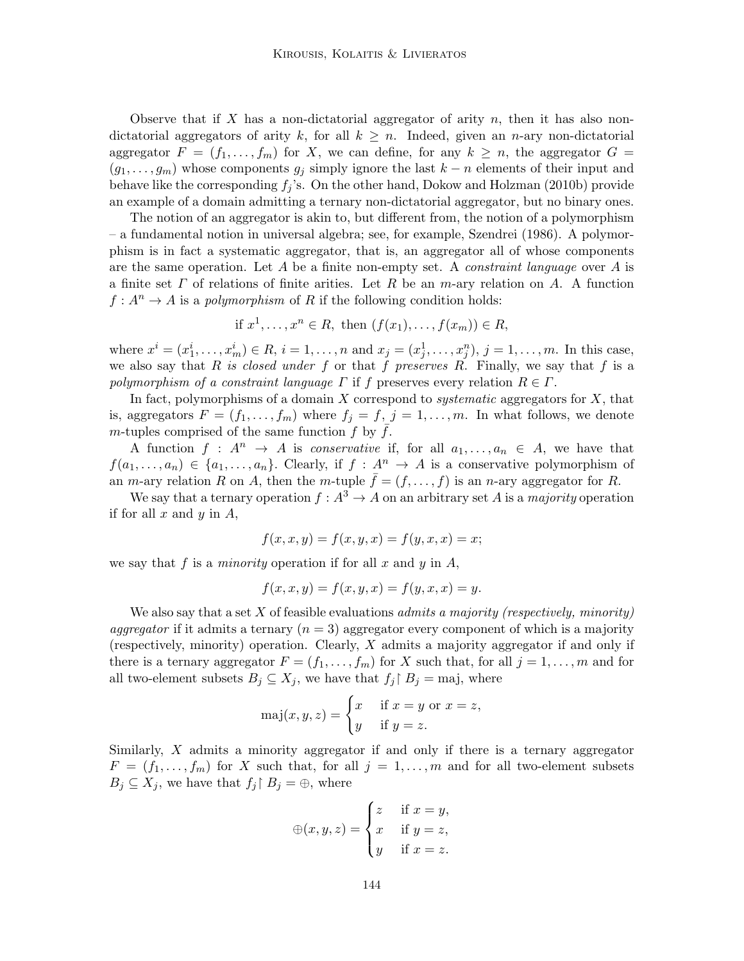Observe that if X has a non-dictatorial aggregator of arity n, then it has also nondictatorial aggregators of arity k, for all  $k \geq n$ . Indeed, given an n-ary non-dictatorial aggregator  $F = (f_1, \ldots, f_m)$  for X, we can define, for any  $k \geq n$ , the aggregator  $G =$  $(g_1, \ldots, g_m)$  whose components  $g_j$  simply ignore the last  $k - n$  elements of their input and behave like the corresponding  $f_j$ 's. On the other hand, Dokow and Holzman (2010b) provide an example of a domain admitting a ternary non-dictatorial aggregator, but no binary ones.

The notion of an aggregator is akin to, but different from, the notion of a polymorphism – a fundamental notion in universal algebra; see, for example, Szendrei (1986). A polymorphism is in fact a systematic aggregator, that is, an aggregator all of whose components are the same operation. Let A be a finite non-empty set. A *constraint language* over A is a finite set  $\Gamma$  of relations of finite arities. Let  $R$  be an m-ary relation on  $A$ . A function  $f: A^n \to A$  is a *polymorphism* of R if the following condition holds:

if 
$$
x^1, \ldots, x^n \in R
$$
, then  $(f(x_1), \ldots, f(x_m)) \in R$ ,

where  $x^{i} = (x_{1}^{i}, \ldots, x_{m}^{i}) \in R$ ,  $i = 1, \ldots, n$  and  $x_{j} = (x_{j}^{1}, \ldots, x_{j}^{n})$ ,  $j = 1, \ldots, m$ . In this case, we also say that R is closed under f or that f preserves R. Finally, we say that f is a polymorphism of a constraint language  $\Gamma$  if f preserves every relation  $R \in \Gamma$ .

In fact, polymorphisms of a domain  $X$  correspond to *systematic* aggregators for  $X$ , that is, aggregators  $F = (f_1, \ldots, f_m)$  where  $f_j = f, j = 1, \ldots, m$ . In what follows, we denote m-tuples comprised of the same function  $f$  by  $f$ .

A function  $f : A^n \to A$  is conservative if, for all  $a_1, \ldots, a_n \in A$ , we have that  $f(a_1, \ldots, a_n) \in \{a_1, \ldots, a_n\}.$  Clearly, if  $f : A^n \to A$  is a conservative polymorphism of an *m*-ary relation R on A, then the *m*-tuple  $\bar{f} = (f, \ldots, f)$  is an *n*-ary aggregator for R.

We say that a ternary operation  $f : A^3 \to A$  on an arbitrary set A is a *majority* operation if for all  $x$  and  $y$  in  $A$ ,

$$
f(x, x, y) = f(x, y, x) = f(y, x, x) = x;
$$

we say that f is a *minority* operation if for all x and y in  $A$ ,

$$
f(x, x, y) = f(x, y, x) = f(y, x, x) = y.
$$

We also say that a set  $X$  of feasible evaluations *admits a majority (respectively, minority)* aggregator if it admits a ternary  $(n = 3)$  aggregator every component of which is a majority (respectively, minority) operation. Clearly, X admits a majority aggregator if and only if there is a ternary aggregator  $F = (f_1, \ldots, f_m)$  for X such that, for all  $j = 1, \ldots, m$  and for all two-element subsets  $B_j \subseteq X_j$ , we have that  $f_j \upharpoonright B_j = \text{maj}$ , where

$$
\text{maj}(x, y, z) = \begin{cases} x & \text{if } x = y \text{ or } x = z, \\ y & \text{if } y = z. \end{cases}
$$

Similarly, X admits a minority aggregator if and only if there is a ternary aggregator  $F = (f_1, \ldots, f_m)$  for X such that, for all  $j = 1, \ldots, m$  and for all two-element subsets  $B_j \subseteq X_j$ , we have that  $f_j \upharpoonright B_j = \bigoplus$ , where

$$
\oplus(x, y, z) = \begin{cases} z & \text{if } x = y, \\ x & \text{if } y = z, \\ y & \text{if } x = z. \end{cases}
$$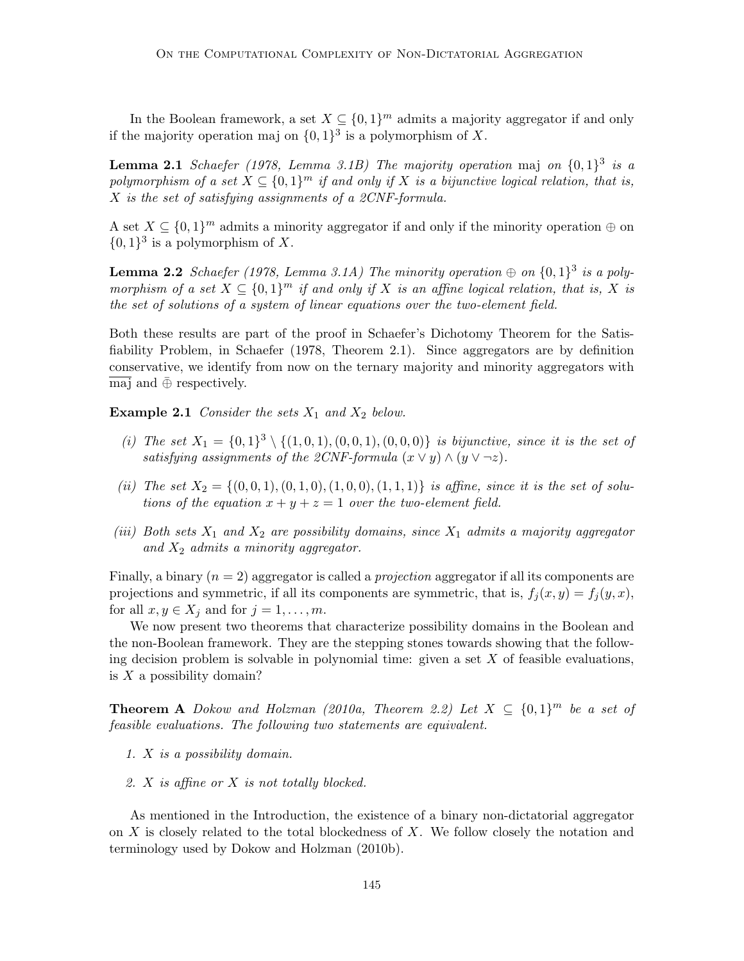In the Boolean framework, a set  $X \subseteq \{0,1\}^m$  admits a majority aggregator if and only if the majority operation maj on  $\{0,1\}^3$  is a polymorphism of X.

**Lemma 2.1** Schaefer (1978, Lemma 3.1B) The majority operation maj on  $\{0,1\}^3$  is a polymorphism of a set  $X \subseteq \{0,1\}^m$  if and only if X is a bijunctive logical relation, that is, X is the set of satisfying assignments of a 2CNF-formula.

A set  $X \subseteq \{0,1\}^m$  admits a minority aggregator if and only if the minority operation  $\oplus$  on  $\{0,1\}^3$  is a polymorphism of X.

**Lemma 2.2** Schaefer (1978, Lemma 3.1A) The minority operation  $\oplus$  on  $\{0,1\}^3$  is a polymorphism of a set  $X \subseteq \{0,1\}^m$  if and only if X is an affine logical relation, that is, X is the set of solutions of a system of linear equations over the two-element field.

Both these results are part of the proof in Schaefer's Dichotomy Theorem for the Satisfiability Problem, in Schaefer (1978, Theorem 2.1). Since aggregators are by definition conservative, we identify from now on the ternary majority and minority aggregators with maj and  $\overline{\oplus}$  respectively.

**Example 2.1** Consider the sets  $X_1$  and  $X_2$  below.

- (i) The set  $X_1 = \{0,1\}^3 \setminus \{(1,0,1), (0,0,1), (0,0,0)\}$  is bijunctive, since it is the set of satisfying assignments of the 2CNF-formula  $(x \vee y) \wedge (y \vee \neg z)$ .
- (ii) The set  $X_2 = \{(0, 0, 1), (0, 1, 0), (1, 0, 0), (1, 1, 1)\}$  is affine, since it is the set of solutions of the equation  $x + y + z = 1$  over the two-element field.
- (iii) Both sets  $X_1$  and  $X_2$  are possibility domains, since  $X_1$  admits a majority aggregator and  $X_2$  admits a minority aggregator.

Finally, a binary  $(n = 2)$  aggregator is called a *projection* aggregator if all its components are projections and symmetric, if all its components are symmetric, that is,  $f_j(x, y) = f_j(y, x)$ , for all  $x, y \in X_j$  and for  $j = 1, \ldots, m$ .

We now present two theorems that characterize possibility domains in the Boolean and the non-Boolean framework. They are the stepping stones towards showing that the following decision problem is solvable in polynomial time: given a set  $X$  of feasible evaluations, is X a possibility domain?

**Theorem A** Dokow and Holzman (2010a, Theorem 2.2) Let  $X \subseteq \{0,1\}^m$  be a set of feasible evaluations. The following two statements are equivalent.

- 1. X is a possibility domain.
- 2. X is affine or X is not totally blocked.

As mentioned in the Introduction, the existence of a binary non-dictatorial aggregator on  $X$  is closely related to the total blockedness of  $X$ . We follow closely the notation and terminology used by Dokow and Holzman (2010b).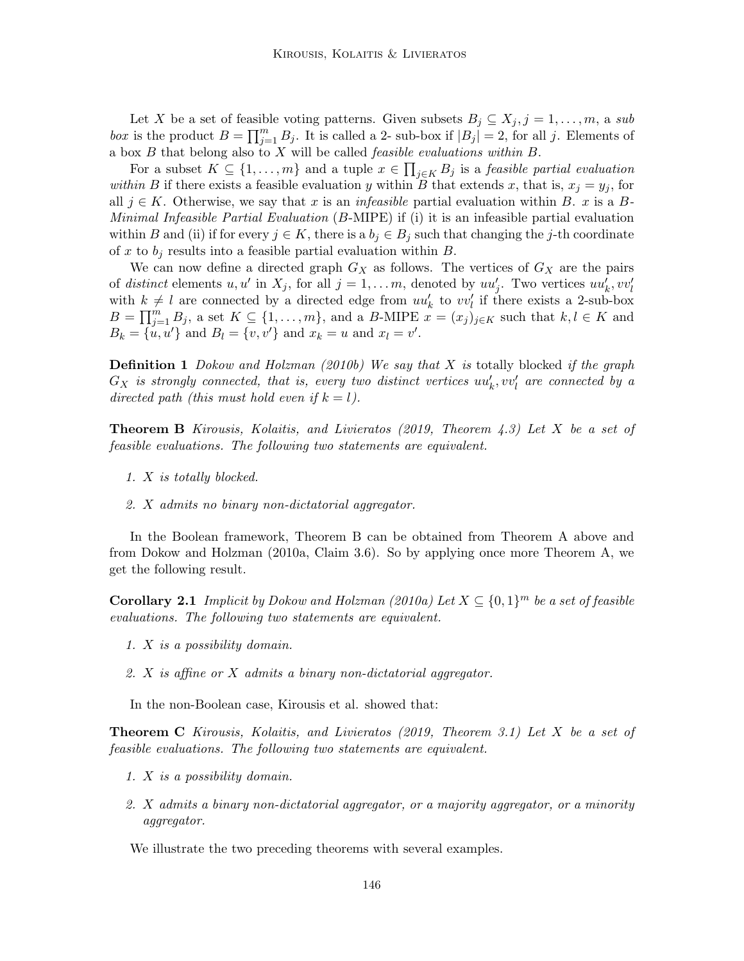Let X be a set of feasible voting patterns. Given subsets  $B_j \subseteq X_j, j = 1, \ldots, m$ , a sub box is the product  $B = \prod_{j=1}^m B_j$ . It is called a 2- sub-box if  $|B_j| = 2$ , for all j. Elements of a box B that belong also to X will be called feasible evaluations within B.

For a subset  $K \subseteq \{1, \ldots, m\}$  and a tuple  $x \in \prod_{j \in K} B_j$  is a *feasible partial evaluation* within B if there exists a feasible evaluation y within B that extends x, that is,  $x_j = y_j$ , for all  $j \in K$ . Otherwise, we say that x is an *infeasible* partial evaluation within B. x is a B-Minimal Infeasible Partial Evaluation (B-MIPE) if (i) it is an infeasible partial evaluation within B and (ii) if for every  $j \in K$ , there is a  $b_j \in B_j$  such that changing the j-th coordinate of x to  $b_i$  results into a feasible partial evaluation within B.

We can now define a directed graph  $G_X$  as follows. The vertices of  $G_X$  are the pairs of distinct elements  $u, u'$  in  $X_j$ , for all  $j = 1, ..., m$ , denoted by  $uu'_j$ . Two vertices  $uu'_k, vv'_l$ with  $k \neq l$  are connected by a directed edge from  $uu'_k$  to  $vv'_l$  if there exists a 2-sub-box  $B=\prod_{j=1}^m B_j$ , a set  $K\subseteq \{1,\ldots,m\}$ , and a B-MIPE  $x=(x_j)_{j\in K}$  such that  $k,l\in K$  and  $B_k = \{u, u'\}$  and  $B_l = \{v, v'\}$  and  $x_k = u$  and  $x_l = v'$ .

**Definition 1** Dokow and Holzman (2010b) We say that X is totally blocked if the graph  $G_X$  is strongly connected, that is, every two distinct vertices  $uu'_k, vv'_l$  are connected by a directed path (this must hold even if  $k = l$ ).

**Theorem B** Kirousis, Kolaitis, and Livieratos (2019, Theorem 4.3) Let X be a set of feasible evaluations. The following two statements are equivalent.

- 1. X is totally blocked.
- 2. X admits no binary non-dictatorial aggregator.

In the Boolean framework, Theorem B can be obtained from Theorem A above and from Dokow and Holzman (2010a, Claim 3.6). So by applying once more Theorem A, we get the following result.

**Corollary 2.1** Implicit by Dokow and Holzman (2010a) Let  $X \subseteq \{0,1\}^m$  be a set of feasible evaluations. The following two statements are equivalent.

- 1. X is a possibility domain.
- 2. X is affine or X admits a binary non-dictatorial aggregator.

In the non-Boolean case, Kirousis et al. showed that:

Theorem C Kirousis, Kolaitis, and Livieratos (2019, Theorem 3.1) Let X be a set of feasible evaluations. The following two statements are equivalent.

- 1. X is a possibility domain.
- 2. X admits a binary non-dictatorial aggregator, or a majority aggregator, or a minority aggregator.

We illustrate the two preceding theorems with several examples.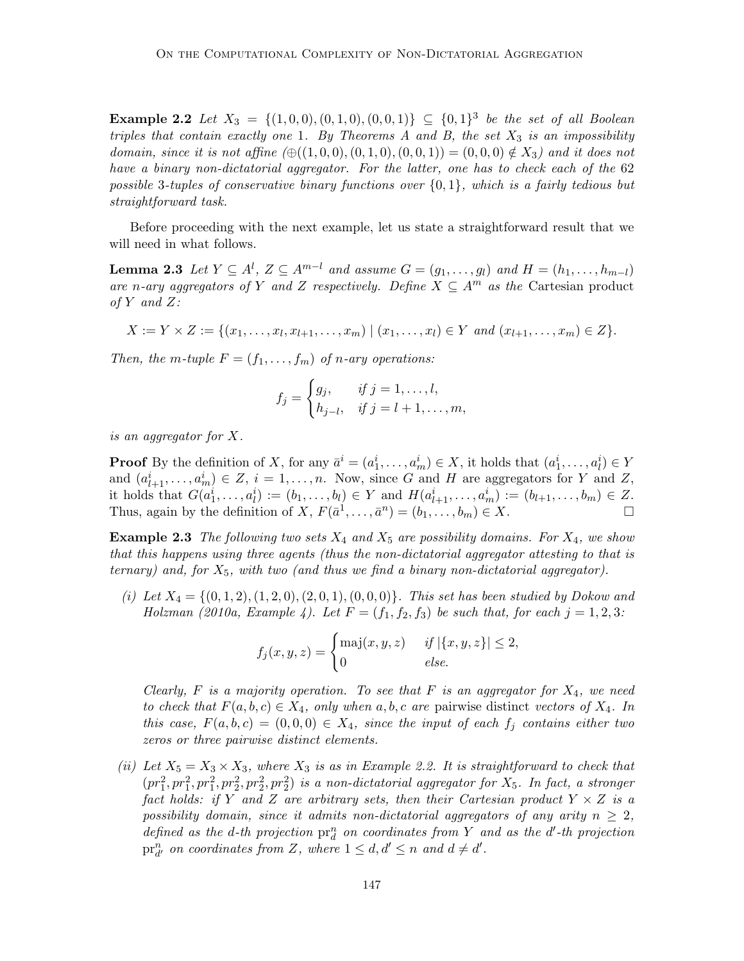**Example 2.2** Let  $X_3 = \{(1,0,0), (0,1,0), (0,0,1)\}\subseteq \{0,1\}^3$  be the set of all Boolean triples that contain exactly one 1. By Theorems A and B, the set  $X_3$  is an impossibility domain, since it is not affine  $(\bigoplus((1, 0, 0), (0, 1, 0), (0, 0, 1)) = (0, 0, 0) \notin X_3)$  and it does not have a binary non-dictatorial aggregator. For the latter, one has to check each of the 62 possible 3-tuples of conservative binary functions over  $\{0,1\}$ , which is a fairly tedious but straightforward task.

Before proceeding with the next example, let us state a straightforward result that we will need in what follows.

**Lemma 2.3** Let  $Y \subseteq A^l$ ,  $Z \subseteq A^{m-l}$  and assume  $G = (g_1, \ldots, g_l)$  and  $H = (h_1, \ldots, h_{m-l})$ are n-ary aggregators of Y and Z respectively. Define  $X \subseteq A^m$  as the Cartesian product of Y and Z:

$$
X := Y \times Z := \{ (x_1, \ldots, x_l, x_{l+1}, \ldots, x_m) \mid (x_1, \ldots, x_l) \in Y \text{ and } (x_{l+1}, \ldots, x_m) \in Z \}.
$$

Then, the m-tuple  $F = (f_1, \ldots, f_m)$  of n-ary operations:

$$
f_j = \begin{cases} g_j, & \text{if } j = 1, ..., l, \\ h_{j-l}, & \text{if } j = l+1, ..., m, \end{cases}
$$

is an aggregator for X.

**Proof** By the definition of X, for any  $\bar{a}^i = (a_1^i, \ldots, a_m^i) \in X$ , it holds that  $(a_1^i, \ldots, a_l^i) \in Y$ and  $(a_{l+1}^i, \ldots, a_m^i) \in Z$ ,  $i = 1, \ldots, n$ . Now, since G and H are aggregators for Y and Z, it holds that  $G(a_1^i, ..., a_l^i) := (b_1, ..., b_l) \in Y$  and  $H(a_{l+1}^i, ..., a_m^i) := (b_{l+1}, ..., b_m) \in Z$ . Thus, again by the definition of  $X, F(\bar{a}^1, \ldots, \bar{a}^n) = (b_1, \ldots, b_m) \in X$ .

**Example 2.3** The following two sets  $X_4$  and  $X_5$  are possibility domains. For  $X_4$ , we show that this happens using three agents (thus the non-dictatorial aggregator attesting to that is ternary) and, for  $X_5$ , with two (and thus we find a binary non-dictatorial aggregator).

(i) Let  $X_4 = \{(0, 1, 2), (1, 2, 0), (2, 0, 1), (0, 0, 0)\}$ . This set has been studied by Dokow and Holzman (2010a, Example 4). Let  $F = (f_1, f_2, f_3)$  be such that, for each  $j = 1, 2, 3$ :

$$
f_j(x, y, z) = \begin{cases} \text{maj}(x, y, z) & \text{if } |\{x, y, z\}| \le 2, \\ 0 & \text{else.} \end{cases}
$$

Clearly, F is a majority operation. To see that F is an aggregator for  $X_4$ , we need to check that  $F(a, b, c) \in X_4$ , only when a, b, c are pairwise distinct vectors of  $X_4$ . In this case,  $F(a, b, c) = (0, 0, 0) \in X_4$ , since the input of each  $f_j$  contains either two zeros or three pairwise distinct elements.

(ii) Let  $X_5 = X_3 \times X_3$ , where  $X_3$  is as in Example 2.2. It is straightforward to check that  $(pr_1^2, pr_1^2, pr_2^2, pr_2^2, pr_2^2)$  is a non-dictatorial aggregator for  $X_5$ . In fact, a stronger fact holds: if Y and Z are arbitrary sets, then their Cartesian product  $Y \times Z$  is a possibility domain, since it admits non-dictatorial aggregators of any arity  $n \geq 2$ , defined as the d-th projection  $pr_d^n$  on coordinates from Y and as the d'-th projection  $\operatorname{pr}_{d'}^n$  on coordinates from Z, where  $1 \leq d, d' \leq n$  and  $d \neq d'.$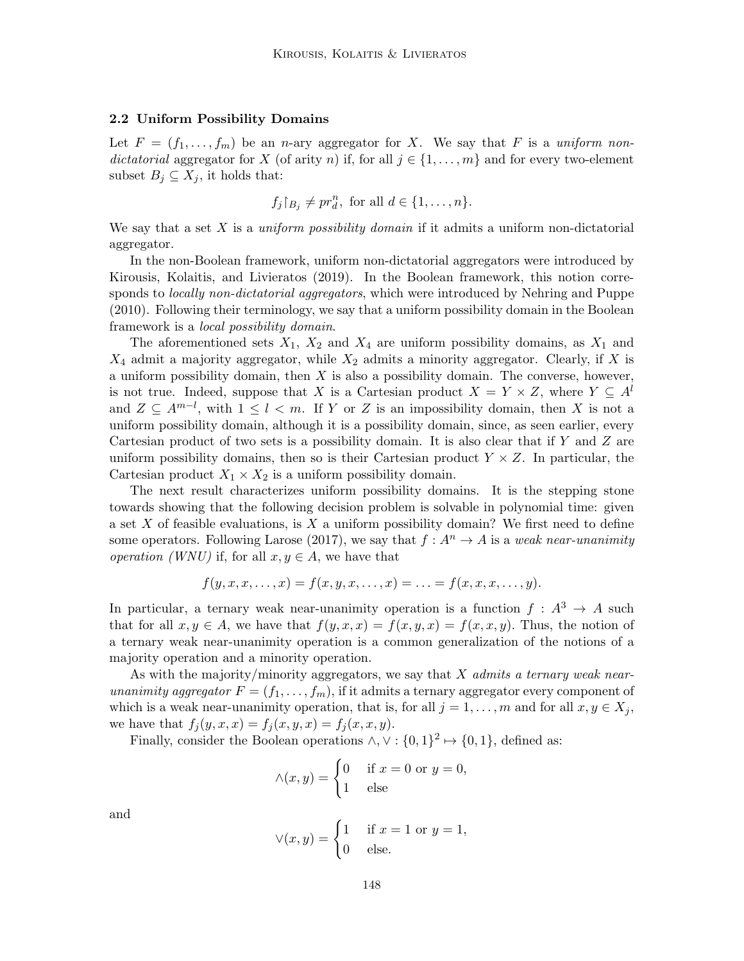### 2.2 Uniform Possibility Domains

Let  $F = (f_1, \ldots, f_m)$  be an n-ary aggregator for X. We say that F is a uniform nondictatorial aggregator for X (of arity n) if, for all  $j \in \{1, \ldots, m\}$  and for every two-element subset  $B_j \subseteq X_j$ , it holds that:

$$
f_j\upharpoonright_{B_j}\neq pr_d^n, \text{ for all } d\in\{1,\ldots,n\}.
$$

We say that a set X is a *uniform possibility domain* if it admits a uniform non-dictatorial aggregator.

In the non-Boolean framework, uniform non-dictatorial aggregators were introduced by Kirousis, Kolaitis, and Livieratos (2019). In the Boolean framework, this notion corresponds to *locally non-dictatorial aggregators*, which were introduced by Nehring and Puppe (2010). Following their terminology, we say that a uniform possibility domain in the Boolean framework is a local possibility domain.

The aforementioned sets  $X_1$ ,  $X_2$  and  $X_4$  are uniform possibility domains, as  $X_1$  and  $X_4$  admit a majority aggregator, while  $X_2$  admits a minority aggregator. Clearly, if X is a uniform possibility domain, then  $X$  is also a possibility domain. The converse, however, is not true. Indeed, suppose that X is a Cartesian product  $X = Y \times Z$ , where  $Y \subseteq A^l$ and  $Z \subseteq A^{m-l}$ , with  $1 \leq l < m$ . If Y or Z is an impossibility domain, then X is not a uniform possibility domain, although it is a possibility domain, since, as seen earlier, every Cartesian product of two sets is a possibility domain. It is also clear that if Y and Z are uniform possibility domains, then so is their Cartesian product  $Y \times Z$ . In particular, the Cartesian product  $X_1 \times X_2$  is a uniform possibility domain.

The next result characterizes uniform possibility domains. It is the stepping stone towards showing that the following decision problem is solvable in polynomial time: given a set  $X$  of feasible evaluations, is  $X$  a uniform possibility domain? We first need to define some operators. Following Larose (2017), we say that  $f : A^n \to A$  is a weak near-unanimity *operation (WNU)* if, for all  $x, y \in A$ , we have that

$$
f(y, x, x, \dots, x) = f(x, y, x, \dots, x) = \dots = f(x, x, x, \dots, y).
$$

In particular, a ternary weak near-unanimity operation is a function  $f : A^3 \to A$  such that for all  $x, y \in A$ , we have that  $f(y, x, x) = f(x, y, x) = f(x, x, y)$ . Thus, the notion of a ternary weak near-unanimity operation is a common generalization of the notions of a majority operation and a minority operation.

As with the majority/minority aggregators, we say that  $X$  admits a ternary weak nearunanimity aggregator  $F = (f_1, \ldots, f_m)$ , if it admits a ternary aggregator every component of which is a weak near-unanimity operation, that is, for all  $j = 1, \ldots, m$  and for all  $x, y \in X_j$ , we have that  $f_i(y, x, x) = f_i(x, y, x) = f_i(x, x, y)$ .

Finally, consider the Boolean operations  $\wedge$ ,  $\vee$  :  $\{0,1\}^2 \mapsto \{0,1\}$ , defined as:

$$
\wedge (x, y) = \begin{cases} 0 & \text{if } x = 0 \text{ or } y = 0, \\ 1 & \text{else} \end{cases}
$$

and

$$
\vee(x,y) = \begin{cases} 1 & \text{if } x = 1 \text{ or } y = 1, \\ 0 & \text{else.} \end{cases}
$$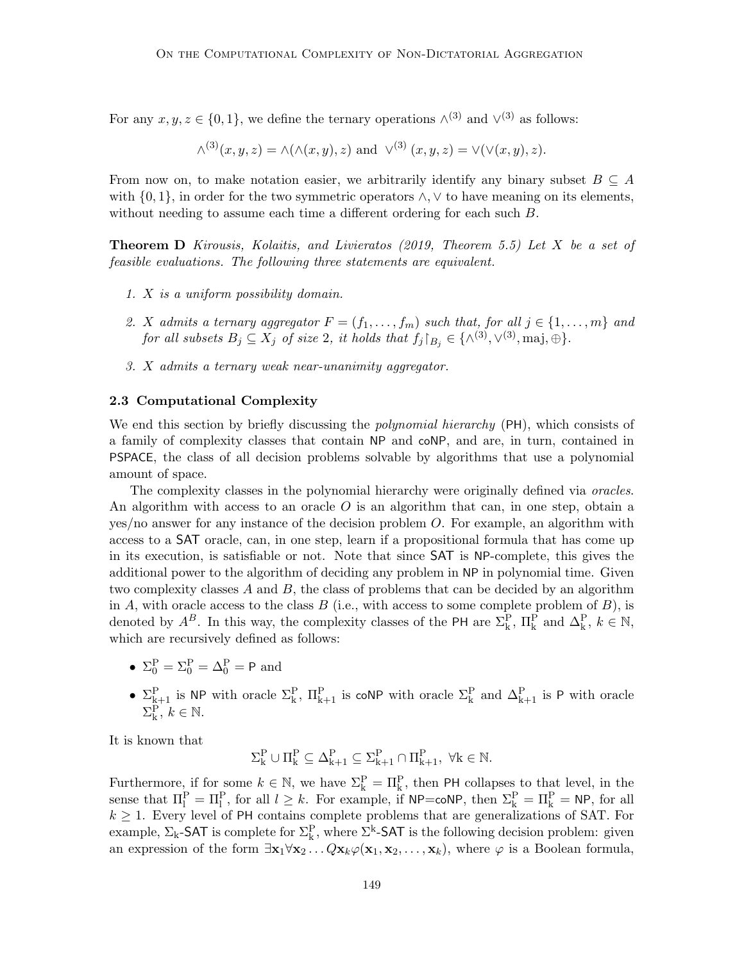For any  $x, y, z \in \{0, 1\}$ , we define the ternary operations  $\wedge^{(3)}$  and  $\vee^{(3)}$  as follows:

$$
\wedge^{(3)}(x,y,z) = \wedge(\wedge(x,y),z) \text{ and } \vee^{(3)}(x,y,z) = \vee(\vee(x,y),z).
$$

From now on, to make notation easier, we arbitrarily identify any binary subset  $B \subseteq A$ with  $\{0, 1\}$ , in order for the two symmetric operators  $\wedge$ ,  $\vee$  to have meaning on its elements, without needing to assume each time a different ordering for each such  $B$ .

Theorem D Kirousis, Kolaitis, and Livieratos (2019, Theorem 5.5) Let X be a set of feasible evaluations. The following three statements are equivalent.

- 1. X is a uniform possibility domain.
- 2. X admits a ternary aggregator  $F = (f_1, \ldots, f_m)$  such that, for all  $j \in \{1, \ldots, m\}$  and for all subsets  $B_j \subseteq X_j$  of size 2, it holds that  $f_j|_{B_j} \in \{\wedge^{(3)}, \vee^{(3)}, \text{maj}, \oplus\}.$
- 3. X admits a ternary weak near-unanimity aggregator.

# 2.3 Computational Complexity

We end this section by briefly discussing the *polynomial hierarchy* (PH), which consists of a family of complexity classes that contain NP and coNP, and are, in turn, contained in PSPACE, the class of all decision problems solvable by algorithms that use a polynomial amount of space.

The complexity classes in the polynomial hierarchy were originally defined via *oracles*. An algorithm with access to an oracle  $O$  is an algorithm that can, in one step, obtain a yes/no answer for any instance of the decision problem O. For example, an algorithm with access to a SAT oracle, can, in one step, learn if a propositional formula that has come up in its execution, is satisfiable or not. Note that since SAT is NP-complete, this gives the additional power to the algorithm of deciding any problem in NP in polynomial time. Given two complexity classes  $A$  and  $B$ , the class of problems that can be decided by an algorithm in A, with oracle access to the class  $B$  (i.e., with access to some complete problem of  $B$ ), is denoted by  $A^B$ . In this way, the complexity classes of the PH are  $\Sigma_k^P$ ,  $\Pi_k^P$  and  $\Delta_k^P$ ,  $k \in \mathbb{N}$ , which are recursively defined as follows:

- $\Sigma_0^{\text{P}} = \Sigma_0^{\text{P}} = \Delta_0^{\text{P}} = \text{P}$  and
- $\Sigma_{k+1}^{\text{P}}$  is NP with oracle  $\Sigma_k^{\text{P}}, \Pi_{k+1}^{\text{P}}$  is coNP with oracle  $\Sigma_k^{\text{P}}$  and  $\Delta_{k+1}^{\text{P}}$  is P with oracle  $\Sigma_{\mathbf{k}}^{\mathbf{P}},\,k\in\mathbb{N}.$

It is known that

$$
\Sigma^P_k \cup \Pi^P_k \subseteq \Delta^P_{k+1} \subseteq \Sigma^P_{k+1} \cap \Pi^P_{k+1}, \ \forall k \in \mathbb{N}.
$$

Furthermore, if for some  $k \in \mathbb{N}$ , we have  $\Sigma_k^P = \Pi_k^P$ , then PH collapses to that level, in the sense that  $\Pi_l^P = \Pi_l^P$ , for all  $l \geq k$ . For example, if  $NP = \text{coNP}$ , then  $\Sigma_k^P = \Pi_k^P = NP$ , for all  $k \geq 1$ . Every level of PH contains complete problems that are generalizations of SAT. For example,  $\Sigma_k$ -SAT is complete for  $\Sigma_k^P$ , where  $\Sigma^k$ -SAT is the following decision problem: given an expression of the form  $\exists x_1 \forall x_2 \dots Q x_k \varphi(x_1, x_2, \dots, x_k)$ , where  $\varphi$  is a Boolean formula,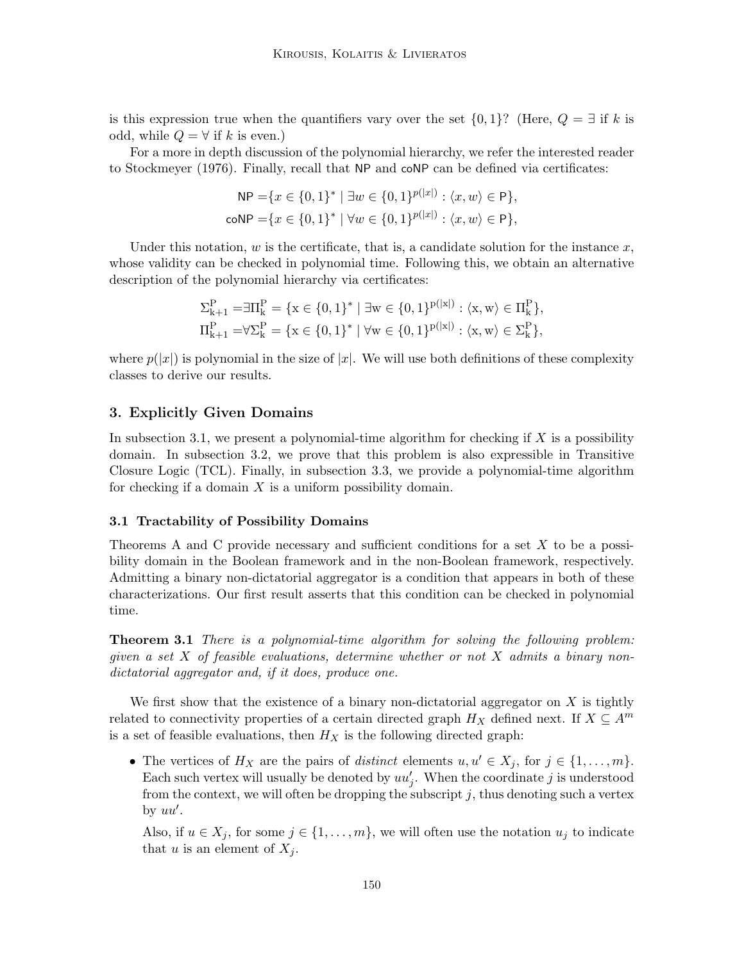is this expression true when the quantifiers vary over the set  $\{0, 1\}$ ? (Here,  $Q = \exists$  if k is odd, while  $Q = \forall$  if k is even.)

For a more in depth discussion of the polynomial hierarchy, we refer the interested reader to Stockmeyer (1976). Finally, recall that NP and coNP can be defined via certificates:

$$
NP = \{x \in \{0, 1\}^* \mid \exists w \in \{0, 1\}^{p(|x|)} : \langle x, w \rangle \in P\},\
$$
  
coNP =  $\{x \in \{0, 1\}^* \mid \forall w \in \{0, 1\}^{p(|x|)} : \langle x, w \rangle \in P\},\$ 

Under this notation,  $w$  is the certificate, that is, a candidate solution for the instance  $x$ , whose validity can be checked in polynomial time. Following this, we obtain an alternative description of the polynomial hierarchy via certificates:

$$
\Sigma_{k+1}^{P} = \exists \Pi_{k}^{P} = \{x \in \{0, 1\}^{*} \mid \exists w \in \{0, 1\}^{p(|x|)} : \langle x, w \rangle \in \Pi_{k}^{P}\},
$$
  

$$
\Pi_{k+1}^{P} = \forall \Sigma_{k}^{P} = \{x \in \{0, 1\}^{*} \mid \forall w \in \{0, 1\}^{p(|x|)} : \langle x, w \rangle \in \Sigma_{k}^{P}\},
$$

where  $p(|x|)$  is polynomial in the size of |x|. We will use both definitions of these complexity classes to derive our results.

# 3. Explicitly Given Domains

In subsection 3.1, we present a polynomial-time algorithm for checking if  $X$  is a possibility domain. In subsection 3.2, we prove that this problem is also expressible in Transitive Closure Logic (TCL). Finally, in subsection 3.3, we provide a polynomial-time algorithm for checking if a domain  $X$  is a uniform possibility domain.

### 3.1 Tractability of Possibility Domains

Theorems A and C provide necessary and sufficient conditions for a set  $X$  to be a possibility domain in the Boolean framework and in the non-Boolean framework, respectively. Admitting a binary non-dictatorial aggregator is a condition that appears in both of these characterizations. Our first result asserts that this condition can be checked in polynomial time.

Theorem 3.1 There is a polynomial-time algorithm for solving the following problem: given a set X of feasible evaluations, determine whether or not X admits a binary nondictatorial aggregator and, if it does, produce one.

We first show that the existence of a binary non-dictatorial aggregator on  $X$  is tightly related to connectivity properties of a certain directed graph  $H_X$  defined next. If  $X \subseteq A^m$ is a set of feasible evaluations, then  $H_X$  is the following directed graph:

• The vertices of  $H_X$  are the pairs of *distinct* elements  $u, u' \in X_j$ , for  $j \in \{1, \ldots, m\}$ . Each such vertex will usually be denoted by  $uu'_j$ . When the coordinate j is understood from the context, we will often be dropping the subscript  $j$ , thus denoting such a vertex by  $uu'$ .

Also, if  $u \in X_j$ , for some  $j \in \{1, \ldots, m\}$ , we will often use the notation  $u_j$  to indicate that u is an element of  $X_i$ .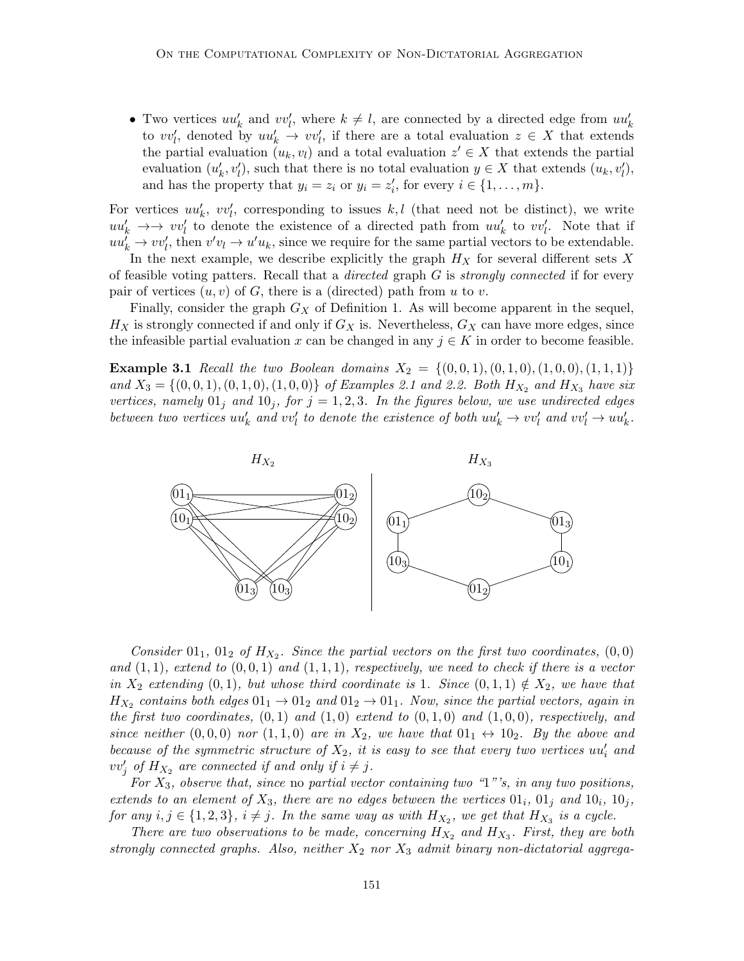• Two vertices  $uu'_k$  and  $vv'_l$ , where  $k \neq l$ , are connected by a directed edge from  $uu'_k$ to  $vv'_l$ , denoted by  $uu'_k \to vv'_l$ , if there are a total evaluation  $z \in X$  that extends the partial evaluation  $(u_k, v_l)$  and a total evaluation  $z' \in X$  that extends the partial evaluation  $(u'_k, v'_l)$ , such that there is no total evaluation  $y \in X$  that extends  $(u_k, v'_l)$ , and has the property that  $y_i = z_i$  or  $y_i = z'_i$ , for every  $i \in \{1, ..., m\}$ .

For vertices  $uu'_k$ ,  $vv'_l$ , corresponding to issues k, l (that need not be distinct), we write  $uu'_k \rightarrow \rightarrow vv'_l$  to denote the existence of a directed path from  $uu'_k$  to  $vv'_l$ . Note that if  $uu_k^{\prime} \rightarrow vv_l^{\prime}$ , then  $v'v_l \rightarrow u'u_k$ , since we require for the same partial vectors to be extendable.

In the next example, we describe explicitly the graph  $H_X$  for several different sets X of feasible voting patters. Recall that a *directed* graph  $G$  is *strongly connected* if for every pair of vertices  $(u, v)$  of G, there is a (directed) path from u to v.

Finally, consider the graph  $G_X$  of Definition 1. As will become apparent in the sequel,  $H_X$  is strongly connected if and only if  $G_X$  is. Nevertheless,  $G_X$  can have more edges, since the infeasible partial evaluation x can be changed in any  $j \in K$  in order to become feasible.

**Example 3.1** Recall the two Boolean domains  $X_2 = \{(0,0,1), (0,1,0), (1,0,0), (1,1,1)\}\$ and  $X_3 = \{(0, 0, 1), (0, 1, 0), (1, 0, 0)\}$  of Examples 2.1 and 2.2. Both  $H_{X_2}$  and  $H_{X_3}$  have six vertices, namely  $01<sub>j</sub>$  and  $10<sub>j</sub>$ , for  $j = 1, 2, 3$ . In the figures below, we use undirected edges between two vertices  $uu'_k$  and  $vv'_l$  to denote the existence of both  $uu'_k \to vv'_l$  and  $vv'_l \to uu'_k$ .



Consider  $01_1$ ,  $01_2$  of  $H_{X_2}$ . Since the partial vectors on the first two coordinates,  $(0,0)$ and  $(1, 1)$ , extend to  $(0, 0, 1)$  and  $(1, 1, 1)$ , respectively, we need to check if there is a vector in  $X_2$  extending (0, 1), but whose third coordinate is 1. Since  $(0,1,1) \notin X_2$ , we have that  $H_{X_2}$  contains both edges  $01_1 \rightarrow 01_2$  and  $01_2 \rightarrow 01_1$ . Now, since the partial vectors, again in the first two coordinates,  $(0, 1)$  and  $(1, 0)$  extend to  $(0, 1, 0)$  and  $(1, 0, 0)$ , respectively, and since neither  $(0,0,0)$  nor  $(1,1,0)$  are in  $X_2$ , we have that  $01_1 \leftrightarrow 10_2$ . By the above and because of the symmetric structure of  $X_2$ , it is easy to see that every two vertices  $uu'_i$  and  $vv'_j$  of  $H_{X_2}$  are connected if and only if  $i \neq j$ .

For  $X_3$ , observe that, since no partial vector containing two "1"'s, in any two positions, extends to an element of  $X_3$ , there are no edges between the vertices  $01_i$ ,  $01_j$  and  $10_i$ ,  $10_j$ , for any  $i, j \in \{1, 2, 3\}, i \neq j$ . In the same way as with  $H_{X_2}$ , we get that  $H_{X_3}$  is a cycle.

There are two observations to be made, concerning  $H_{X_2}$  and  $H_{X_3}$ . First, they are both strongly connected graphs. Also, neither  $X_2$  nor  $X_3$  admit binary non-dictatorial aggrega-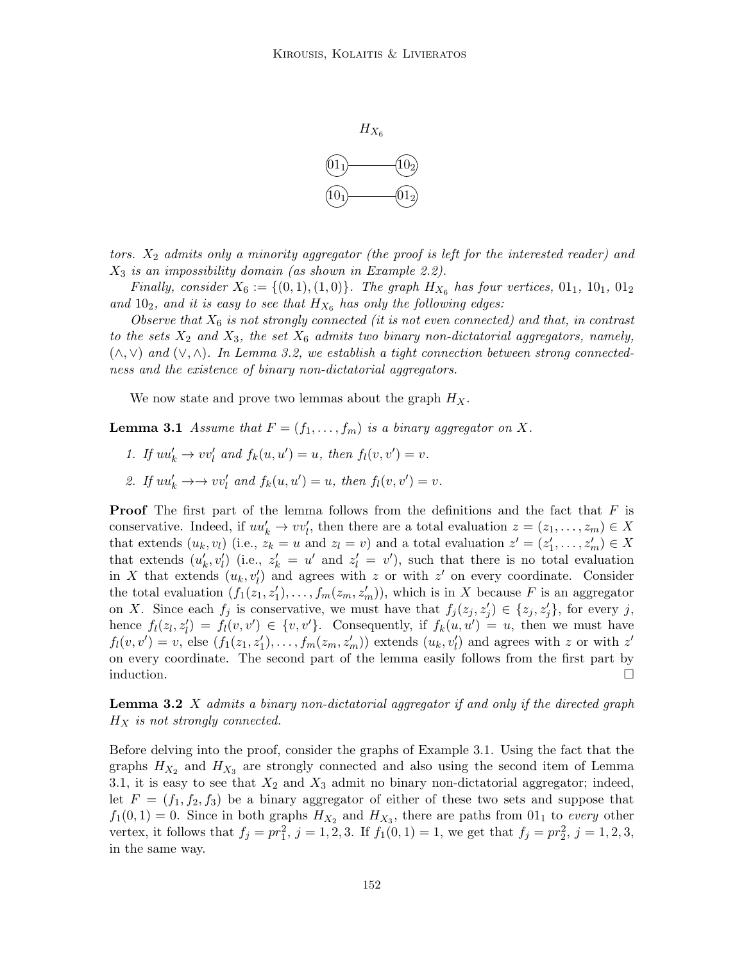

tors.  $X_2$  admits only a minority aggregator (the proof is left for the interested reader) and  $X_3$  is an impossibility domain (as shown in Example 2.2).

Finally, consider  $X_6 := \{(0, 1), (1, 0)\}\.$  The graph  $H_{X_6}$  has four vertices,  $01_1$ ,  $10_1$ ,  $01_2$ and  $10_2$ , and it is easy to see that  $H_{X_6}$  has only the following edges:

Observe that  $X_6$  is not strongly connected (it is not even connected) and that, in contrast to the sets  $X_2$  and  $X_3$ , the set  $X_6$  admits two binary non-dictatorial aggregators, namely,  $(\wedge, \vee)$  and  $(\vee, \wedge)$ . In Lemma 3.2, we establish a tight connection between strong connectedness and the existence of binary non-dictatorial aggregators.

We now state and prove two lemmas about the graph  $H_X$ .

**Lemma 3.1** Assume that  $F = (f_1, \ldots, f_m)$  is a binary aggregator on X.

- 1. If  $uu'_k \to vv'_l$  and  $f_k(u, u') = u$ , then  $f_l(v, v') = v$ .
- 2. If  $uu'_k \to v'v'_l$  and  $f_k(u, u') = u$ , then  $f_l(v, v') = v$ .

**Proof** The first part of the lemma follows from the definitions and the fact that  $F$  is conservative. Indeed, if  $uu'_k \to vv'_l$ , then there are a total evaluation  $z = (z_1, \ldots, z_m) \in X$ that extends  $(u_k, v_l)$  (i.e.,  $z_k = u$  and  $z_l = v$ ) and a total evaluation  $z' = (z'_1, \ldots, z'_m) \in X$ that extends  $(u'_k, v'_l)$  (i.e.,  $z'_k = u'$  and  $z'_l = v'$ ), such that there is no total evaluation in X that extends  $(u_k, v'_l)$  and agrees with z or with z' on every coordinate. Consider the total evaluation  $(f_1(z_1, z'_1), \ldots, f_m(z_m, z'_m))$ , which is in X because F is an aggregator on X. Since each  $f_j$  is conservative, we must have that  $f_j(z_j, z'_j) \in \{z_j, z'_j\}$ , for every j, hence  $f_l(z_l, z_l') = f_l(v, v') \in \{v, v'\}$ . Consequently, if  $f_k(u, u') = u$ , then we must have  $f_l(v, v') = v$ , else  $(f_1(z_1, z'_1), \ldots, f_m(z_m, z'_m))$  extends  $(u_k, v'_l)$  and agrees with z or with  $z'$ on every coordinate. The second part of the lemma easily follows from the first part by induction.  $\Box$ 

**Lemma 3.2**  $X$  admits a binary non-dictatorial aggregator if and only if the directed graph  $H_X$  is not strongly connected.

Before delving into the proof, consider the graphs of Example 3.1. Using the fact that the graphs  $H_{X_2}$  and  $H_{X_3}$  are strongly connected and also using the second item of Lemma 3.1, it is easy to see that  $X_2$  and  $X_3$  admit no binary non-dictatorial aggregator; indeed, let  $F = (f_1, f_2, f_3)$  be a binary aggregator of either of these two sets and suppose that  $f_1(0,1) = 0$ . Since in both graphs  $H_{X_2}$  and  $H_{X_3}$ , there are paths from  $01_1$  to every other vertex, it follows that  $f_j = pr_1^2$ ,  $j = 1, 2, 3$ . If  $f_1(0, 1) = 1$ , we get that  $f_j = pr_2^2$ ,  $j = 1, 2, 3$ , in the same way.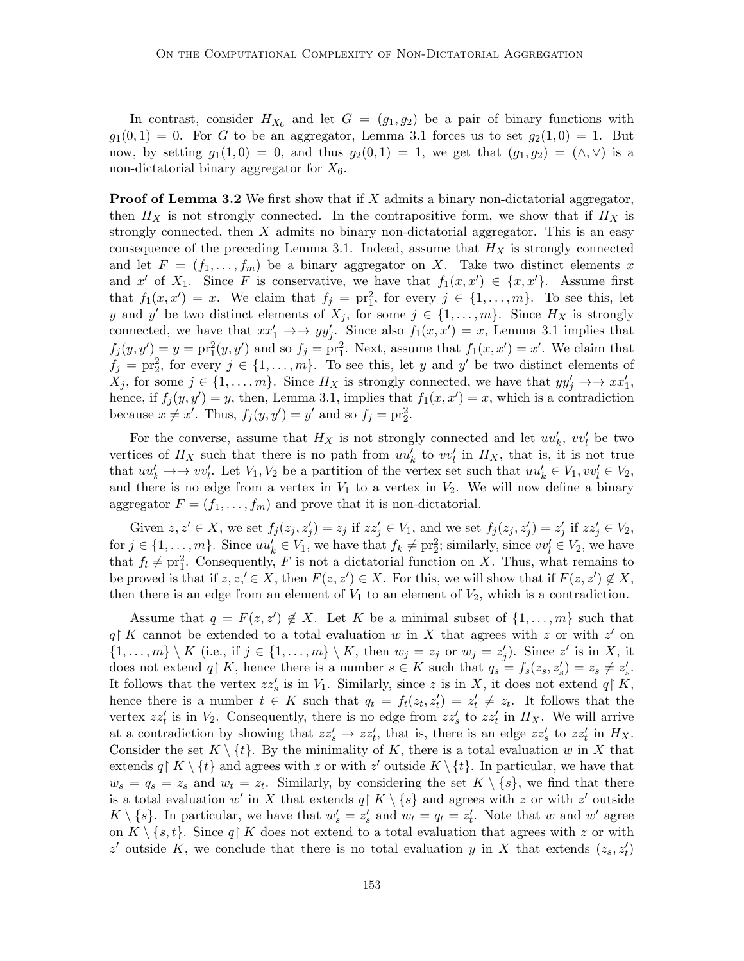In contrast, consider  $H_{X_6}$  and let  $G = (g_1, g_2)$  be a pair of binary functions with  $g_1(0,1) = 0$ . For G to be an aggregator, Lemma 3.1 forces us to set  $g_2(1,0) = 1$ . But now, by setting  $g_1(1,0) = 0$ , and thus  $g_2(0,1) = 1$ , we get that  $(g_1, g_2) = (\wedge, \vee)$  is a non-dictatorial binary aggregator for  $X_6$ .

**Proof of Lemma 3.2** We first show that if  $X$  admits a binary non-dictatorial aggregator, then  $H_X$  is not strongly connected. In the contrapositive form, we show that if  $H_X$  is strongly connected, then  $X$  admits no binary non-dictatorial aggregator. This is an easy consequence of the preceding Lemma 3.1. Indeed, assume that  $H_X$  is strongly connected and let  $F = (f_1, \ldots, f_m)$  be a binary aggregator on X. Take two distinct elements x and x' of  $X_1$ . Since F is conservative, we have that  $f_1(x, x') \in \{x, x'\}$ . Assume first that  $f_1(x, x') = x$ . We claim that  $f_j = \text{pr}_1^2$ , for every  $j \in \{1, ..., m\}$ . To see this, let y and y' be two distinct elements of  $X_j$ , for some  $j \in \{1, \ldots, m\}$ . Since  $H_X$  is strongly connected, we have that  $xx'_1 \rightarrow \rightarrow yy'_j$ . Since also  $f_1(x, x') = x$ , Lemma 3.1 implies that  $f_j(y, y') = y = \text{pr}_1^2(y, y')$  and so  $f_j = \text{pr}_1^2$ . Next, assume that  $f_1(x, x') = x'$ . We claim that  $f_j = \text{pr}_2^2$ , for every  $j \in \{1, \ldots, m\}$ . To see this, let y and y' be two distinct elements of  $X_j$ , for some  $j \in \{1, \ldots, m\}$ . Since  $H_X$  is strongly connected, we have that  $yy'_j \to \to xx'_1$ , hence, if  $f_j(y, y') = y$ , then, Lemma 3.1, implies that  $f_1(x, x') = x$ , which is a contradiction because  $x \neq x'$ . Thus,  $f_j(y, y') = y'$  and so  $f_j = \text{pr}_2^2$ .

For the converse, assume that  $H_X$  is not strongly connected and let  $uu'_k$ ,  $vv'_l$  be two vertices of  $H_X$  such that there is no path from  $uu'_k$  to  $vv'_l$  in  $H_X$ , that is, it is not true that  $uu'_k \to v'v'_l$ . Let  $V_1, V_2$  be a partition of the vertex set such that  $uu'_k \in V_1, vv'_l \in V_2$ , and there is no edge from a vertex in  $V_1$  to a vertex in  $V_2$ . We will now define a binary aggregator  $F = (f_1, \ldots, f_m)$  and prove that it is non-dictatorial.

Given  $z, z' \in X$ , we set  $f_j(z_j, z'_j) = z_j$  if  $zz'_j \in V_1$ , and we set  $f_j(z_j, z'_j) = z'_j$  if  $zz'_j \in V_2$ , for  $j \in \{1, \ldots, m\}$ . Since  $uu'_k \in V_1$ , we have that  $f_k \neq \text{pr}_2^2$ ; similarly, since  $vv'_l \in V_2$ , we have that  $f_l \neq \text{pr}_1^2$ . Consequently, F is not a dictatorial function on X. Thus, what remains to be proved is that if  $z, z' \in X$ , then  $F(z, z') \in X$ . For this, we will show that if  $F(z, z') \notin X$ , then there is an edge from an element of  $V_1$  to an element of  $V_2$ , which is a contradiction.

Assume that  $q = F(z, z') \notin X$ . Let K be a minimal subset of  $\{1, \ldots, m\}$  such that  $q \nvert K$  cannot be extended to a total evaluation w in X that agrees with z or with z' on  $\{1,\ldots,m\}\setminus K$  (i.e., if  $j\in\{1,\ldots,m\}\setminus K$ , then  $w_j=z_j$  or  $w_j=z'_j$ ). Since  $z'$  is in X, it does not extend q K, hence there is a number  $s \in K$  such that  $q_s = f_s(z_s, z_s') = z_s \neq z_s'$ . It follows that the vertex  $zz'_s$  is in  $V_1$ . Similarly, since z is in X, it does not extend  $q \upharpoonright K$ , hence there is a number  $t \in K$  such that  $q_t = f_t(z_t, z_t') = z_t' \neq z_t$ . It follows that the vertex  $zz'_t$  is in  $V_2$ . Consequently, there is no edge from  $zz'_s$  to  $zz'_t$  in  $H_X$ . We will arrive at a contradiction by showing that  $zz'_s \to zz'_t$ , that is, there is an edge  $zz'_s$  to  $zz'_t$  in  $H_X$ . Consider the set  $K \setminus \{t\}$ . By the minimality of K, there is a total evaluation w in X that extends  $q \upharpoonright K \setminus \{t\}$  and agrees with z or with z' outside  $K \setminus \{t\}$ . In particular, we have that  $w_s = q_s = z_s$  and  $w_t = z_t$ . Similarly, by considering the set  $K \setminus \{s\}$ , we find that there is a total evaluation w' in X that extends  $q \upharpoonright K \setminus \{s\}$  and agrees with z or with z' outside  $K \setminus \{s\}$ . In particular, we have that  $w'_s = z'_s$  and  $w_t = q_t = z'_t$ . Note that w and w' agree on  $K \setminus \{s, t\}$ . Since  $q \upharpoonright K$  does not extend to a total evaluation that agrees with z or with z' outside K, we conclude that there is no total evaluation y in X that extends  $(z_s, z_t)$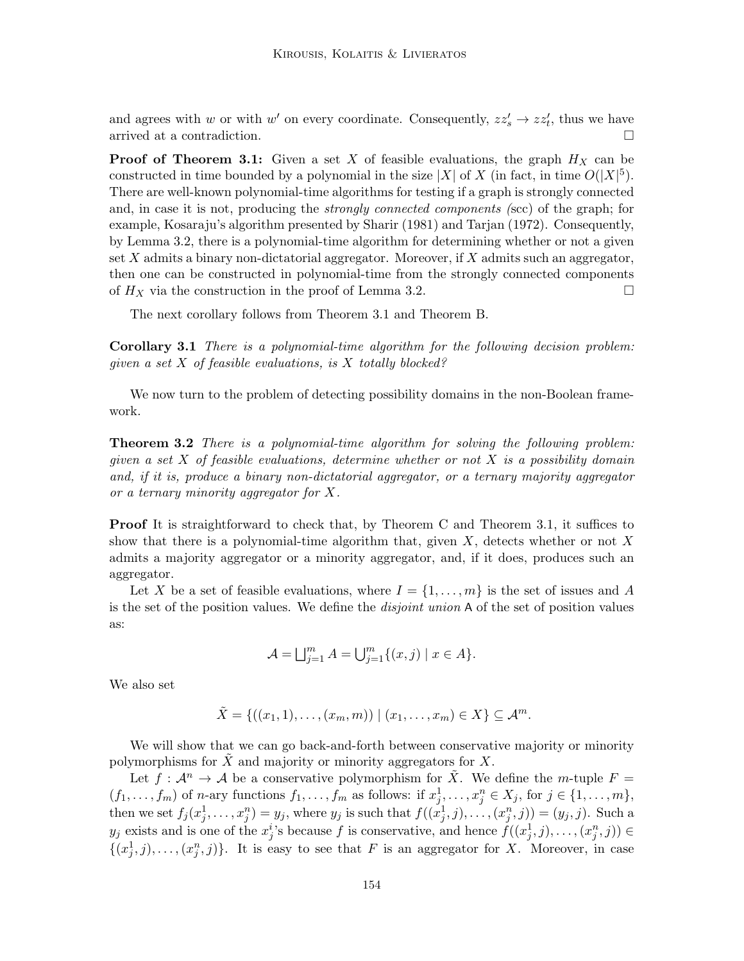and agrees with w or with w' on every coordinate. Consequently,  $zz'_s \rightarrow zz'_t$ , thus we have arrived at a contradiction.

**Proof of Theorem 3.1:** Given a set X of feasible evaluations, the graph  $H_X$  can be constructed in time bounded by a polynomial in the size |X| of X (in fact, in time  $O(|X|^5)$ ). There are well-known polynomial-time algorithms for testing if a graph is strongly connected and, in case it is not, producing the strongly connected components (scc) of the graph; for example, Kosaraju's algorithm presented by Sharir (1981) and Tarjan (1972). Consequently, by Lemma 3.2, there is a polynomial-time algorithm for determining whether or not a given set  $X$  admits a binary non-dictatorial aggregator. Moreover, if  $X$  admits such an aggregator, then one can be constructed in polynomial-time from the strongly connected components of  $H_X$  via the construction in the proof of Lemma 3.2.

The next corollary follows from Theorem 3.1 and Theorem B.

Corollary 3.1 There is a polynomial-time algorithm for the following decision problem: given a set X of feasible evaluations, is X totally blocked?

We now turn to the problem of detecting possibility domains in the non-Boolean framework.

**Theorem 3.2** There is a polynomial-time algorithm for solving the following problem: given a set  $X$  of feasible evaluations, determine whether or not  $X$  is a possibility domain and, if it is, produce a binary non-dictatorial aggregator, or a ternary majority aggregator or a ternary minority aggregator for X.

Proof It is straightforward to check that, by Theorem C and Theorem 3.1, it suffices to show that there is a polynomial-time algorithm that, given  $X$ , detects whether or not  $X$ admits a majority aggregator or a minority aggregator, and, if it does, produces such an aggregator.

Let X be a set of feasible evaluations, where  $I = \{1, \ldots, m\}$  is the set of issues and A is the set of the position values. We define the *disjoint union* A of the set of position values as:

$$
\mathcal{A} = \bigsqcup_{j=1}^{m} A = \bigcup_{j=1}^{m} \{ (x, j) \mid x \in A \}.
$$

We also set

$$
\tilde{X} = \{((x_1,1),\ldots,(x_m,m)) \mid (x_1,\ldots,x_m) \in X\} \subseteq \mathcal{A}^m.
$$

We will show that we can go back-and-forth between conservative majority or minority polymorphisms for  $\tilde{X}$  and majority or minority aggregators for X.

Let  $f: \mathcal{A}^n \to \mathcal{A}$  be a conservative polymorphism for  $\tilde{X}$ . We define the *m*-tuple  $F =$  $(f_1, \ldots, f_m)$  of *n*-ary functions  $f_1, \ldots, f_m$  as follows: if  $x_j^1, \ldots, x_j^n \in X_j$ , for  $j \in \{1, \ldots, m\}$ , then we set  $f_j(x_j^1, \ldots, x_j^n) = y_j$ , where  $y_j$  is such that  $f((x_j^1, j), \ldots, (x_j^n, j)) = (y_j, j)$ . Such a  $y_j$  exists and is one of the  $x_j^i$ 's because f is conservative, and hence  $f((x_j^1, j), \ldots, (x_j^n, j)) \in$  $\{(x_j^1, j), \ldots, (x_j^n, j)\}.$  It is easy to see that F is an aggregator for X. Moreover, in case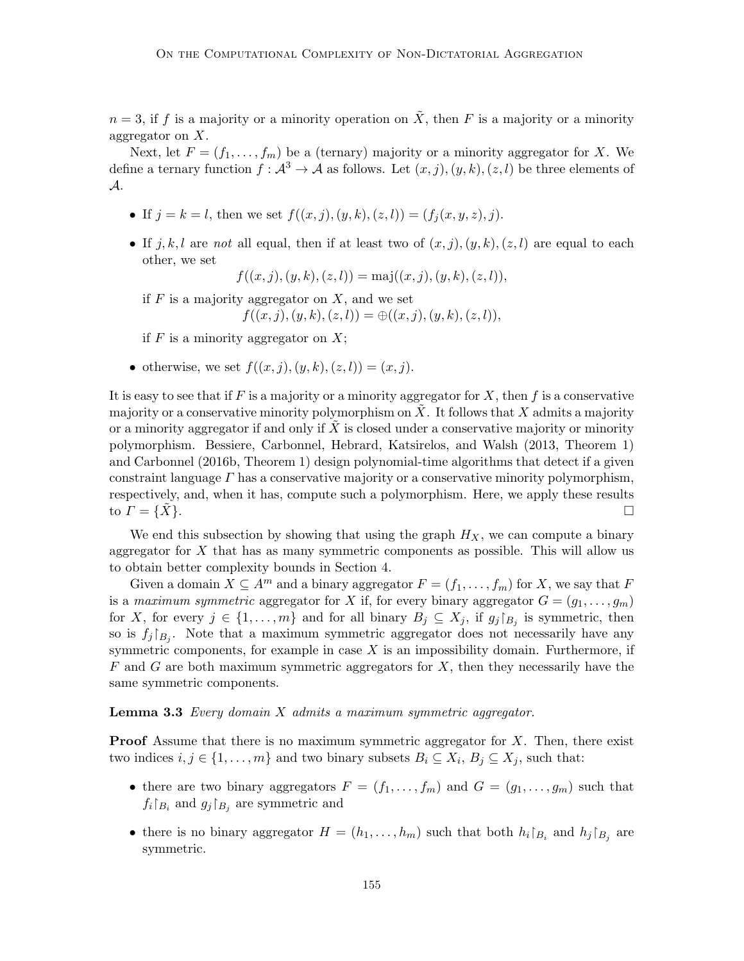$n = 3$ , if f is a majority or a minority operation on  $\tilde{X}$ , then F is a majority or a minority aggregator on  $X$ .

Next, let  $F = (f_1, \ldots, f_m)$  be a (ternary) majority or a minority aggregator for X. We define a ternary function  $f: \mathcal{A}^3 \to \mathcal{A}$  as follows. Let  $(x, j), (y, k), (z, l)$  be three elements of A.

- If  $j = k = l$ , then we set  $f((x, j), (y, k), (z, l)) = (f_i(x, y, z), j)$ .
- If j, k, l are not all equal, then if at least two of  $(x, j), (y, k), (z, l)$  are equal to each other, we set

 $f((x, j), (y, k), (z, l)) = \text{maj}((x, j), (y, k), (z, l)),$ 

if  $F$  is a majority aggregator on  $X$ , and we set

$$
f((x,j),(y,k),(z,l)) = \bigoplus ((x,j),(y,k),(z,l)),
$$

if  $F$  is a minority aggregator on  $X$ ;

• otherwise, we set  $f((x, j), (y, k), (z, l)) = (x, j).$ 

It is easy to see that if F is a majority or a minority aggregator for X, then f is a conservative majority or a conservative minority polymorphism on  $X$ . It follows that  $X$  admits a majority or a minority aggregator if and only if  $X$  is closed under a conservative majority or minority polymorphism. Bessiere, Carbonnel, Hebrard, Katsirelos, and Walsh (2013, Theorem 1) and Carbonnel (2016b, Theorem 1) design polynomial-time algorithms that detect if a given constraint language  $\Gamma$  has a conservative majority or a conservative minority polymorphism, respectively, and, when it has, compute such a polymorphism. Here, we apply these results to  $\Gamma = \{X\}.$ 

We end this subsection by showing that using the graph  $H_X$ , we can compute a binary aggregator for  $X$  that has as many symmetric components as possible. This will allow us to obtain better complexity bounds in Section 4.

Given a domain  $X \subseteq A^m$  and a binary aggregator  $F = (f_1, \ldots, f_m)$  for X, we say that F is a maximum symmetric aggregator for X if, for every binary aggregator  $G = (g_1, \ldots, g_m)$ for X, for every  $j \in \{1, \ldots, m\}$  and for all binary  $B_j \subseteq X_j$ , if  $g_j|_{B_j}$  is symmetric, then so is  $f_j|_{B_j}$ . Note that a maximum symmetric aggregator does not necessarily have any symmetric components, for example in case  $X$  is an impossibility domain. Furthermore, if  $F$  and  $G$  are both maximum symmetric aggregators for  $X$ , then they necessarily have the same symmetric components.

**Lemma 3.3** Every domain  $X$  admits a maximum symmetric aggregator.

**Proof** Assume that there is no maximum symmetric aggregator for  $X$ . Then, there exist two indices  $i, j \in \{1, \ldots, m\}$  and two binary subsets  $B_i \subseteq X_i$ ,  $B_j \subseteq X_j$ , such that:

- there are two binary aggregators  $F = (f_1, \ldots, f_m)$  and  $G = (g_1, \ldots, g_m)$  such that  $f_i|_{B_i}$  and  $g_j|_{B_j}$  are symmetric and
- there is no binary aggregator  $H = (h_1, \ldots, h_m)$  such that both  $h_i|_{B_i}$  and  $h_j|_{B_j}$  are symmetric.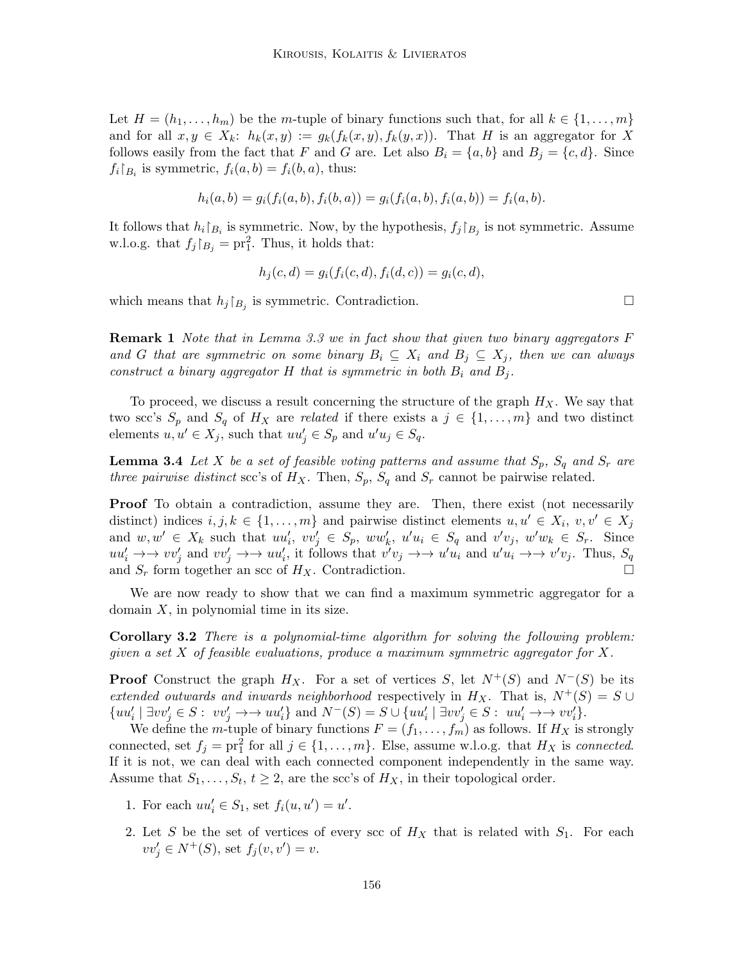Let  $H = (h_1, \ldots, h_m)$  be the m-tuple of binary functions such that, for all  $k \in \{1, \ldots, m\}$ and for all  $x, y \in X_k$ :  $h_k(x, y) := g_k(f_k(x, y), f_k(y, x))$ . That H is an aggregator for X follows easily from the fact that F and G are. Let also  $B_i = \{a, b\}$  and  $B_j = \{c, d\}$ . Since  $f_i|_{B_i}$  is symmetric,  $f_i(a,b) = f_i(b,a)$ , thus:

$$
h_i(a,b) = g_i(f_i(a,b), f_i(b,a)) = g_i(f_i(a,b), f_i(a,b)) = f_i(a,b).
$$

It follows that  $h_i|_{B_i}$  is symmetric. Now, by the hypothesis,  $f_j|_{B_j}$  is not symmetric. Assume w.l.o.g. that  $f_j|_{B_j} = \text{pr}_1^2$ . Thus, it holds that:

$$
h_j(c, d) = g_i(f_i(c, d), f_i(d, c)) = g_i(c, d),
$$

which means that  $h_j|_{B_j}$  is symmetric. Contradiction.

**Remark 1** Note that in Lemma 3.3 we in fact show that given two binary aggregators  $F$ and G that are symmetric on some binary  $B_i \subseteq X_i$  and  $B_j \subseteq X_j$ , then we can always construct a binary aggregator H that is symmetric in both  $B_i$  and  $B_j$ .

To proceed, we discuss a result concerning the structure of the graph  $H_X$ . We say that two scc's  $S_p$  and  $S_q$  of  $H_X$  are related if there exists a  $j \in \{1, \ldots, m\}$  and two distinct elements  $u, u' \in X_j$ , such that  $uu'_j \in S_p$  and  $u'u_j \in S_q$ .

**Lemma 3.4** Let X be a set of feasible voting patterns and assume that  $S_p$ ,  $S_q$  and  $S_r$  are three pairwise distinct scc's of  $H_X$ . Then,  $S_p$ ,  $S_q$  and  $S_r$  cannot be pairwise related.

**Proof** To obtain a contradiction, assume they are. Then, there exist (not necessarily distinct) indices  $i, j, k \in \{1, ..., m\}$  and pairwise distinct elements  $u, u' \in X_i$ ,  $v, v' \in X_j$ and  $w, w' \in X_k$  such that  $uu'_i, vv'_j \in S_p$ ,  $ww'_k, u'u_i \in S_q$  and  $v'v_j$ ,  $w'w_k \in S_r$ . Since  $uu'_i \to v'_j$  and  $vv'_j \to v'_i$ , it follows that  $v'v_j \to v'_i u_i$  and  $u'u_i \to v'v_j$ . Thus,  $S_q$ and  $S_r$  form together an scc of  $H_X$ . Contradiction.

We are now ready to show that we can find a maximum symmetric aggregator for a domain  $X$ , in polynomial time in its size.

Corollary 3.2 There is a polynomial-time algorithm for solving the following problem: given a set  $X$  of feasible evaluations, produce a maximum symmetric aggregator for  $X$ .

**Proof** Construct the graph  $H_X$ . For a set of vertices S, let  $N^+(S)$  and  $N^-(S)$  be its extended outwards and inwards neighborhood respectively in  $H_X$ . That is,  $N^+(S) = S \cup$  $\{uu'_i \mid \exists vv'_j \in S : vv'_j \rightarrow\rightarrow uu'_i\} \text{ and } N^-(S) = S \cup \{uu'_i \mid \exists vv'_j \in S : uu'_i \rightarrow\rightarrow vv'_i\}.$ 

We define the m-tuple of binary functions  $F = (f_1, \ldots, f_m)$  as follows. If  $H_X$  is strongly connected, set  $f_j = \text{pr}_1^2$  for all  $j \in \{1, ..., m\}$ . Else, assume w.l.o.g. that  $H_X$  is connected. If it is not, we can deal with each connected component independently in the same way. Assume that  $S_1, \ldots, S_t, t \geq 2$ , are the scc's of  $H_X$ , in their topological order.

- 1. For each  $uu'_i \in S_1$ , set  $f_i(u, u') = u'$ .
- 2. Let S be the set of vertices of every scc of  $H_X$  that is related with  $S_1$ . For each  $vv'_{j} \in N^{+}(S)$ , set  $f_{j}(v, v') = v$ .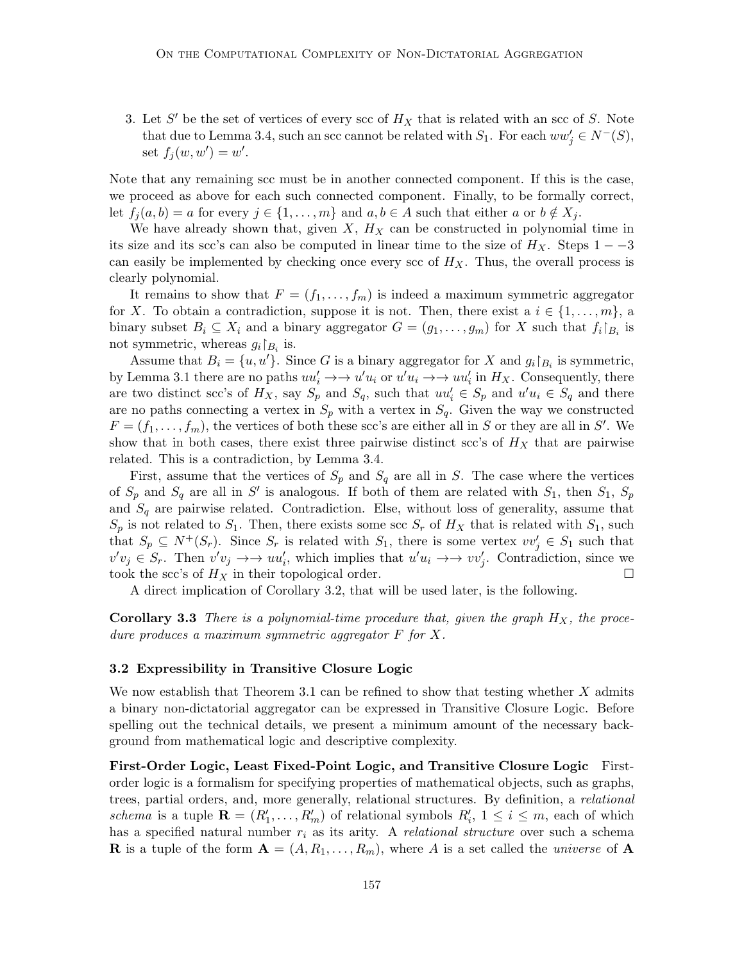3. Let S' be the set of vertices of every scc of  $H_X$  that is related with an scc of S. Note that due to Lemma 3.4, such an scc cannot be related with  $S_1$ . For each  $ww'_j \in N^-(S)$ , set  $f_j(w, w') = w'.$ 

Note that any remaining scc must be in another connected component. If this is the case, we proceed as above for each such connected component. Finally, to be formally correct, let  $f_i(a, b) = a$  for every  $j \in \{1, \ldots, m\}$  and  $a, b \in A$  such that either a or  $b \notin X_i$ .

We have already shown that, given  $X$ ,  $H_X$  can be constructed in polynomial time in its size and its scc's can also be computed in linear time to the size of  $H_X$ . Steps 1 – –3 can easily be implemented by checking once every scc of  $H_X$ . Thus, the overall process is clearly polynomial.

It remains to show that  $F = (f_1, \ldots, f_m)$  is indeed a maximum symmetric aggregator for X. To obtain a contradiction, suppose it is not. Then, there exist a  $i \in \{1, \ldots, m\}$ , a binary subset  $B_i \subseteq X_i$  and a binary aggregator  $G = (g_1, \ldots, g_m)$  for X such that  $f_i|_{B_i}$  is not symmetric, whereas  $g_i\upharpoonright_{B_i}$  is.

Assume that  $B_i = \{u, u'\}$ . Since G is a binary aggregator for X and  $g_i|_{B_i}$  is symmetric, by Lemma 3.1 there are no paths  $uu'_i \to u'u_i$  or  $u'u_i \to u'u'_i$  in  $H_X$ . Consequently, there are two distinct scc's of  $H_X$ , say  $S_p$  and  $S_q$ , such that  $uu'_i \in S_p$  and  $u'u_i \in S_q$  and there are no paths connecting a vertex in  $S_p$  with a vertex in  $S_q$ . Given the way we constructed  $F = (f_1, \ldots, f_m)$ , the vertices of both these scc's are either all in S or they are all in S'. We show that in both cases, there exist three pairwise distinct scc's of  $H_X$  that are pairwise related. This is a contradiction, by Lemma 3.4.

First, assume that the vertices of  $S_p$  and  $S_q$  are all in S. The case where the vertices of  $S_p$  and  $S_q$  are all in S' is analogous. If both of them are related with  $S_1$ , then  $S_1$ ,  $S_p$ and  $S_q$  are pairwise related. Contradiction. Else, without loss of generality, assume that  $S_p$  is not related to  $S_1$ . Then, there exists some scc  $S_r$  of  $H_X$  that is related with  $S_1$ , such that  $S_p \subseteq N^+(S_r)$ . Since  $S_r$  is related with  $S_1$ , there is some vertex  $vv'_j \in S_1$  such that  $v'v_j \in S_r$ . Then  $v'v_j \to v'u'_i$ , which implies that  $u'u_i \to v'u'_j$ . Contradiction, since we took the scc's of  $H_X$  in their topological order.

A direct implication of Corollary 3.2, that will be used later, is the following.

**Corollary 3.3** There is a polynomial-time procedure that, given the graph  $H_X$ , the procedure produces a maximum symmetric aggregator F for X.

### 3.2 Expressibility in Transitive Closure Logic

We now establish that Theorem 3.1 can be refined to show that testing whether  $X$  admits a binary non-dictatorial aggregator can be expressed in Transitive Closure Logic. Before spelling out the technical details, we present a minimum amount of the necessary background from mathematical logic and descriptive complexity.

First-Order Logic, Least Fixed-Point Logic, and Transitive Closure Logic Firstorder logic is a formalism for specifying properties of mathematical objects, such as graphs, trees, partial orders, and, more generally, relational structures. By definition, a relational schema is a tuple  $\mathbf{R} = (R'_1, \ldots, R'_m)$  of relational symbols  $R'_i$ ,  $1 \leq i \leq m$ , each of which has a specified natural number  $r_i$  as its arity. A *relational structure* over such a schema **R** is a tuple of the form  $A = (A, R_1, \ldots, R_m)$ , where A is a set called the *universe* of A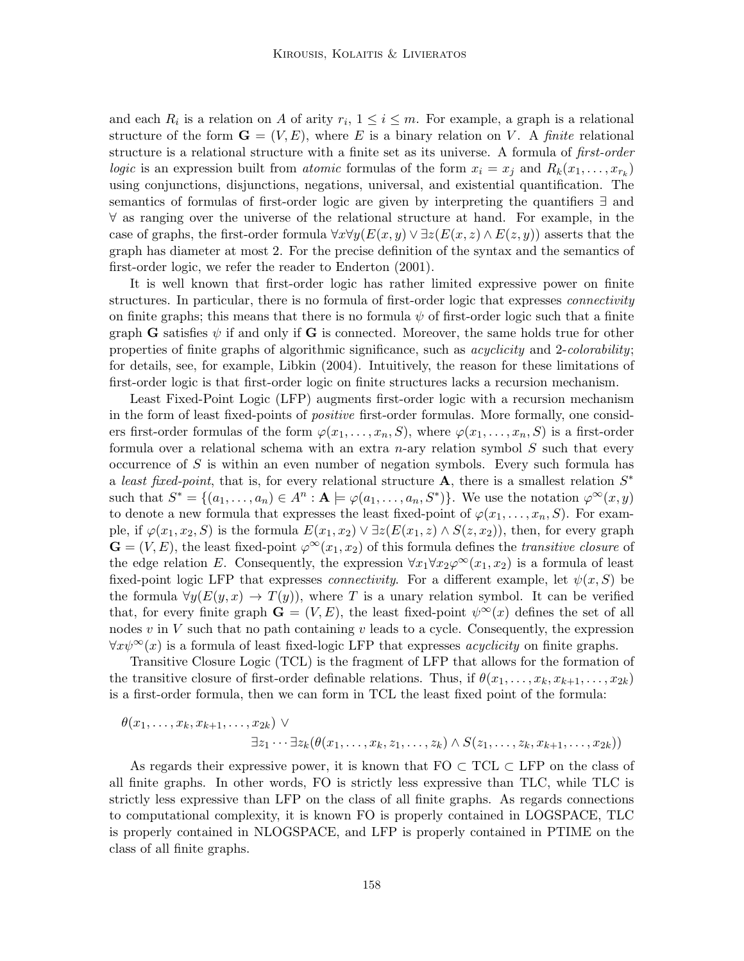and each  $R_i$  is a relation on A of arity  $r_i$ ,  $1 \leq i \leq m$ . For example, a graph is a relational structure of the form  $\mathbf{G} = (V, E)$ , where E is a binary relation on V. A finite relational structure is a relational structure with a finite set as its universe. A formula of *first-order* logic is an expression built from *atomic* formulas of the form  $x_i = x_j$  and  $R_k(x_1, \ldots, x_{r_k})$ using conjunctions, disjunctions, negations, universal, and existential quantification. The semantics of formulas of first-order logic are given by interpreting the quantifiers ∃ and ∀ as ranging over the universe of the relational structure at hand. For example, in the case of graphs, the first-order formula  $\forall x \forall y (E(x, y) \vee \exists z (E(x, z) \wedge E(z, y))$  asserts that the graph has diameter at most 2. For the precise definition of the syntax and the semantics of first-order logic, we refer the reader to Enderton (2001).

It is well known that first-order logic has rather limited expressive power on finite structures. In particular, there is no formula of first-order logic that expresses *connectivity* on finite graphs; this means that there is no formula  $\psi$  of first-order logic such that a finite graph G satisfies  $\psi$  if and only if G is connected. Moreover, the same holds true for other properties of finite graphs of algorithmic significance, such as *acyclicity* and 2-*colorability*; for details, see, for example, Libkin (2004). Intuitively, the reason for these limitations of first-order logic is that first-order logic on finite structures lacks a recursion mechanism.

Least Fixed-Point Logic (LFP) augments first-order logic with a recursion mechanism in the form of least fixed-points of positive first-order formulas. More formally, one considers first-order formulas of the form  $\varphi(x_1, \ldots, x_n, S)$ , where  $\varphi(x_1, \ldots, x_n, S)$  is a first-order formula over a relational schema with an extra n-ary relation symbol  $S$  such that every occurrence of  $S$  is within an even number of negation symbols. Every such formula has a least fixed-point, that is, for every relational structure A, there is a smallest relation  $S^*$ such that  $S^* = \{(a_1, \ldots, a_n) \in A^n : A \models \varphi(a_1, \ldots, a_n, S^*)\}.$  We use the notation  $\varphi^{\infty}(x, y)$ to denote a new formula that expresses the least fixed-point of  $\varphi(x_1, \ldots, x_n, S)$ . For example, if  $\varphi(x_1, x_2, S)$  is the formula  $E(x_1, x_2) \vee \exists z (E(x_1, z) \wedge S(z, x_2))$ , then, for every graph  $\mathbf{G} = (V, E)$ , the least fixed-point  $\varphi^{\infty}(x_1, x_2)$  of this formula defines the *transitive closure* of the edge relation E. Consequently, the expression  $\forall x_1 \forall x_2 \varphi^{\infty}(x_1, x_2)$  is a formula of least fixed-point logic LFP that expresses *connectivity*. For a different example, let  $\psi(x, S)$  be the formula  $\forall y(E(y, x) \rightarrow T(y))$ , where T is a unary relation symbol. It can be verified that, for every finite graph  $\mathbf{G} = (V, E)$ , the least fixed-point  $\psi^{\infty}(x)$  defines the set of all nodes v in V such that no path containing v leads to a cycle. Consequently, the expression  $\forall x \psi^{\infty}(x)$  is a formula of least fixed-logic LFP that expresses *acyclicity* on finite graphs.

Transitive Closure Logic (TCL) is the fragment of LFP that allows for the formation of the transitive closure of first-order definable relations. Thus, if  $\theta(x_1, \ldots, x_k, x_{k+1}, \ldots, x_{2k})$ is a first-order formula, then we can form in TCL the least fixed point of the formula:

$$
\theta(x_1,\ldots,x_k,x_{k+1},\ldots,x_{2k}) \vee \exists z_1\cdots\exists z_k(\theta(x_1,\ldots,x_k,z_1,\ldots,z_k)\wedge S(z_1,\ldots,z_k,x_{k+1},\ldots,x_{2k}))
$$

As regards their expressive power, it is known that  $FO \subset TCL \subset LFP$  on the class of all finite graphs. In other words, FO is strictly less expressive than TLC, while TLC is strictly less expressive than LFP on the class of all finite graphs. As regards connections to computational complexity, it is known FO is properly contained in LOGSPACE, TLC is properly contained in NLOGSPACE, and LFP is properly contained in PTIME on the class of all finite graphs.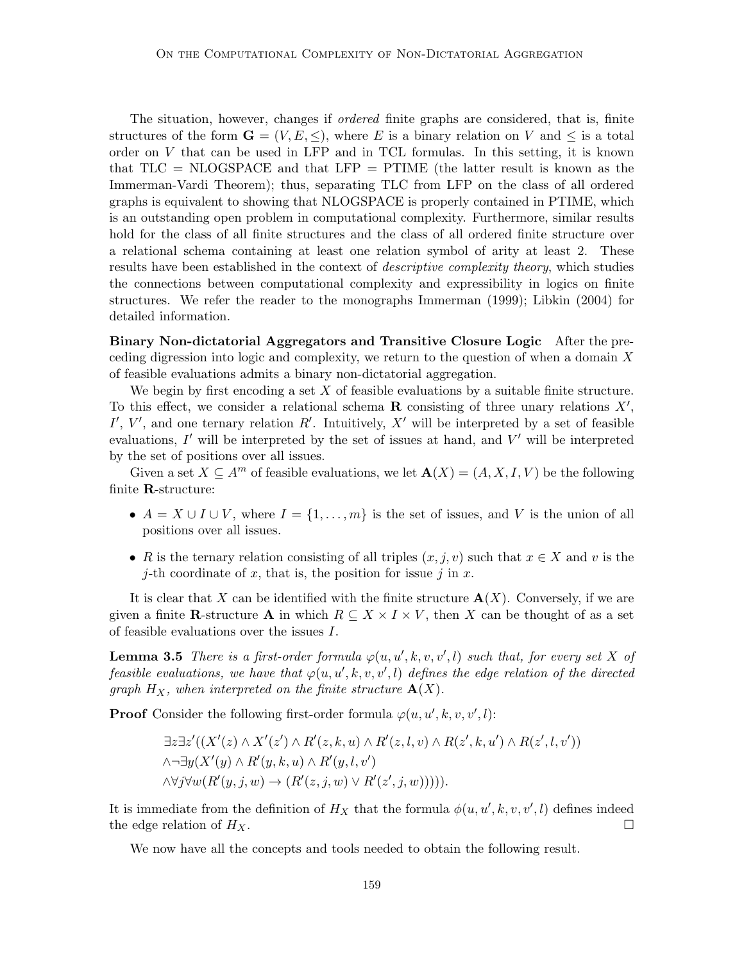The situation, however, changes if ordered finite graphs are considered, that is, finite structures of the form  $\mathbf{G} = (V, E, \leq),$  where E is a binary relation on V and  $\leq$  is a total order on V that can be used in LFP and in TCL formulas. In this setting, it is known that  $TLC = NLOGSPACE$  and that  $LFP = PTIME$  (the latter result is known as the Immerman-Vardi Theorem); thus, separating TLC from LFP on the class of all ordered graphs is equivalent to showing that NLOGSPACE is properly contained in PTIME, which is an outstanding open problem in computational complexity. Furthermore, similar results hold for the class of all finite structures and the class of all ordered finite structure over a relational schema containing at least one relation symbol of arity at least 2. These results have been established in the context of *descriptive complexity theory*, which studies the connections between computational complexity and expressibility in logics on finite structures. We refer the reader to the monographs Immerman (1999); Libkin (2004) for detailed information.

Binary Non-dictatorial Aggregators and Transitive Closure Logic After the preceding digression into logic and complexity, we return to the question of when a domain X of feasible evaluations admits a binary non-dictatorial aggregation.

We begin by first encoding a set  $X$  of feasible evaluations by a suitable finite structure. To this effect, we consider a relational schema  $\bf{R}$  consisting of three unary relations  $X'$ , I', V', and one ternary relation R'. Intuitively, X' will be interpreted by a set of feasible evaluations,  $I'$  will be interpreted by the set of issues at hand, and  $V'$  will be interpreted by the set of positions over all issues.

Given a set  $X \subseteq A^m$  of feasible evaluations, we let  $\mathbf{A}(X) = (A, X, I, V)$  be the following finite R-structure:

- $A = X \cup I \cup V$ , where  $I = \{1, ..., m\}$  is the set of issues, and V is the union of all positions over all issues.
- R is the ternary relation consisting of all triples  $(x, j, v)$  such that  $x \in X$  and v is the j-th coordinate of x, that is, the position for issue j in x.

It is clear that X can be identified with the finite structure  $\mathbf{A}(X)$ . Conversely, if we are given a finite R-structure A in which  $R \subseteq X \times I \times V$ , then X can be thought of as a set of feasible evaluations over the issues I.

**Lemma 3.5** There is a first-order formula  $\varphi(u, u', k, v, v', l)$  such that, for every set X of feasible evaluations, we have that  $\varphi(u, u', k, v, v', l)$  defines the edge relation of the directed graph  $H_X$ , when interpreted on the finite structure  $\mathbf{A}(X)$ .

**Proof** Consider the following first-order formula  $\varphi(u, u', k, v, v', l)$ :

$$
\exists z \exists z' ((X'(z) \land X'(z') \land R'(z,k,u) \land R'(z,l,v) \land R(z',k,u') \land R(z',l,v'))
$$
  
\n
$$
\land \neg \exists y (X'(y) \land R'(y,k,u) \land R'(y,l,v')
$$
  
\n
$$
\land \forall j \forall w (R'(y,j,w) \rightarrow (R'(z,j,w) \lor R'(z',j,w))))).
$$

It is immediate from the definition of  $H_X$  that the formula  $\phi(u, u', k, v, v', l)$  defines indeed the edge relation of  $H_X$ .

We now have all the concepts and tools needed to obtain the following result.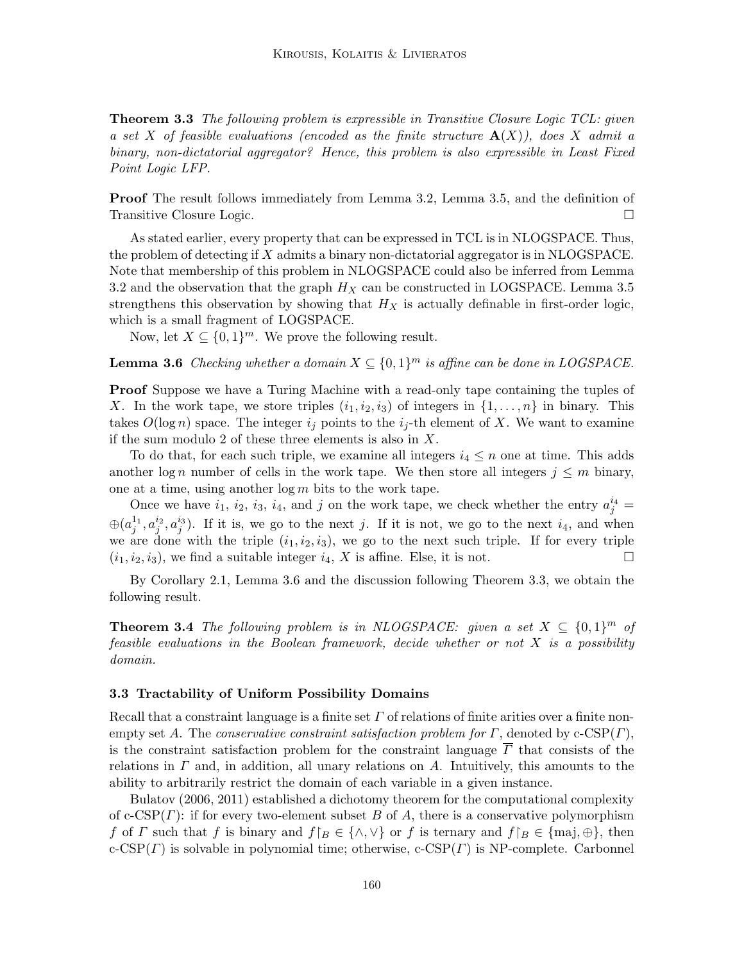**Theorem 3.3** The following problem is expressible in Transitive Closure Logic TCL: given a set X of feasible evaluations (encoded as the finite structure  $\mathbf{A}(X)$ ), does X admit a binary, non-dictatorial aggregator? Hence, this problem is also expressible in Least Fixed Point Logic LFP.

Proof The result follows immediately from Lemma 3.2, Lemma 3.5, and the definition of Transitive Closure Logic.

As stated earlier, every property that can be expressed in TCL is in NLOGSPACE. Thus, the problem of detecting if  $X$  admits a binary non-dictatorial aggregator is in NLOGSPACE. Note that membership of this problem in NLOGSPACE could also be inferred from Lemma 3.2 and the observation that the graph  $H_X$  can be constructed in LOGSPACE. Lemma 3.5 strengthens this observation by showing that  $H_X$  is actually definable in first-order logic, which is a small fragment of LOGSPACE.

Now, let  $X \subseteq \{0,1\}^m$ . We prove the following result.

**Lemma 3.6** Checking whether a domain  $X \subseteq \{0,1\}^m$  is affine can be done in LOGSPACE.

Proof Suppose we have a Turing Machine with a read-only tape containing the tuples of X. In the work tape, we store triples  $(i_1, i_2, i_3)$  of integers in  $\{1, \ldots, n\}$  in binary. This takes  $O(\log n)$  space. The integer  $i_j$  points to the  $i_j$ -th element of X. We want to examine if the sum modulo 2 of these three elements is also in  $X$ .

To do that, for each such triple, we examine all integers  $i_4 \leq n$  one at time. This adds another log n number of cells in the work tape. We then store all integers  $j \leq m$  binary, one at a time, using another  $\log m$  bits to the work tape.

Once we have  $i_1$ ,  $i_2$ ,  $i_3$ ,  $i_4$ , and j on the work tape, we check whether the entry  $a_j^{i_4} =$  $\oplus(a_j^{1_1},a_j^{i_2},a_j^{i_3})$ . If it is, we go to the next j. If it is not, we go to the next  $i_4$ , and when we are done with the triple  $(i_1, i_2, i_3)$ , we go to the next such triple. If for every triple  $(i_1, i_2, i_3)$ , we find a suitable integer  $i_4$ , X is affine. Else, it is not.

By Corollary 2.1, Lemma 3.6 and the discussion following Theorem 3.3, we obtain the following result.

**Theorem 3.4** The following problem is in NLOGSPACE: given a set  $X \subseteq \{0,1\}^m$  of feasible evaluations in the Boolean framework, decide whether or not  $X$  is a possibility domain.

#### 3.3 Tractability of Uniform Possibility Domains

Recall that a constraint language is a finite set  $\Gamma$  of relations of finite arities over a finite nonempty set A. The conservative constraint satisfaction problem for  $\Gamma$ , denoted by c-CSP( $\Gamma$ ), is the constraint satisfaction problem for the constraint language  $\overline{\Gamma}$  that consists of the relations in  $\Gamma$  and, in addition, all unary relations on  $\Lambda$ . Intuitively, this amounts to the ability to arbitrarily restrict the domain of each variable in a given instance.

Bulatov (2006, 2011) established a dichotomy theorem for the computational complexity of c-CSP( $\Gamma$ ): if for every two-element subset B of A, there is a conservative polymorphism f of Γ such that f is binary and  $f|_B \in \{\wedge, \vee\}$  or f is ternary and  $f|_B \in \{\text{maj}, \oplus\}$ , then  $c\text{-CSP}(r)$  is solvable in polynomial time; otherwise,  $c\text{-CSP}(r)$  is NP-complete. Carbonnel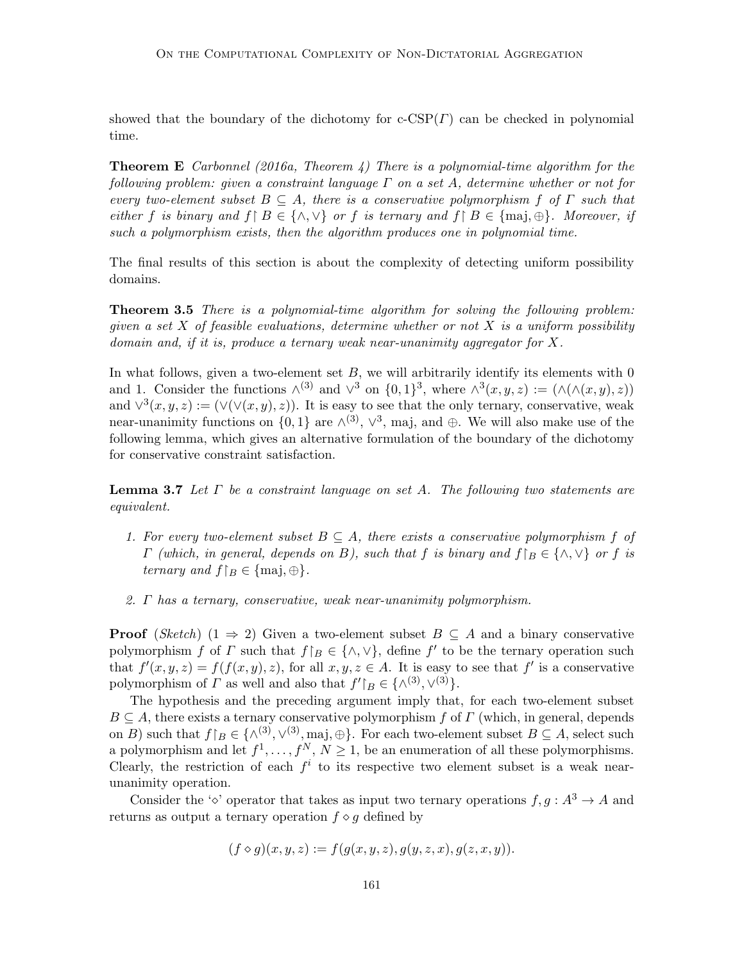showed that the boundary of the dichotomy for  $c\text{-CSP}(r)$  can be checked in polynomial time.

**Theorem E** Carbonnel (2016a, Theorem 4) There is a polynomial-time algorithm for the following problem: given a constraint language  $\Gamma$  on a set A, determine whether or not for every two-element subset  $B \subseteq A$ , there is a conservative polymorphism f of  $\Gamma$  such that either f is binary and  $f \upharpoonright B \in \{\wedge, \vee\}$  or f is ternary and  $f \upharpoonright B \in \{\text{maj}, \oplus\}$ . Moreover, if such a polymorphism exists, then the algorithm produces one in polynomial time.

The final results of this section is about the complexity of detecting uniform possibility domains.

**Theorem 3.5** There is a polynomial-time algorithm for solving the following problem: given a set  $X$  of feasible evaluations, determine whether or not  $X$  is a uniform possibility domain and, if it is, produce a ternary weak near-unanimity aggregator for X.

In what follows, given a two-element set  $B$ , we will arbitrarily identify its elements with 0 and 1. Consider the functions  $\wedge^{(3)}$  and  $\vee^3$  on  $\{0,1\}^3$ , where  $\wedge^3(x,y,z) := (\wedge(\wedge(x,y),z))$ and  $\vee^3(x,y,z) := (\vee(\vee(x,y),z))$ . It is easy to see that the only ternary, conservative, weak near-unanimity functions on  $\{0,1\}$  are  $\wedge^{(3)}$ ,  $\vee^3$ , maj, and  $\oplus$ . We will also make use of the following lemma, which gives an alternative formulation of the boundary of the dichotomy for conservative constraint satisfaction.

**Lemma 3.7** Let  $\Gamma$  be a constraint language on set A. The following two statements are equivalent.

- 1. For every two-element subset  $B \subseteq A$ , there exists a conservative polymorphism f of  $\Gamma$  (which, in general, depends on B), such that f is binary and  $f|_B \in \{\wedge, \vee\}$  or f is ternary and  $f|_B \in \{\text{maj}, \oplus\}.$
- 2. Γ has a ternary, conservative, weak near-unanimity polymorphism.

**Proof** (Sketch) (1  $\Rightarrow$  2) Given a two-element subset  $B \subseteq A$  and a binary conservative polymorphism f of  $\Gamma$  such that  $f|_B \in \{\wedge, \vee\}$ , define f' to be the ternary operation such that  $f'(x, y, z) = f(f(x, y), z)$ , for all  $x, y, z \in A$ . It is easy to see that f' is a conservative polymorphism of  $\Gamma$  as well and also that  $f'|_B \in \{ \wedge^{(3)}, \vee^{(3)} \}.$ 

The hypothesis and the preceding argument imply that, for each two-element subset  $B \subseteq A$ , there exists a ternary conservative polymorphism f of Γ (which, in general, depends on B) such that  $f|_B \in \{(\wedge^{(3)}, \vee^{(3)}, \text{maj}, \oplus\})$ . For each two-element subset  $B \subseteq A$ , select such a polymorphism and let  $f^1, \ldots, f^N, N \ge 1$ , be an enumeration of all these polymorphisms. Clearly, the restriction of each  $f^i$  to its respective two element subset is a weak nearunanimity operation.

Consider the ' $\circ$ ' operator that takes as input two ternary operations  $f, g : A^3 \to A$  and returns as output a ternary operation  $f \diamond g$  defined by

$$
(f \diamond g)(x, y, z) := f(g(x, y, z), g(y, z, x), g(z, x, y)).
$$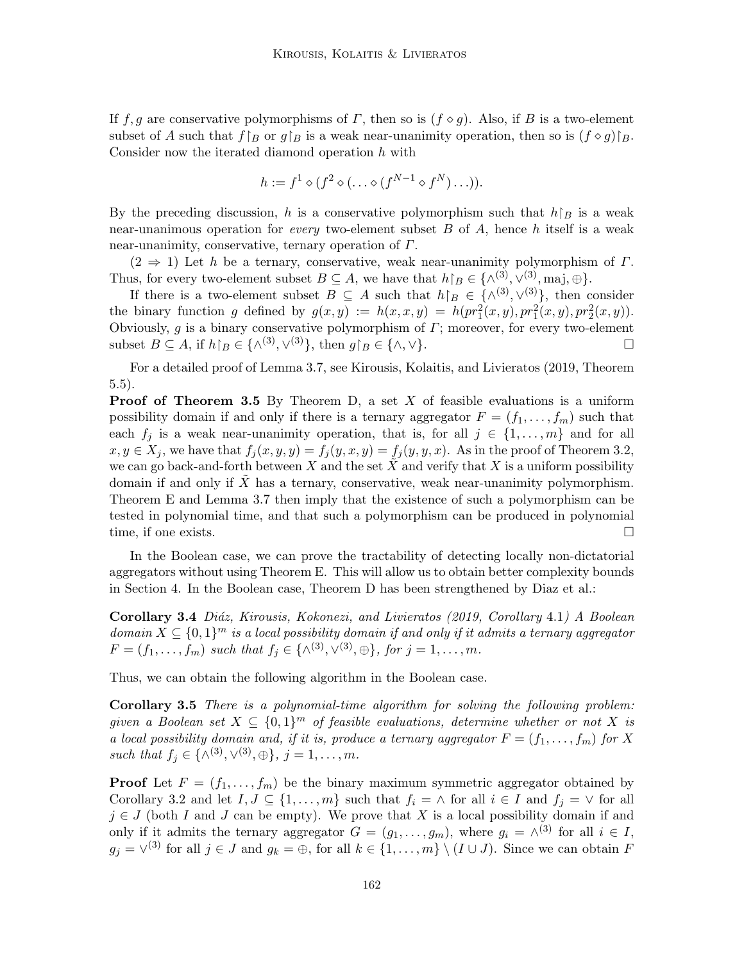If f, g are conservative polymorphisms of  $\Gamma$ , then so is  $(f \diamond g)$ . Also, if B is a two-element subset of A such that  $f|_B$  or  $g|_B$  is a weak near-unanimity operation, then so is  $(f \circ g)|_B$ . Consider now the iterated diamond operation  $h$  with

$$
h := f^1 \diamond (f^2 \diamond (\dots \diamond (f^{N-1} \diamond f^N) \dots)).
$$

By the preceding discussion, h is a conservative polymorphism such that  $h|_B$  is a weak near-unanimous operation for *every* two-element subset  $B$  of  $A$ , hence  $h$  itself is a weak near-unanimity, conservative, ternary operation of  $\Gamma$ .

 $(2 \Rightarrow 1)$  Let h be a ternary, conservative, weak near-unanimity polymorphism of  $\Gamma$ . Thus, for every two-element subset  $B \subseteq A$ , we have that  $h\upharpoonright_B \in \{\wedge^{(3)}, \vee^{(3)}, \text{maj}, \oplus\}.$ 

If there is a two-element subset  $B \subseteq A$  such that  $h\upharpoonright_B \in \{\wedge^{(3)},\vee^{(3)}\}\$ , then consider the binary function g defined by  $g(x, y) := h(x, x, y) = h(pr_1^2(x, y), pr_1^2(x, y), pr_2^2(x, y)).$ Obviously, g is a binary conservative polymorphism of  $\Gamma$ ; moreover, for every two-element subset  $B \subseteq A$ , if  $h|_B \in \{ \wedge^{(3)}, \vee^{(3)} \}$ , then  $g|_B \in \{ \wedge, \vee \}$ .

For a detailed proof of Lemma 3.7, see Kirousis, Kolaitis, and Livieratos (2019, Theorem 5.5).

**Proof of Theorem 3.5** By Theorem D, a set  $X$  of feasible evaluations is a uniform possibility domain if and only if there is a ternary aggregator  $F = (f_1, \ldots, f_m)$  such that each  $f_j$  is a weak near-unanimity operation, that is, for all  $j \in \{1, \ldots, m\}$  and for all  $x, y \in X_j$ , we have that  $f_j(x, y, y) = f_j(y, x, y) = f_j(y, y, x)$ . As in the proof of Theorem 3.2, we can go back-and-forth between X and the set X and verify that X is a uniform possibility domain if and only if  $X$  has a ternary, conservative, weak near-unanimity polymorphism. Theorem E and Lemma 3.7 then imply that the existence of such a polymorphism can be tested in polynomial time, and that such a polymorphism can be produced in polynomial time, if one exists.

In the Boolean case, we can prove the tractability of detecting locally non-dictatorial aggregators without using Theorem E. This will allow us to obtain better complexity bounds in Section 4. In the Boolean case, Theorem D has been strengthened by Diaz et al.:

Corollary 3.4 Diáz, Kirousis, Kokonezi, and Livieratos (2019, Corollary 4.1) A Boolean domain  $X \subseteq \{0,1\}^m$  is a local possibility domain if and only if it admits a ternary aggregator  $F = (f_1, \ldots, f_m) \text{ such that } f_j \in \{ \wedge^{(3)}, \vee^{(3)}, \oplus \}, \text{ for } j = 1, \ldots, m.$ 

Thus, we can obtain the following algorithm in the Boolean case.

Corollary 3.5 There is a polynomial-time algorithm for solving the following problem: given a Boolean set  $X \subseteq \{0,1\}^m$  of feasible evaluations, determine whether or not X is a local possibility domain and, if it is, produce a ternary aggregator  $F = (f_1, \ldots, f_m)$  for X such that  $f_j \in \{ \wedge^{(3)}, \vee^{(3)}, \oplus \}, j = 1, ..., m$ .

**Proof** Let  $F = (f_1, \ldots, f_m)$  be the binary maximum symmetric aggregator obtained by Corollary 3.2 and let  $I, J \subseteq \{1, ..., m\}$  such that  $f_i = \wedge$  for all  $i \in I$  and  $f_j = \vee$  for all  $j \in J$  (both I and J can be empty). We prove that X is a local possibility domain if and only if it admits the ternary aggregator  $G = (g_1, \ldots, g_m)$ , where  $g_i = \wedge^{(3)}$  for all  $i \in I$ ,  $g_j = \vee^{(3)}$  for all  $j \in J$  and  $g_k = \bigoplus$ , for all  $k \in \{1, ..., m\} \setminus (I \cup J)$ . Since we can obtain F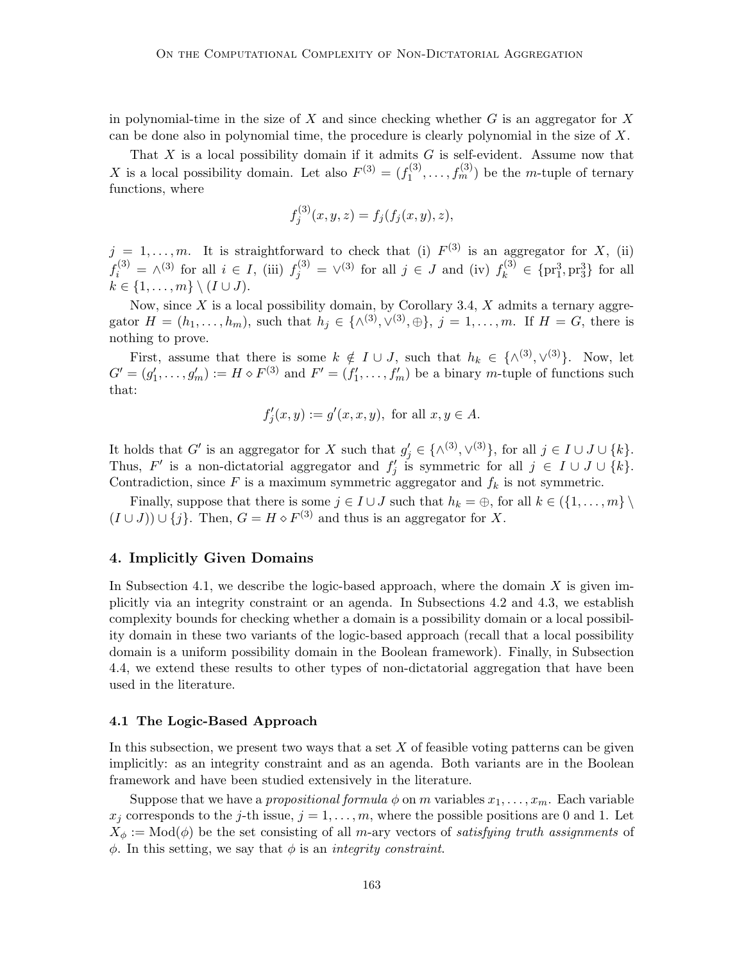in polynomial-time in the size of  $X$  and since checking whether  $G$  is an aggregator for  $X$ can be done also in polynomial time, the procedure is clearly polynomial in the size of  $X$ .

That  $X$  is a local possibility domain if it admits  $G$  is self-evident. Assume now that X is a local possibility domain. Let also  $F^{(3)} = (f_1^{(3)})$  $f_1^{(3)}, \ldots, f_m^{(3)}$  be the *m*-tuple of ternary functions, where

$$
f_j^{(3)}(x, y, z) = f_j(f_j(x, y), z),
$$

 $j = 1, \ldots, m$ . It is straightforward to check that (i)  $F^{(3)}$  is an aggregator for X, (ii)  $f_i^{(3)} = \wedge^{(3)}$  for all  $i \in I$ , (iii)  $f_j^{(3)} = \vee^{(3)}$  for all  $j \in J$  and (iv)  $f_k^{(3)} \in \{pr_1^3, pr_3^3\}$  for all  $k \in \{1, \ldots, m\} \setminus (I \cup J).$ 

Now, since  $X$  is a local possibility domain, by Corollary 3.4,  $X$  admits a ternary aggregator  $H = (h_1, \ldots, h_m)$ , such that  $h_j \in \{\wedge^{(3)}, \vee^{(3)}, \oplus\}, \ j = 1, \ldots, m$ . If  $H = G$ , there is nothing to prove.

First, assume that there is some  $k \notin I \cup J$ , such that  $h_k \in \{\wedge^{(3)}, \vee^{(3)}\}$ . Now, let  $G' = (g'_1, \ldots, g'_m) := H \diamond F^{(3)}$  and  $F' = (f'_1, \ldots, f'_m)$  be a binary m-tuple of functions such that:

$$
f'_j(x,y) := g'(x,x,y), \text{ for all } x, y \in A.
$$

It holds that G' is an aggregator for X such that  $g'_j \in \{(\wedge^{(3)}, \vee^{(3)})\}$ , for all  $j \in I \cup J \cup \{k\}$ . Thus, F' is a non-dictatorial aggregator and  $f'_j$  is symmetric for all  $j \in I \cup J \cup \{k\}.$ Contradiction, since  $F$  is a maximum symmetric aggregator and  $f_k$  is not symmetric.

Finally, suppose that there is some  $j \in I \cup J$  such that  $h_k = \bigoplus$ , for all  $k \in \{1, \ldots, m\} \setminus$  $(I \cup J) \cup \{j\}$ . Then,  $G = H \diamond F^{(3)}$  and thus is an aggregator for X.

# 4. Implicitly Given Domains

In Subsection 4.1, we describe the logic-based approach, where the domain  $X$  is given implicitly via an integrity constraint or an agenda. In Subsections 4.2 and 4.3, we establish complexity bounds for checking whether a domain is a possibility domain or a local possibility domain in these two variants of the logic-based approach (recall that a local possibility domain is a uniform possibility domain in the Boolean framework). Finally, in Subsection 4.4, we extend these results to other types of non-dictatorial aggregation that have been used in the literature.

#### 4.1 The Logic-Based Approach

In this subsection, we present two ways that a set  $X$  of feasible voting patterns can be given implicitly: as an integrity constraint and as an agenda. Both variants are in the Boolean framework and have been studied extensively in the literature.

Suppose that we have a propositional formula  $\phi$  on m variables  $x_1, \ldots, x_m$ . Each variable  $x_j$  corresponds to the j-th issue,  $j = 1, \ldots, m$ , where the possible positions are 0 and 1. Let  $X_{\phi} := \text{Mod}(\phi)$  be the set consisting of all m-ary vectors of satisfying truth assignments of  $\phi$ . In this setting, we say that  $\phi$  is an *integrity constraint*.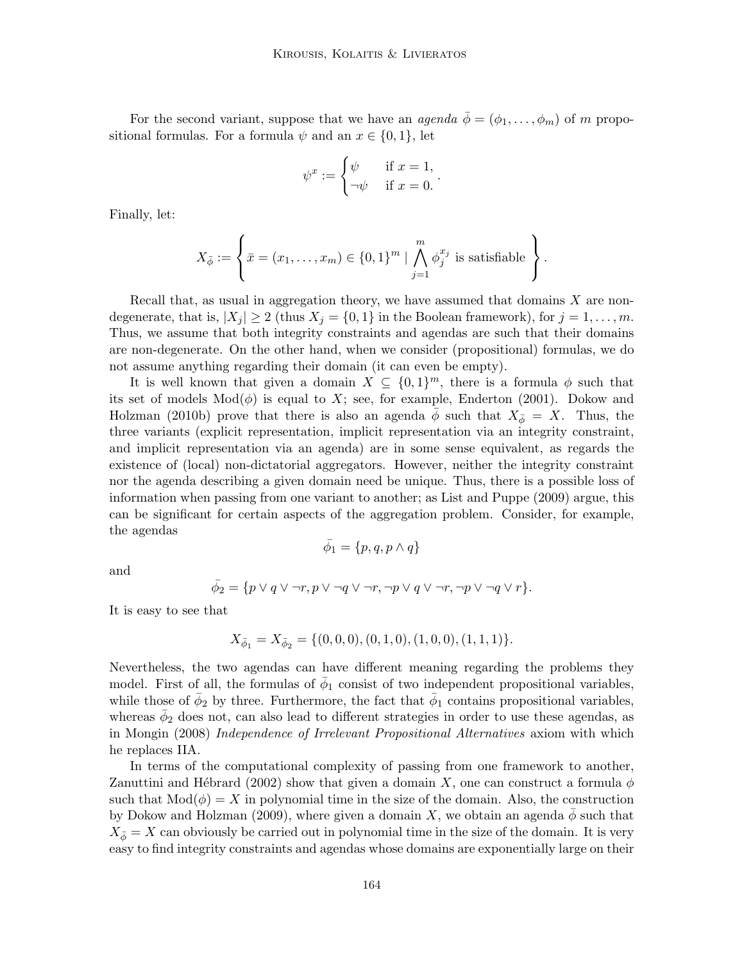For the second variant, suppose that we have an *agenda*  $\bar{\phi} = (\phi_1, \ldots, \phi_m)$  of m propositional formulas. For a formula  $\psi$  and an  $x \in \{0, 1\}$ , let

$$
\psi^x := \begin{cases} \psi & \text{if } x = 1, \\ -\psi & \text{if } x = 0. \end{cases}
$$

.

Finally, let:

$$
X_{\bar{\phi}} := \left\{\bar{x} = (x_1, \dots, x_m) \in \{0, 1\}^m \mid \bigwedge_{j=1}^m \phi_j^{x_j} \text{ is satisfiable}\right\}.
$$

Recall that, as usual in aggregation theory, we have assumed that domains  $X$  are nondegenerate, that is,  $|X_j| \geq 2$  (thus  $X_j = \{0, 1\}$  in the Boolean framework), for  $j = 1, \ldots, m$ . Thus, we assume that both integrity constraints and agendas are such that their domains are non-degenerate. On the other hand, when we consider (propositional) formulas, we do not assume anything regarding their domain (it can even be empty).

It is well known that given a domain  $X \subseteq \{0,1\}^m$ , there is a formula  $\phi$  such that its set of models  $Mod(\phi)$  is equal to X; see, for example, Enderton (2001). Dokow and Holzman (2010b) prove that there is also an agenda  $\phi$  such that  $X_{\bar{\phi}} = X$ . Thus, the three variants (explicit representation, implicit representation via an integrity constraint, and implicit representation via an agenda) are in some sense equivalent, as regards the existence of (local) non-dictatorial aggregators. However, neither the integrity constraint nor the agenda describing a given domain need be unique. Thus, there is a possible loss of information when passing from one variant to another; as List and Puppe (2009) argue, this can be significant for certain aspects of the aggregation problem. Consider, for example, the agendas

$$
\bar{\phi_1} = \{p, q, p \wedge q\}
$$

and

$$
\bar{\phi}_2 = \{ p \lor q \lor \neg r, p \lor \neg q \lor \neg r, \neg p \lor q \lor \neg r, \neg p \lor \neg q \lor r \}.
$$

It is easy to see that

$$
X_{\bar{\phi}_1} = X_{\bar{\phi}_2} = \{ (0,0,0), (0,1,0), (1,0,0), (1,1,1) \}.
$$

Nevertheless, the two agendas can have different meaning regarding the problems they model. First of all, the formulas of  $\bar{\phi}_1$  consist of two independent propositional variables, while those of  $\bar{\phi}_2$  by three. Furthermore, the fact that  $\bar{\phi}_1$  contains propositional variables, whereas  $\bar{\phi}_2$  does not, can also lead to different strategies in order to use these agendas, as in Mongin (2008) Independence of Irrelevant Propositional Alternatives axiom with which he replaces IIA.

In terms of the computational complexity of passing from one framework to another, Zanuttini and Hébrard (2002) show that given a domain X, one can construct a formula  $\phi$ such that  $Mod(\phi) = X$  in polynomial time in the size of the domain. Also, the construction by Dokow and Holzman (2009), where given a domain X, we obtain an agenda  $\phi$  such that  $X_{\bar{\phi}} = X$  can obviously be carried out in polynomial time in the size of the domain. It is very easy to find integrity constraints and agendas whose domains are exponentially large on their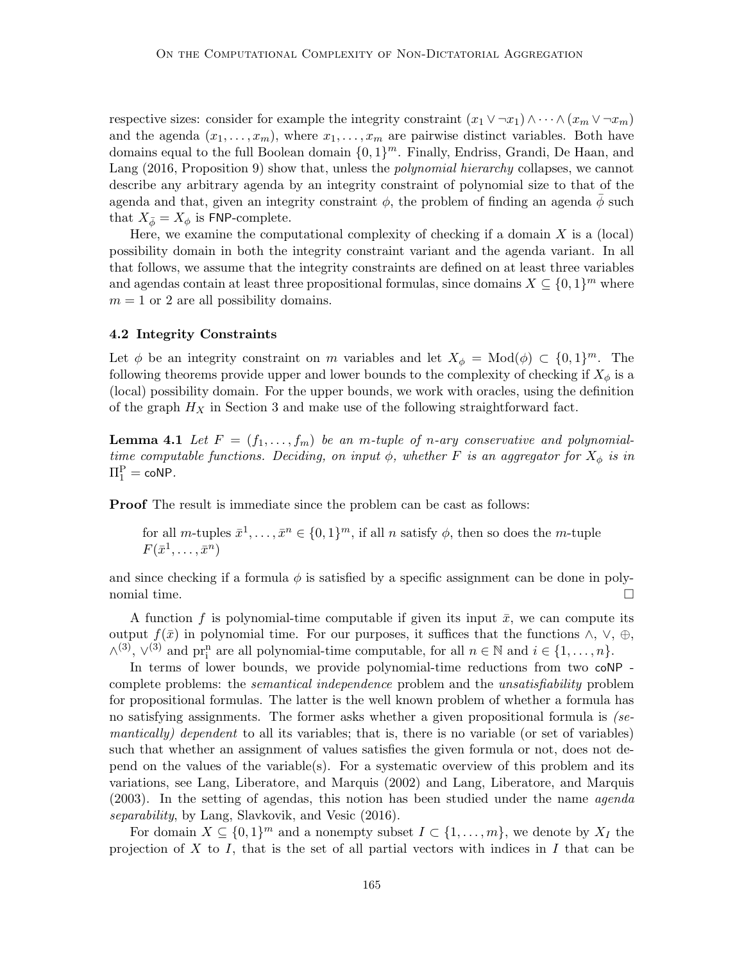respective sizes: consider for example the integrity constraint  $(x_1 \vee \neg x_1) \wedge \cdots \wedge (x_m \vee \neg x_m)$ and the agenda  $(x_1, \ldots, x_m)$ , where  $x_1, \ldots, x_m$  are pairwise distinct variables. Both have domains equal to the full Boolean domain  $\{0,1\}^m$ . Finally, Endriss, Grandi, De Haan, and Lang (2016, Proposition 9) show that, unless the *polynomial hierarchy* collapses, we cannot describe any arbitrary agenda by an integrity constraint of polynomial size to that of the agenda and that, given an integrity constraint  $\phi$ , the problem of finding an agenda  $\phi$  such that  $X_{\bar{\phi}} = X_{\phi}$  is FNP-complete.

Here, we examine the computational complexity of checking if a domain  $X$  is a (local) possibility domain in both the integrity constraint variant and the agenda variant. In all that follows, we assume that the integrity constraints are defined on at least three variables and agendas contain at least three propositional formulas, since domains  $X \subseteq \{0,1\}^m$  where  $m = 1$  or 2 are all possibility domains.

# 4.2 Integrity Constraints

Let  $\phi$  be an integrity constraint on m variables and let  $X_{\phi} = Mod(\phi) \subset \{0,1\}^m$ . The following theorems provide upper and lower bounds to the complexity of checking if  $X_{\phi}$  is a (local) possibility domain. For the upper bounds, we work with oracles, using the definition of the graph  $H_X$  in Section 3 and make use of the following straightforward fact.

**Lemma 4.1** Let  $F = (f_1, \ldots, f_m)$  be an m-tuple of n-ary conservative and polynomialtime computable functions. Deciding, on input  $\phi$ , whether F is an aggregator for  $X_{\phi}$  is in  $\Pi_1^{\rm P} = \mathsf{coNP}.$ 

Proof The result is immediate since the problem can be cast as follows:

for all m-tuples  $\bar{x}^1, \ldots, \bar{x}^n \in \{0,1\}^m$ , if all n satisfy  $\phi$ , then so does the m-tuple  $F(\bar{x}^1, \ldots, \bar{x}^n)$ 

and since checking if a formula  $\phi$  is satisfied by a specific assignment can be done in polynomial time.  $\Box$ 

A function f is polynomial-time computable if given its input  $\bar{x}$ , we can compute its output  $f(\bar{x})$  in polynomial time. For our purposes, it suffices that the functions  $\wedge$ ,  $\vee$ ,  $\oplus$ ,  $\wedge^{(3)}$ ,  $\vee^{(3)}$  and  $\operatorname{pr}_i^n$  are all polynomial-time computable, for all  $n \in \mathbb{N}$  and  $i \in \{1, ..., n\}$ .

In terms of lower bounds, we provide polynomial-time reductions from two coNP complete problems: the *semantical independence* problem and the *unsatisfiability* problem for propositional formulas. The latter is the well known problem of whether a formula has no satisfying assignments. The former asks whether a given propositional formula is (semantically) dependent to all its variables; that is, there is no variable (or set of variables) such that whether an assignment of values satisfies the given formula or not, does not depend on the values of the variable(s). For a systematic overview of this problem and its variations, see Lang, Liberatore, and Marquis (2002) and Lang, Liberatore, and Marquis (2003). In the setting of agendas, this notion has been studied under the name agenda separability, by Lang, Slavkovik, and Vesic (2016).

For domain  $X \subseteq \{0,1\}^m$  and a nonempty subset  $I \subset \{1,\ldots,m\}$ , we denote by  $X_I$  the projection of X to I, that is the set of all partial vectors with indices in I that can be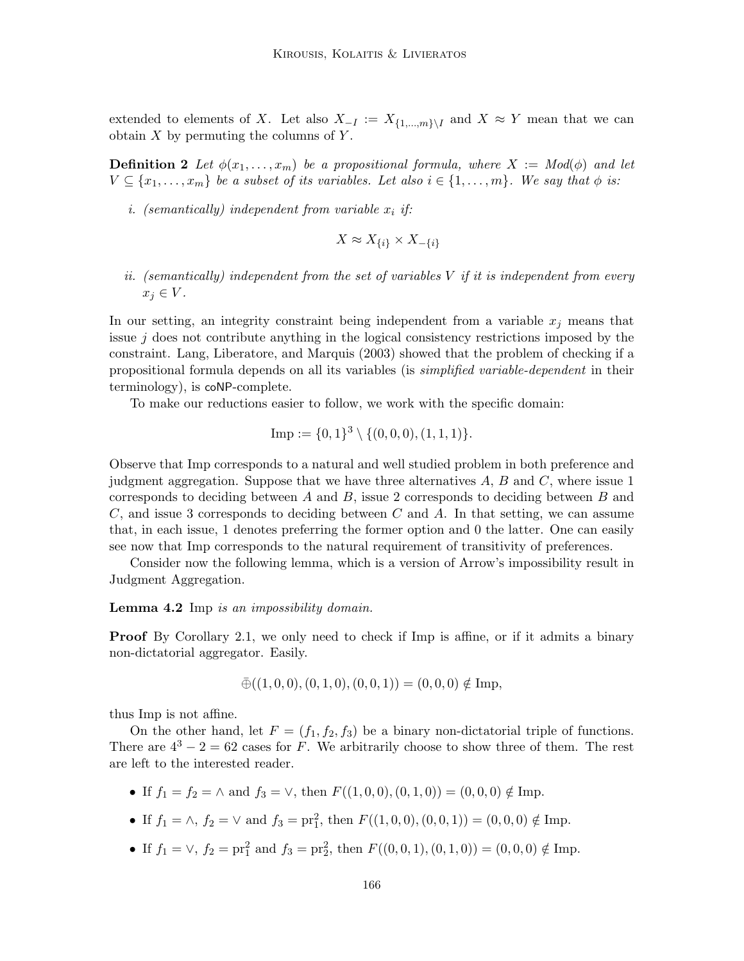extended to elements of X. Let also  $X_{-I} := X_{\{1,\ldots,m\}\setminus I}$  and  $X \approx Y$  mean that we can obtain  $X$  by permuting the columns of  $Y$ .

**Definition 2** Let  $\phi(x_1, \ldots, x_m)$  be a propositional formula, where  $X := Mod(\phi)$  and let  $V \subseteq \{x_1, \ldots, x_m\}$  be a subset of its variables. Let also  $i \in \{1, \ldots, m\}$ . We say that  $\phi$  is:

i. (semantically) independent from variable  $x_i$  if:

$$
X \approx X_{\{i\}} \times X_{-\{i\}}
$$

ii. (semantically) independent from the set of variables  $V$  if it is independent from every  $x_j \in V$ .

In our setting, an integrity constraint being independent from a variable  $x_i$  means that issue  $j$  does not contribute anything in the logical consistency restrictions imposed by the constraint. Lang, Liberatore, and Marquis (2003) showed that the problem of checking if a propositional formula depends on all its variables (is simplified variable-dependent in their terminology), is coNP-complete.

To make our reductions easier to follow, we work with the specific domain:

Imp := 
$$
\{0, 1\}^3 \setminus \{(0, 0, 0), (1, 1, 1)\}.
$$

Observe that Imp corresponds to a natural and well studied problem in both preference and judgment aggregation. Suppose that we have three alternatives  $A, B$  and  $C$ , where issue 1 corresponds to deciding between  $A$  and  $B$ , issue 2 corresponds to deciding between  $B$  and  $C$ , and issue 3 corresponds to deciding between  $C$  and  $A$ . In that setting, we can assume that, in each issue, 1 denotes preferring the former option and 0 the latter. One can easily see now that Imp corresponds to the natural requirement of transitivity of preferences.

Consider now the following lemma, which is a version of Arrow's impossibility result in Judgment Aggregation.

#### Lemma 4.2 Imp is an impossibility domain.

**Proof** By Corollary 2.1, we only need to check if Imp is affine, or if it admits a binary non-dictatorial aggregator. Easily.

$$
\bar{\oplus}((1,0,0),(0,1,0),(0,0,1))=(0,0,0)\notin\mathrm{Imp},
$$

thus Imp is not affine.

On the other hand, let  $F = (f_1, f_2, f_3)$  be a binary non-dictatorial triple of functions. There are  $4^3 - 2 = 62$  cases for F. We arbitrarily choose to show three of them. The rest are left to the interested reader.

- If  $f_1 = f_2 = \wedge$  and  $f_3 = \vee$ , then  $F((1, 0, 0), (0, 1, 0)) = (0, 0, 0) \notin \text{Imp}$ .
- If  $f_1 = \wedge$ ,  $f_2 = \vee$  and  $f_3 = \text{pr}_1^2$ , then  $F((1,0,0),(0,0,1)) = (0,0,0) \notin \text{Imp}$ .
- If  $f_1 = \vee$ ,  $f_2 = \text{pr}_1^2$  and  $f_3 = \text{pr}_2^2$ , then  $F((0,0,1),(0,1,0)) = (0,0,0) \notin \text{Imp}$ .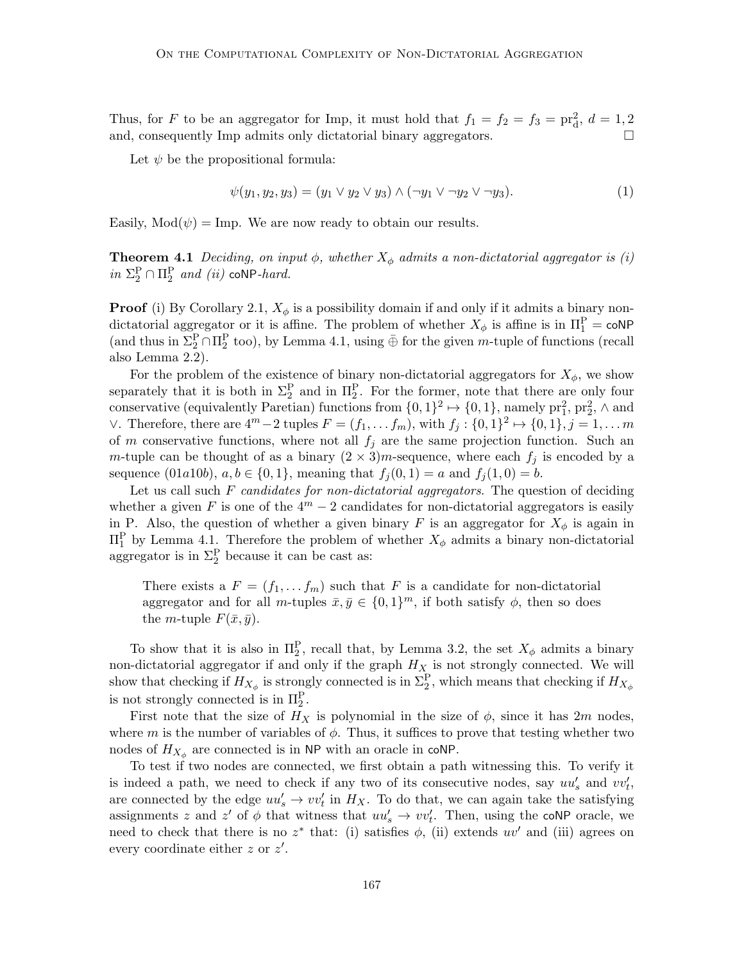Thus, for F to be an aggregator for Imp, it must hold that  $f_1 = f_2 = f_3 = \text{pr}_d^2$ ,  $d = 1, 2$ and, consequently Imp admits only dictatorial binary aggregators.  $\Box$ 

Let  $\psi$  be the propositional formula:

$$
\psi(y_1, y_2, y_3) = (y_1 \lor y_2 \lor y_3) \land (\neg y_1 \lor \neg y_2 \lor \neg y_3). \tag{1}
$$

Easily,  $Mod(\psi) = Imp$ . We are now ready to obtain our results.

**Theorem 4.1** Deciding, on input  $\phi$ , whether  $X_{\phi}$  admits a non-dictatorial aggregator is (i) in  $\Sigma_2^P \cap \Pi_2^P$  and (ii) coNP-hard.

**Proof** (i) By Corollary 2.1,  $X_{\phi}$  is a possibility domain if and only if it admits a binary nondictatorial aggregator or it is affine. The problem of whether  $X_{\phi}$  is affine is in  $\Pi_1^{\text{P}} = \text{coNP}$ (and thus in  $\Sigma_2^P \cap \Pi_2^P$  too), by Lemma 4.1, using  $\bar{\oplus}$  for the given m-tuple of functions (recall also Lemma 2.2).

For the problem of the existence of binary non-dictatorial aggregators for  $X_{\phi}$ , we show separately that it is both in  $\Sigma_2^{\text{P}}$  and in  $\Pi_2^{\text{P}}$ . For the former, note that there are only four conservative (equivalently Paretian) functions from  $\{0,1\}^2 \mapsto \{0,1\}$ , namely  ${\rm pr}_1^2$ ,  ${\rm pr}_2^2$ ,  $\wedge$  and ∨. Therefore, there are  $4^m - 2$  tuples  $F = (f_1, \ldots, f_m)$ , with  $f_j : \{0, 1\}^2 \mapsto \{0, 1\}, j = 1, \ldots, m$ of m conservative functions, where not all  $f_i$  are the same projection function. Such an m-tuple can be thought of as a binary  $(2 \times 3)m$ -sequence, where each  $f_j$  is encoded by a sequence  $(01a10b), a, b \in \{0, 1\},$  meaning that  $f_i(0, 1) = a$  and  $f_i(1, 0) = b$ .

Let us call such  $F$  candidates for non-dictatorial aggregators. The question of deciding whether a given F is one of the  $4^m - 2$  candidates for non-dictatorial aggregators is easily in P. Also, the question of whether a given binary F is an aggregator for  $X_{\phi}$  is again in  $\Pi_1^{\text{P}}$  by Lemma 4.1. Therefore the problem of whether  $X_{\phi}$  admits a binary non-dictatorial aggregator is in  $\Sigma_2^P$  because it can be cast as:

There exists a  $F = (f_1, \ldots, f_m)$  such that F is a candidate for non-dictatorial aggregator and for all m-tuples  $\bar{x}, \bar{y} \in \{0, 1\}^m$ , if both satisfy  $\phi$ , then so does the *m*-tuple  $F(\bar{x}, \bar{y})$ .

To show that it is also in  $\Pi_2^{\mathcal{P}}$ , recall that, by Lemma 3.2, the set  $X_\phi$  admits a binary non-dictatorial aggregator if and only if the graph  $H_X$  is not strongly connected. We will show that checking if  $H_{X_{\phi}}$  is strongly connected is in  $\Sigma_2^{\mathcal{P}}$ , which means that checking if  $H_{X_{\phi}}$ is not strongly connected is in  $\Pi_2^P$ .

First note that the size of  $H_X$  is polynomial in the size of  $\phi$ , since it has  $2m$  nodes, where m is the number of variables of  $\phi$ . Thus, it suffices to prove that testing whether two nodes of  $H_{X_{\phi}}$  are connected is in NP with an oracle in coNP.

To test if two nodes are connected, we first obtain a path witnessing this. To verify it is indeed a path, we need to check if any two of its consecutive nodes, say  $uu'_s$  and  $vv'_t$ , are connected by the edge  $uu'_s \to vv'_t$  in  $H_X$ . To do that, we can again take the satisfying assignments z and z' of  $\phi$  that witness that  $uu_s' \to vv_t'$ . Then, using the coNP oracle, we need to check that there is no  $z^*$  that: (i) satisfies  $\phi$ , (ii) extends  $uv'$  and (iii) agrees on every coordinate either  $z$  or  $z'$ .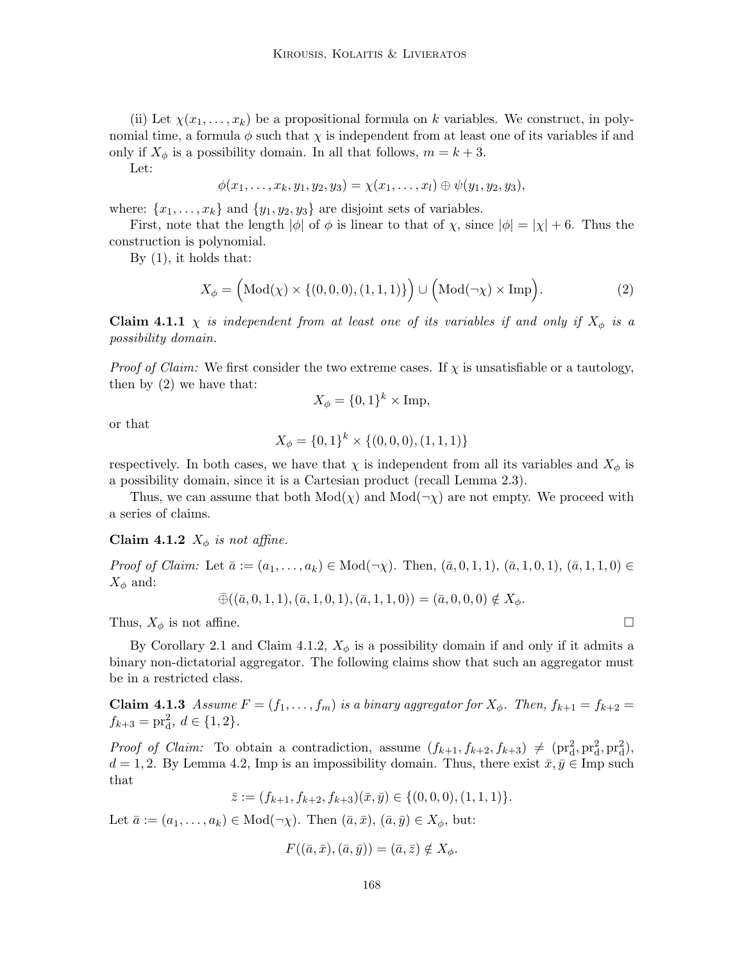(ii) Let  $\chi(x_1, \ldots, x_k)$  be a propositional formula on k variables. We construct, in polynomial time, a formula  $\phi$  such that  $\chi$  is independent from at least one of its variables if and only if  $X_{\phi}$  is a possibility domain. In all that follows,  $m = k + 3$ .

Let:

$$
\phi(x_1,\ldots,x_k,y_1,y_2,y_3)=\chi(x_1,\ldots,x_l)\oplus\psi(y_1,y_2,y_3),
$$

where:  $\{x_1, \ldots, x_k\}$  and  $\{y_1, y_2, y_3\}$  are disjoint sets of variables.

First, note that the length  $|\phi|$  of  $\phi$  is linear to that of  $\chi$ , since  $|\phi| = |\chi| + 6$ . Thus the construction is polynomial.

By (1), it holds that:

$$
X_{\phi} = \left(\text{Mod}(\chi) \times \{(0,0,0), (1,1,1)\}\right) \cup \left(\text{Mod}(\neg \chi) \times \text{Imp}\right). \tag{2}
$$

**Claim 4.1.1**  $\chi$  is independent from at least one of its variables if and only if  $X_{\phi}$  is a possibility domain.

*Proof of Claim:* We first consider the two extreme cases. If  $\chi$  is unsatisfiable or a tautology, then by (2) we have that:

$$
X_{\phi} = \{0, 1\}^{k} \times \text{Imp},
$$

or that

$$
X_{\phi} = \{0, 1\}^{k} \times \{(0, 0, 0), (1, 1, 1)\}
$$

respectively. In both cases, we have that  $\chi$  is independent from all its variables and  $X_{\phi}$  is a possibility domain, since it is a Cartesian product (recall Lemma 2.3).

Thus, we can assume that both  $Mod(\chi)$  and  $Mod(\neg \chi)$  are not empty. We proceed with a series of claims.

Claim 4.1.2  $X_{\phi}$  is not affine.

Proof of Claim: Let  $\bar{a} := (a_1, \ldots, a_k) \in Mod(\neg \chi)$ . Then,  $(\bar{a}, 0, 1, 1), (\bar{a}, 1, 0, 1), (\bar{a}, 1, 1, 0) \in$  $X_{\phi}$  and:

$$
\bar{\oplus}((\bar{a},0,1,1),(\bar{a},1,0,1),(\bar{a},1,1,0)) = (\bar{a},0,0,0) \notin X_{\phi}.
$$

Thus,  $X_{\phi}$  is not affine.

By Corollary 2.1 and Claim 4.1.2,  $X_{\phi}$  is a possibility domain if and only if it admits a binary non-dictatorial aggregator. The following claims show that such an aggregator must be in a restricted class.

Claim 4.1.3 Assume  $F = (f_1, \ldots, f_m)$  is a binary aggregator for  $X_{\phi}$ . Then,  $f_{k+1} = f_{k+2}$  $f_{k+3} = \text{pr}_{d}^{2}, d \in \{1, 2\}.$ 

*Proof of Claim:* To obtain a contradiction, assume  $(f_{k+1}, f_{k+2}, f_{k+3}) \neq (pr_d^2, pr_d^2, pr_d^2)$ ,  $d = 1, 2$ . By Lemma 4.2, Imp is an impossibility domain. Thus, there exist  $\bar{x}, \bar{y} \in \text{Imp such}$ that

 $\overline{z}:=(f_{k+1}, f_{k+2}, f_{k+3})(\overline{x}, \overline{y}) \in \{(0,0,0), (1,1,1)\}.$ 

Let  $\bar{a} := (a_1, \ldots, a_k) \in Mod(\neg \chi)$ . Then  $(\bar{a}, \bar{x}), (\bar{a}, \bar{y}) \in X_{\phi}$ , but:

$$
F((\bar{a}, \bar{x}), (\bar{a}, \bar{y})) = (\bar{a}, \bar{z}) \notin X_{\phi}.
$$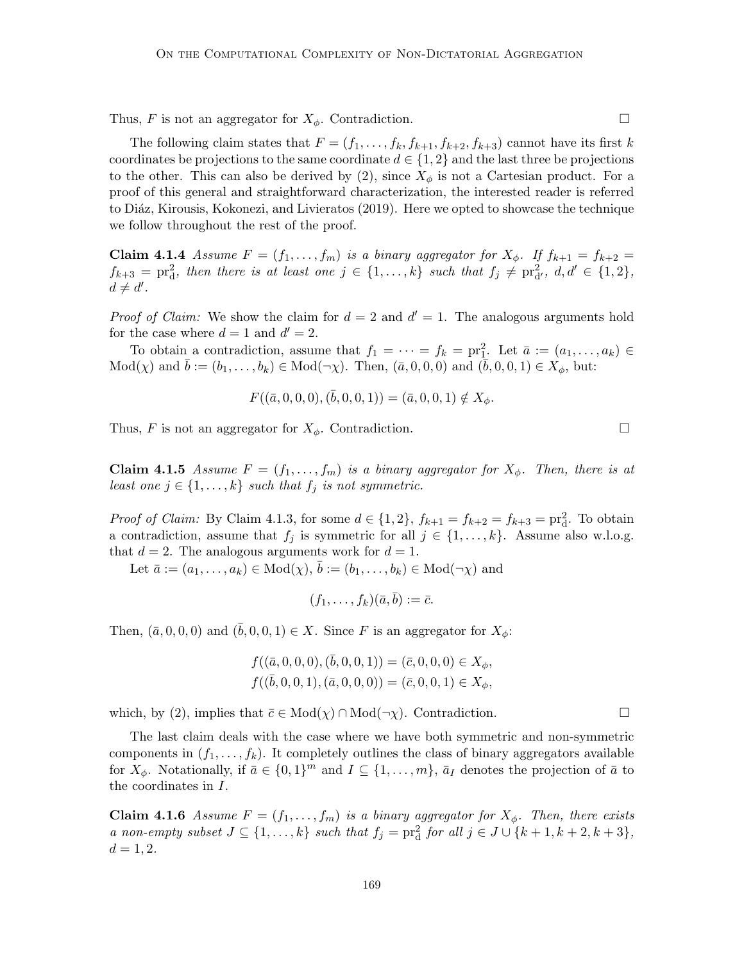Thus, F is not an aggregator for  $X_{\phi}$ . Contradiction.

The following claim states that  $F = (f_1, \ldots, f_k, f_{k+1}, f_{k+2}, f_{k+3})$  cannot have its first k coordinates be projections to the same coordinate  $d \in \{1,2\}$  and the last three be projections to the other. This can also be derived by  $(2)$ , since  $X_{\phi}$  is not a Cartesian product. For a proof of this general and straightforward characterization, the interested reader is referred to Diáz, Kirousis, Kokonezi, and Livieratos (2019). Here we opted to showcase the technique we follow throughout the rest of the proof.

Claim 4.1.4 Assume  $F = (f_1, \ldots, f_m)$  is a binary aggregator for  $X_{\phi}$ . If  $f_{k+1} = f_{k+2}$  $f_{k+3} = \text{pr}_d^2$ , then there is at least one  $j \in \{1, \ldots, k\}$  such that  $f_j \neq \text{pr}_d^2$ ,  $d, d' \in \{1, 2\}$ ,  $d \neq d'$ .

*Proof of Claim:* We show the claim for  $d = 2$  and  $d' = 1$ . The analogous arguments hold for the case where  $d = 1$  and  $d' = 2$ .

To obtain a contradiction, assume that  $f_1 = \cdots = f_k = \text{pr}_1^2$ . Let  $\bar{a} := (a_1, \ldots, a_k) \in$  $Mod(\chi)$  and  $b := (b_1, ..., b_k) \in Mod(\neg \chi)$ . Then,  $(\bar{a}, 0, 0, 0)$  and  $(b, 0, 0, 1) \in X_{\phi}$ , but:

$$
F((\bar{a},0,0,0),(\bar{b},0,0,1)) = (\bar{a},0,0,1) \notin X_{\phi}.
$$

Thus, F is not an aggregator for  $X_{\phi}$ . Contradiction.

Claim 4.1.5 Assume  $F = (f_1, \ldots, f_m)$  is a binary aggregator for  $X_{\phi}$ . Then, there is at least one  $j \in \{1, \ldots, k\}$  such that  $f_j$  is not symmetric.

*Proof of Claim:* By Claim 4.1.3, for some  $d \in \{1, 2\}$ ,  $f_{k+1} = f_{k+2} = f_{k+3} = \text{pr}_{d}^{2}$ . To obtain a contradiction, assume that  $f_j$  is symmetric for all  $j \in \{1, ..., k\}$ . Assume also w.l.o.g. that  $d = 2$ . The analogous arguments work for  $d = 1$ .

Let  $\bar{a} := (a_1, \ldots, a_k) \in Mod(\chi), \bar{b} := (b_1, \ldots, b_k) \in Mod(\neg \chi)$  and

$$
(f_1,\ldots,f_k)(\bar{a},\bar{b}):=\bar{c}.
$$

Then,  $(\bar{a}, 0, 0, 0)$  and  $(b, 0, 0, 1) \in X$ . Since F is an aggregator for  $X_{\phi}$ :

$$
f((\bar{a},0,0,0),(\bar{b},0,0,1)) = (\bar{c},0,0,0) \in X_{\phi}, f((\bar{b},0,0,1),(\bar{a},0,0,0)) = (\bar{c},0,0,1) \in X_{\phi},
$$

which, by (2), implies that  $\bar{c} \in Mod(\chi) \cap Mod(\neg \chi)$ . Contradiction.

The last claim deals with the case where we have both symmetric and non-symmetric components in  $(f_1, \ldots, f_k)$ . It completely outlines the class of binary aggregators available for  $X_{\phi}$ . Notationally, if  $\bar{a} \in \{0,1\}^m$  and  $I \subseteq \{1,\ldots,m\}$ ,  $\bar{a}_I$  denotes the projection of  $\bar{a}$  to the coordinates in I.

**Claim 4.1.6** Assume  $F = (f_1, \ldots, f_m)$  is a binary aggregator for  $X_{\phi}$ . Then, there exists a non-empty subset  $J \subseteq \{1, ..., k\}$  such that  $f_j = \text{pr}_d^2$  for all  $j \in J \cup \{k+1, k+2, k+3\}$ ,  $d = 1, 2.$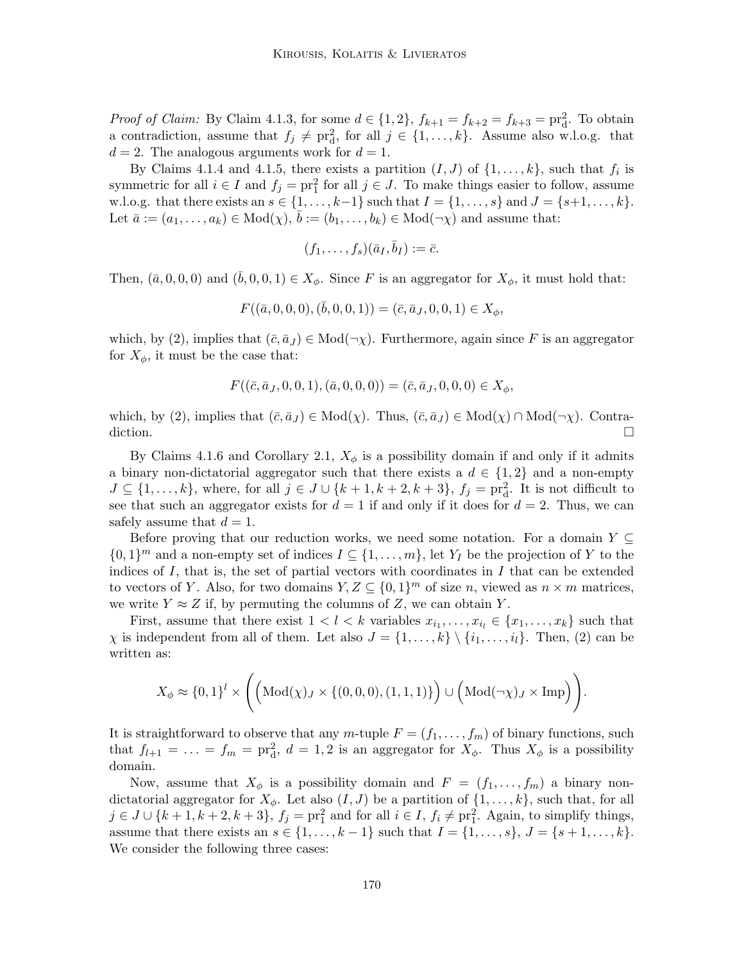*Proof of Claim:* By Claim 4.1.3, for some  $d \in \{1, 2\}$ ,  $f_{k+1} = f_{k+2} = f_{k+3} = \text{pr}_{d}^{2}$ . To obtain a contradiction, assume that  $f_j \neq \text{pr}_d^2$ , for all  $j \in \{1, ..., k\}$ . Assume also w.l.o.g. that  $d = 2$ . The analogous arguments work for  $d = 1$ .

By Claims 4.1.4 and 4.1.5, there exists a partition  $(I, J)$  of  $\{1, \ldots, k\}$ , such that  $f_i$  is symmetric for all  $i \in I$  and  $f_j = \text{pr}_1^2$  for all  $j \in J$ . To make things easier to follow, assume w.l.o.g. that there exists an  $s \in \{1, ..., k-1\}$  such that  $I = \{1, ..., s\}$  and  $J = \{s+1, ..., k\}$ . Let  $\bar{a} := (a_1, \ldots, a_k) \in Mod(\chi), \bar{b} := (b_1, \ldots, b_k) \in Mod(\neg \chi)$  and assume that:

$$
(f_1,\ldots,f_s)(\bar{a}_I,\bar{b}_I):=\bar{c}.
$$

Then,  $(\bar{a}, 0, 0, 0)$  and  $(\bar{b}, 0, 0, 1) \in X_{\phi}$ . Since F is an aggregator for  $X_{\phi}$ , it must hold that:

$$
F((\bar{a},0,0,0),(\bar{b},0,0,1)) = (\bar{c},\bar{a}_J,0,0,1) \in X_{\phi},
$$

which, by (2), implies that  $(\bar{c}, \bar{a}_J) \in Mod(\neg \chi)$ . Furthermore, again since F is an aggregator for  $X_{\phi}$ , it must be the case that:

$$
F((\bar{c}, \bar{a}_J, 0, 0, 1), (\bar{a}, 0, 0, 0)) = (\bar{c}, \bar{a}_J, 0, 0, 0) \in X_{\phi},
$$

which, by (2), implies that  $(\bar{c}, \bar{a}_J) \in Mod(\chi)$ . Thus,  $(\bar{c}, \bar{a}_J) \in Mod(\chi) \cap Mod(\neg \chi)$ . Contradiction.  $\Box$ 

By Claims 4.1.6 and Corollary 2.1,  $X_{\phi}$  is a possibility domain if and only if it admits a binary non-dictatorial aggregator such that there exists a  $d \in \{1,2\}$  and a non-empty  $J \subseteq \{1, \ldots, k\}$ , where, for all  $j \in J \cup \{k+1, k+2, k+3\}$ ,  $f_j = \text{pr}_{d}^2$ . It is not difficult to see that such an aggregator exists for  $d = 1$  if and only if it does for  $d = 2$ . Thus, we can safely assume that  $d = 1$ .

Before proving that our reduction works, we need some notation. For a domain  $Y \subseteq$  $\{0,1\}^m$  and a non-empty set of indices  $I \subseteq \{1,\ldots,m\}$ , let  $Y_I$  be the projection of Y to the indices of I, that is, the set of partial vectors with coordinates in I that can be extended to vectors of Y. Also, for two domains  $Y, Z \subseteq \{0,1\}^m$  of size n, viewed as  $n \times m$  matrices, we write  $Y \approx Z$  if, by permuting the columns of Z, we can obtain Y.

First, assume that there exist  $1 < l < k$  variables  $x_{i_1}, \ldots, x_{i_l} \in \{x_1, \ldots, x_k\}$  such that  $\chi$  is independent from all of them. Let also  $J = \{1, \ldots, k\} \setminus \{i_1, \ldots, i_l\}$ . Then, (2) can be written as:

$$
X_{\phi} \approx \{0,1\}^{l} \times \Bigg(\Big(\mathrm{Mod}(\chi)_{J} \times \{(0,0,0),(1,1,1)\}\Big) \cup \Big(\mathrm{Mod}(\neg\chi)_{J} \times \mathrm{Imp}\Big)\Bigg).
$$

It is straightforward to observe that any m-tuple  $F = (f_1, \ldots, f_m)$  of binary functions, such that  $f_{l+1} = \ldots = f_m = \text{pr}_{d}^2$ ,  $d = 1, 2$  is an aggregator for  $X_{\phi}$ . Thus  $X_{\phi}$  is a possibility domain.

Now, assume that  $X_{\phi}$  is a possibility domain and  $F = (f_1, \ldots, f_m)$  a binary nondictatorial aggregator for  $X_{\phi}$ . Let also  $(I, J)$  be a partition of  $\{1, \ldots, k\}$ , such that, for all  $j \in J \cup \{k+1, k+2, k+3\}, f_j = \text{pr}_1^2$  and for all  $i \in I, f_i \neq \text{pr}_1^2$ . Again, to simplify things, assume that there exists an  $s \in \{1, ..., k-1\}$  such that  $I = \{1, ..., s\}, J = \{s+1, ..., k\}.$ We consider the following three cases: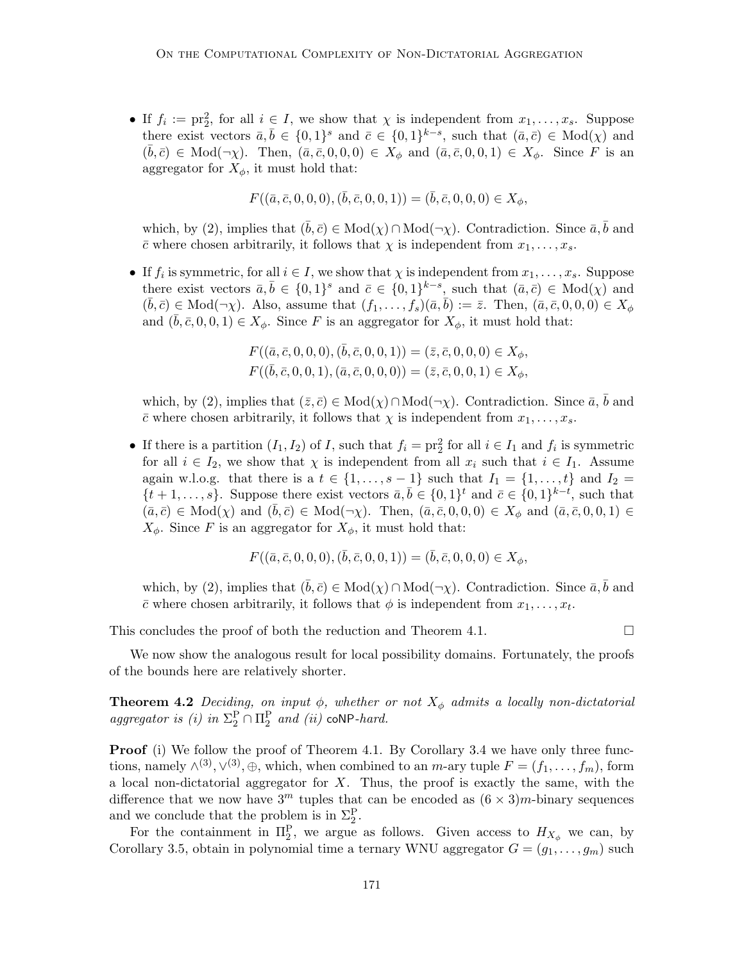• If  $f_i := \text{pr}_2^2$ , for all  $i \in I$ , we show that  $\chi$  is independent from  $x_1, \ldots, x_s$ . Suppose there exist vectors  $\bar{a}, \bar{b} \in \{0,1\}^s$  and  $\bar{c} \in \{0,1\}^{k-s}$ , such that  $(\bar{a}, \bar{c}) \in Mod(\chi)$  and  $(\bar{b}, \bar{c}) \in Mod(\neg \chi)$ . Then,  $(\bar{a}, \bar{c}, 0, 0, 0) \in X_{\phi}$  and  $(\bar{a}, \bar{c}, 0, 0, 1) \in X_{\phi}$ . Since F is an aggregator for  $X_{\phi}$ , it must hold that:

$$
F((\bar{a}, \bar{c}, 0, 0, 0), (\bar{b}, \bar{c}, 0, 0, 1)) = (\bar{b}, \bar{c}, 0, 0, 0) \in X_{\phi},
$$

which, by (2), implies that  $(\bar{b}, \bar{c}) \in Mod(\chi) \cap Mod(\neg \chi)$ . Contradiction. Since  $\bar{a}, \bar{b}$  and  $\bar{c}$  where chosen arbitrarily, it follows that  $\chi$  is independent from  $x_1, \ldots, x_s$ .

• If  $f_i$  is symmetric, for all  $i \in I$ , we show that  $\chi$  is independent from  $x_1, \ldots, x_s$ . Suppose there exist vectors  $\bar{a}, \bar{b} \in \{0,1\}^s$  and  $\bar{c} \in \{0,1\}^{k-s}$ , such that  $(\bar{a}, \bar{c}) \in Mod(\chi)$  and  $(\bar{b}, \bar{c}) \in Mod(\neg \chi)$ . Also, assume that  $(f_1, \ldots, f_s)(\bar{a}, \bar{b}) := \bar{z}$ . Then,  $(\bar{a}, \bar{c}, 0, 0, 0) \in X_{\phi}$ and  $(\bar{b}, \bar{c}, 0, 0, 1) \in X_{\phi}$ . Since F is an aggregator for  $X_{\phi}$ , it must hold that:

$$
F((\bar{a}, \bar{c}, 0, 0, 0), (\bar{b}, \bar{c}, 0, 0, 1)) = (\bar{z}, \bar{c}, 0, 0, 0) \in X_{\phi}, F((\bar{b}, \bar{c}, 0, 0, 1), (\bar{a}, \bar{c}, 0, 0, 0)) = (\bar{z}, \bar{c}, 0, 0, 1) \in X_{\phi},
$$

which, by (2), implies that  $(\bar{z}, \bar{c}) \in Mod(\chi) \cap Mod(\neg \chi)$ . Contradiction. Since  $\bar{a}, \bar{b}$  and  $\bar{c}$  where chosen arbitrarily, it follows that  $\chi$  is independent from  $x_1, \ldots, x_s$ .

• If there is a partition  $(I_1, I_2)$  of I, such that  $f_i = \text{pr}_2^2$  for all  $i \in I_1$  and  $f_i$  is symmetric for all  $i \in I_2$ , we show that  $\chi$  is independent from all  $x_i$  such that  $i \in I_1$ . Assume again w.l.o.g. that there is a  $t \in \{1, \ldots, s-1\}$  such that  $I_1 = \{1, \ldots, t\}$  and  $I_2 =$  $\{t+1,\ldots,s\}$ . Suppose there exist vectors  $\bar{a}, \bar{b} \in \{0,1\}^t$  and  $\bar{c} \in \{0,1\}^{k-t}$ , such that  $(\bar{a}, \bar{c}) \in Mod(\chi)$  and  $(\bar{b}, \bar{c}) \in Mod(\neg \chi)$ . Then,  $(\bar{a}, \bar{c}, 0, 0, 0) \in X_{\phi}$  and  $(\bar{a}, \bar{c}, 0, 0, 1) \in$  $X_{\phi}$ . Since F is an aggregator for  $X_{\phi}$ , it must hold that:

$$
F((\bar{a}, \bar{c}, 0, 0, 0), (\bar{b}, \bar{c}, 0, 0, 1)) = (\bar{b}, \bar{c}, 0, 0, 0) \in X_{\phi},
$$

which, by (2), implies that  $(\bar{b}, \bar{c}) \in Mod(\chi) \cap Mod(\neg \chi)$ . Contradiction. Since  $\bar{a}, \bar{b}$  and  $\bar{c}$  where chosen arbitrarily, it follows that  $\phi$  is independent from  $x_1, \ldots, x_t$ .

This concludes the proof of both the reduction and Theorem 4.1.  $\Box$ 

We now show the analogous result for local possibility domains. Fortunately, the proofs of the bounds here are relatively shorter.

**Theorem 4.2** Deciding, on input  $\phi$ , whether or not  $X_{\phi}$  admits a locally non-dictatorial aggregator is (i) in  $\Sigma_2^P \cap \Pi_2^P$  and (ii) coNP-hard.

**Proof** (i) We follow the proof of Theorem 4.1. By Corollary 3.4 we have only three functions, namely  $\wedge^{(3)}$ ,  $\vee^{(3)}$ ,  $\oplus$ , which, when combined to an m-ary tuple  $F = (f_1, \ldots, f_m)$ , form a local non-dictatorial aggregator for  $X$ . Thus, the proof is exactly the same, with the difference that we now have  $3^m$  tuples that can be encoded as  $(6 \times 3)m$ -binary sequences and we conclude that the problem is in  $\Sigma_2^P$ .

For the containment in  $\Pi_2^{\mathbf{P}}$ , we argue as follows. Given access to  $H_{X_{\phi}}$  we can, by Corollary 3.5, obtain in polynomial time a ternary WNU aggregator  $G = (g_1, \ldots, g_m)$  such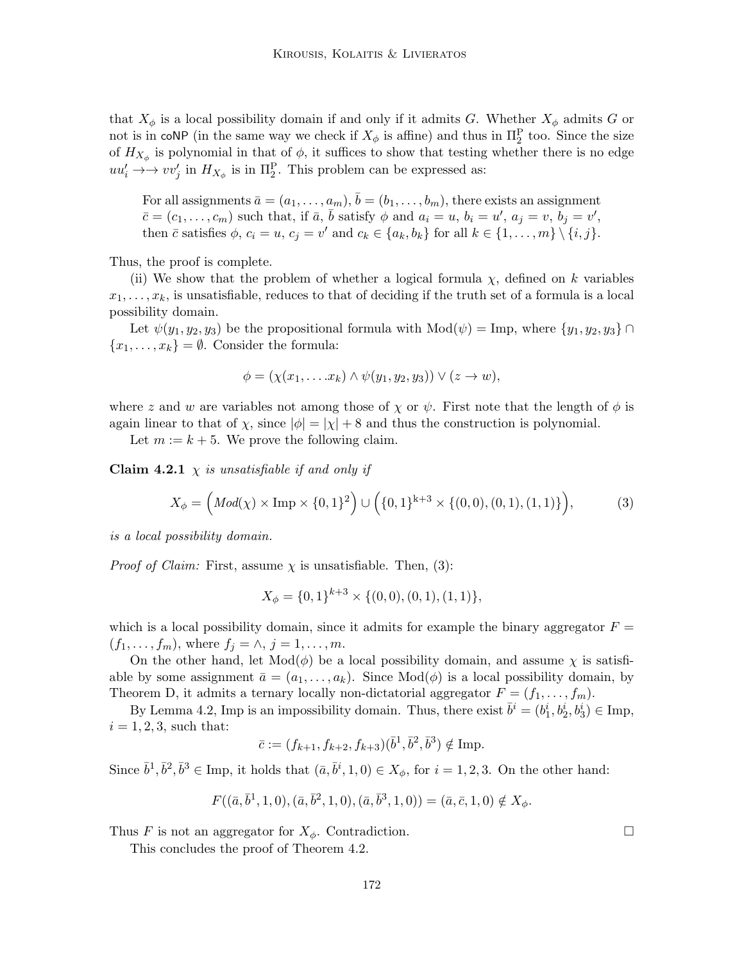that  $X_{\phi}$  is a local possibility domain if and only if it admits G. Whether  $X_{\phi}$  admits G or not is in coNP (in the same way we check if  $X_{\phi}$  is affine) and thus in  $\Pi_2^{\mathcal{P}}$  too. Since the size of  $H_{X_{\phi}}$  is polynomial in that of  $\phi$ , it suffices to show that testing whether there is no edge  $uu'_i \rightarrow \rightarrow vv'_j$  in  $H_{X_{\phi}}$  is in  $\Pi_2^{\mathcal{P}}$ . This problem can be expressed as:

For all assignments  $\bar{a} = (a_1, \ldots, a_m), \bar{b} = (b_1, \ldots, b_m)$ , there exists an assignment  $\bar{c} = (c_1, \ldots, c_m)$  such that, if  $\bar{a}, \bar{b}$  satisfy  $\phi$  and  $a_i = u, b_i = u'$ ,  $a_j = v, b_j = v'$ , then  $\bar{c}$  satisfies  $\phi$ ,  $c_i = u$ ,  $c_j = v'$  and  $c_k \in \{a_k, b_k\}$  for all  $k \in \{1, \ldots, m\} \setminus \{i, j\}.$ 

Thus, the proof is complete.

(ii) We show that the problem of whether a logical formula  $\chi$ , defined on k variables  $x_1, \ldots, x_k$ , is unsatisfiable, reduces to that of deciding if the truth set of a formula is a local possibility domain.

Let  $\psi(y_1, y_2, y_3)$  be the propositional formula with  $\text{Mod}(\psi) = \text{Imp}$ , where  $\{y_1, y_2, y_3\} \cap$  ${x_1, \ldots, x_k} = \emptyset$ . Consider the formula:

$$
\phi = (\chi(x_1, \ldots, x_k) \wedge \psi(y_1, y_2, y_3)) \vee (z \rightarrow w),
$$

where z and w are variables not among those of  $\chi$  or  $\psi$ . First note that the length of  $\phi$  is again linear to that of  $\chi$ , since  $|\phi| = |\chi| + 8$  and thus the construction is polynomial.

Let  $m := k + 5$ . We prove the following claim.

**Claim 4.2.1**  $\chi$  is unsatisfiable if and only if

$$
X_{\phi} = \left( Mod(\chi) \times \text{Imp} \times \{0, 1\}^2 \right) \cup \left( \{0, 1\}^{k+3} \times \{(0, 0), (0, 1), (1, 1)\} \right),\tag{3}
$$

is a local possibility domain.

*Proof of Claim:* First, assume  $\chi$  is unsatisfiable. Then, (3):

$$
X_{\phi} = \{0, 1\}^{k+3} \times \{(0, 0), (0, 1), (1, 1)\},\
$$

which is a local possibility domain, since it admits for example the binary aggregator  $F =$  $(f_1, ..., f_m)$ , where  $f_j = \wedge, j = 1, ..., m$ .

On the other hand, let  $Mod(\phi)$  be a local possibility domain, and assume  $\chi$  is satisfiable by some assignment  $\bar{a} = (a_1, \ldots, a_k)$ . Since  $Mod(\phi)$  is a local possibility domain, by Theorem D, it admits a ternary locally non-dictatorial aggregator  $F = (f_1, \ldots, f_m)$ .

By Lemma 4.2, Imp is an impossibility domain. Thus, there exist  $\bar{b}^i = (b_1^i, b_2^i, b_3^i) \in \text{Imp}$ ,  $i = 1, 2, 3$ , such that:

$$
\bar{c} := (f_{k+1}, f_{k+2}, f_{k+3})(\bar{b}^1, \bar{b}^2, \bar{b}^3) \notin \text{Imp}.
$$

Since  $\bar{b}^1, \bar{b}^2, \bar{b}^3 \in \text{Imp}, \text{ it holds that } (\bar{a}, \bar{b}^i, 1, 0) \in X_{\phi}, \text{ for } i = 1, 2, 3. \text{ On the other hand:}$ 

$$
F((\bar{a}, \bar{b}^1, 1, 0), (\bar{a}, \bar{b}^2, 1, 0), (\bar{a}, \bar{b}^3, 1, 0)) = (\bar{a}, \bar{c}, 1, 0) \notin X_{\phi}.
$$

Thus F is not an aggregator for  $X_{\phi}$ . Contradiction.

This concludes the proof of Theorem 4.2.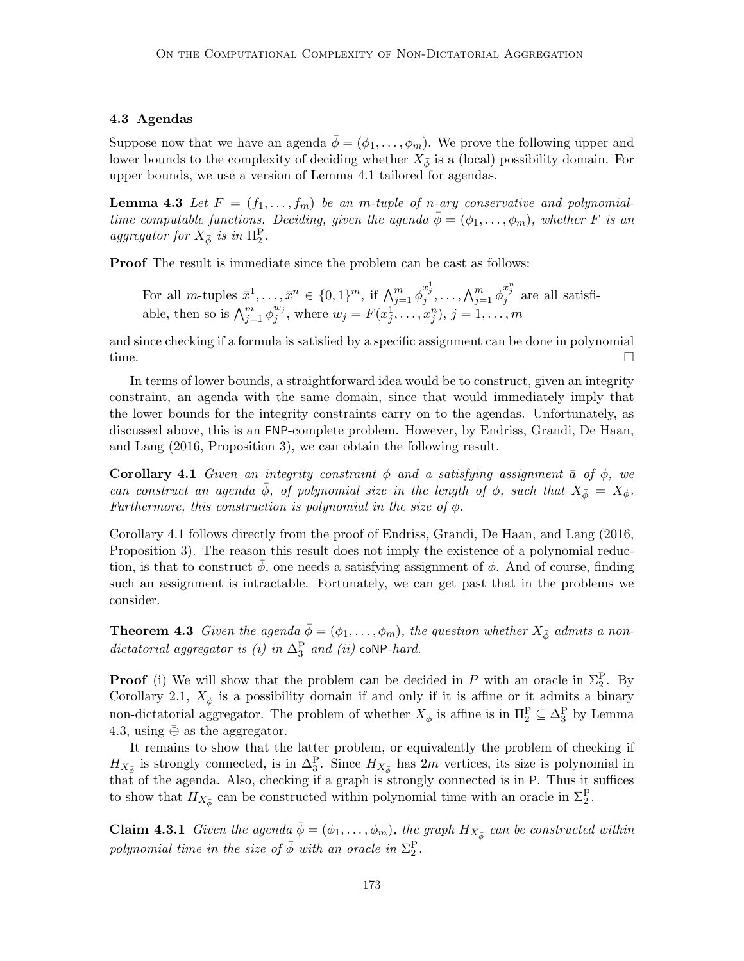# 4.3 Agendas

Suppose now that we have an agenda  $\bar{\phi} = (\phi_1, \ldots, \phi_m)$ . We prove the following upper and lower bounds to the complexity of deciding whether  $X_{\bar{\phi}}$  is a (local) possibility domain. For upper bounds, we use a version of Lemma 4.1 tailored for agendas.

**Lemma 4.3** Let  $F = (f_1, \ldots, f_m)$  be an m-tuple of n-ary conservative and polynomialtime computable functions. Deciding, given the agenda  $\bar{\phi} = (\phi_1, \ldots, \phi_m)$ , whether F is an aggregator for  $X_{\bar{\phi}}$  is in  $\Pi_2^{\mathcal{P}}$ .

Proof The result is immediate since the problem can be cast as follows:

For all *m*-tuples  $\bar{x}^1, \ldots, \bar{x}^n \in \{0, 1\}^m$ , if  $\bigwedge_{j=1}^m \phi_j^{x_j^1}, \ldots, \bigwedge_{j=1}^m \phi_j^{x_j^n}$  are all satisfiable, then so is  $\bigwedge_{j=1}^m \phi_j^{w_j}$  $y_j^{w_j}$ , where  $w_j = F(x_j^1, ..., x_j^n)$ ,  $j = 1, ..., m$ 

and since checking if a formula is satisfied by a specific assignment can be done in polynomial time.  $\square$ 

In terms of lower bounds, a straightforward idea would be to construct, given an integrity constraint, an agenda with the same domain, since that would immediately imply that the lower bounds for the integrity constraints carry on to the agendas. Unfortunately, as discussed above, this is an FNP-complete problem. However, by Endriss, Grandi, De Haan, and Lang (2016, Proposition 3), we can obtain the following result.

**Corollary 4.1** Given an integrity constraint  $\phi$  and a satisfying assignment  $\bar{a}$  of  $\phi$ , we can construct an agenda  $\phi$ , of polynomial size in the length of  $\phi$ , such that  $X_{\phi} = X_{\phi}$ . Furthermore, this construction is polynomial in the size of  $\phi$ .

Corollary 4.1 follows directly from the proof of Endriss, Grandi, De Haan, and Lang (2016, Proposition 3). The reason this result does not imply the existence of a polynomial reduction, is that to construct  $\phi$ , one needs a satisfying assignment of  $\phi$ . And of course, finding such an assignment is intractable. Fortunately, we can get past that in the problems we consider.

**Theorem 4.3** Given the agenda  $\bar{\phi} = (\phi_1, \ldots, \phi_m)$ , the question whether  $X_{\bar{\phi}}$  admits a nondictatorial aggregator is (i) in  $\Delta_3^{\rm P}$  and (ii) coNP-hard.

**Proof** (i) We will show that the problem can be decided in P with an oracle in  $\Sigma_2^P$ . By Corollary 2.1,  $X_{\bar{\phi}}$  is a possibility domain if and only if it is affine or it admits a binary non-dictatorial aggregator. The problem of whether  $X_{\bar{\phi}}$  is affine is in  $\Pi_2^P \subseteq \Delta_3^P$  by Lemma 4.3, using  $\overline{\oplus}$  as the aggregator.

It remains to show that the latter problem, or equivalently the problem of checking if  $H_{X_{\bar{\phi}}}$  is strongly connected, is in  $\Delta_3^P$ . Since  $H_{X_{\bar{\phi}}}$  has 2m vertices, its size is polynomial in that of the agenda. Also, checking if a graph is strongly connected is in P. Thus it suffices to show that  $H_{X_{\phi}^{\perp}}$  can be constructed within polynomial time with an oracle in  $\Sigma_{2}^{\mathcal{P}}$ .

**Claim 4.3.1** Given the agenda  $\bar{\phi} = (\phi_1, \ldots, \phi_m)$ , the graph  $H_{X_{\bar{\phi}}}$  can be constructed within polynomial time in the size of  $\bar{\phi}$  with an oracle in  $\Sigma^\text{P}_2$ .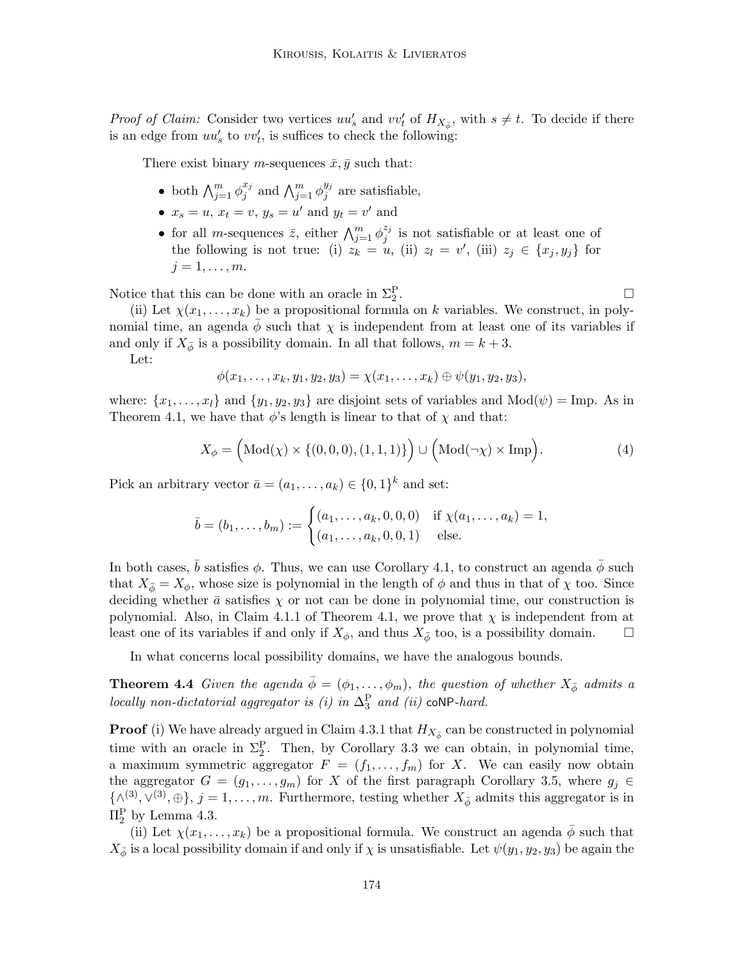*Proof of Claim:* Consider two vertices  $uu'_s$  and  $vv'_t$  of  $H_{X_{\phi}^s}$ , with  $s \neq t$ . To decide if there is an edge from  $uu'_s$  to  $vv'_t$ , is suffices to check the following:

There exist binary *m*-sequences  $\bar{x}, \bar{y}$  such that:

- both  $\bigwedge_{j=1}^m \phi_j^{x_j}$  $_j^{x_j}$  and  $\bigwedge_{j=1}^m \phi_j^{y_j}$  $j^{y_j}$  are satisfiable,
- $x_s = u$ ,  $x_t = v$ ,  $y_s = u'$  and  $y_t = v'$  and
- for all *m*-sequences  $\bar{z}$ , either  $\bigwedge_{j=1}^{m} \phi_j^{z_j}$  $j_j^{2j}$  is not satisfiable or at least one of the following is not true: (i)  $z_k = u$ , (ii)  $z_l = v'$ , (iii)  $z_j \in \{x_j, y_j\}$  for  $j=1,\ldots,m$ .

Notice that this can be done with an oracle in  $\Sigma_2^{\rm P}$ 

(ii) Let  $\chi(x_1, \ldots, x_k)$  be a propositional formula on k variables. We construct, in polynomial time, an agenda  $\phi$  such that  $\chi$  is independent from at least one of its variables if and only if  $X_{\phi}$  is a possibility domain. In all that follows,  $m = k + 3$ .

Let:

$$
\phi(x_1,\ldots,x_k,y_1,y_2,y_3)=\chi(x_1,\ldots,x_k)\oplus\psi(y_1,y_2,y_3),
$$

where:  $\{x_1, \ldots, x_l\}$  and  $\{y_1, y_2, y_3\}$  are disjoint sets of variables and  $Mod(\psi) = Imp$ . As in Theorem 4.1, we have that  $\phi$ 's length is linear to that of  $\chi$  and that:

$$
X_{\phi} = \left(\text{Mod}(\chi) \times \{(0,0,0), (1,1,1)\}\right) \cup \left(\text{Mod}(\neg \chi) \times \text{Imp}\right). \tag{4}
$$

Pick an arbitrary vector  $\bar{a} = (a_1, \ldots, a_k) \in \{0, 1\}^k$  and set:

$$
\bar{b} = (b_1, \dots, b_m) := \begin{cases} (a_1, \dots, a_k, 0, 0, 0) & \text{if } \chi(a_1, \dots, a_k) = 1, \\ (a_1, \dots, a_k, 0, 0, 1) & \text{else.} \end{cases}
$$

In both cases,  $\bar{b}$  satisfies  $\phi$ . Thus, we can use Corollary 4.1, to construct an agenda  $\bar{\phi}$  such that  $X_{\phi} = X_{\phi}$ , whose size is polynomial in the length of  $\phi$  and thus in that of  $\chi$  too. Since deciding whether  $\bar{a}$  satisfies  $\chi$  or not can be done in polynomial time, our construction is polynomial. Also, in Claim 4.1.1 of Theorem 4.1, we prove that  $\chi$  is independent from at least one of its variables if and only if  $X_{\phi}$ , and thus  $X_{\bar{\phi}}$  too, is a possibility domain.  $\square$ 

In what concerns local possibility domains, we have the analogous bounds.

**Theorem 4.4** Given the agenda  $\bar{\phi} = (\phi_1, \ldots, \phi_m)$ , the question of whether  $X_{\bar{\phi}}$  admits a locally non-dictatorial aggregator is (i) in  $\Delta_3^P$  and (ii) coNP-hard.

**Proof** (i) We have already argued in Claim 4.3.1 that  $H_{X_{\bar{\phi}}}$  can be constructed in polynomial time with an oracle in  $\Sigma_2^P$ . Then, by Corollary 3.3 we can obtain, in polynomial time, a maximum symmetric aggregator  $F = (f_1, \ldots, f_m)$  for X. We can easily now obtain the aggregator  $G = (g_1, \ldots, g_m)$  for X of the first paragraph Corollary 3.5, where  $g_j \in$  $\{\wedge^{(3)}, \vee^{(3)}, \oplus\}, j = 1, \ldots, m$ . Furthermore, testing whether  $X_{\phi}$  admits this aggregator is in  $\Pi_2^{\rm P}$  by Lemma 4.3.

(ii) Let  $\chi(x_1,\ldots,x_k)$  be a propositional formula. We construct an agenda  $\bar{\phi}$  such that  $X_{\bar{\phi}}$  is a local possibility domain if and only if  $\chi$  is unsatisfiable. Let  $\psi(y_1, y_2, y_3)$  be again the

.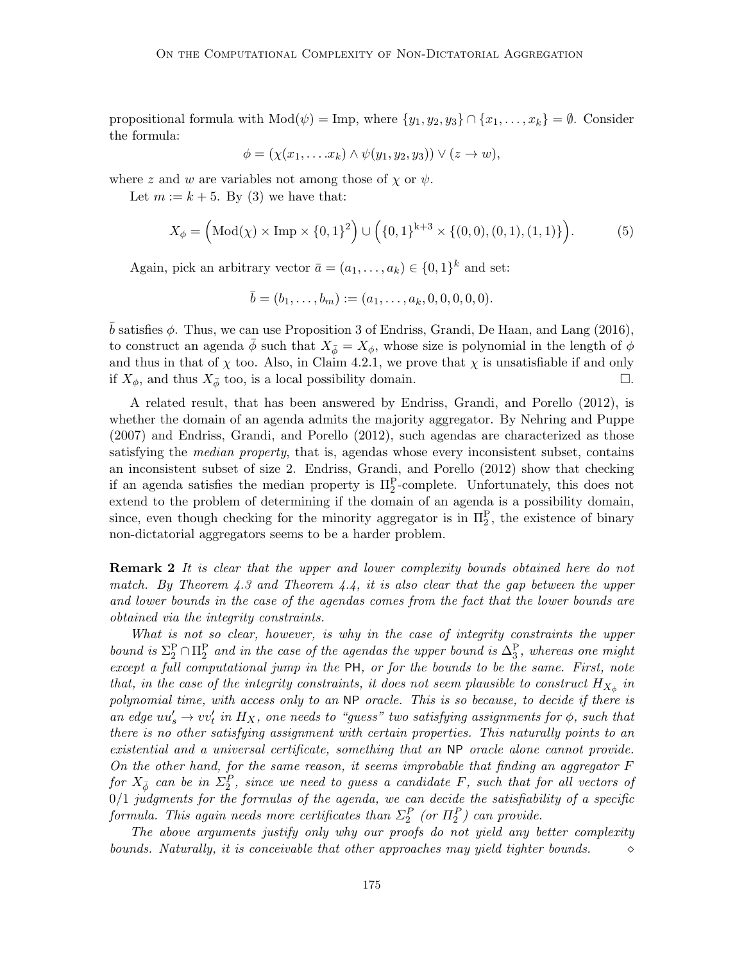propositional formula with  $Mod(\psi) = Imp$ , where  $\{y_1, y_2, y_3\} \cap \{x_1, \ldots, x_k\} = \emptyset$ . Consider the formula:

$$
\phi = (\chi(x_1, \ldots, x_k) \wedge \psi(y_1, y_2, y_3)) \vee (z \rightarrow w),
$$

where z and w are variables not among those of  $\chi$  or  $\psi$ .

Let  $m := k + 5$ . By (3) we have that:

$$
X_{\phi} = \left(\text{Mod}(\chi) \times \text{Imp} \times \{0, 1\}^2\right) \cup \left(\{0, 1\}^{k+3} \times \{(0, 0), (0, 1), (1, 1)\}\right). \tag{5}
$$

Again, pick an arbitrary vector  $\bar{a} = (a_1, \ldots, a_k) \in \{0, 1\}^k$  and set:

$$
\bar{b} = (b_1, \ldots, b_m) := (a_1, \ldots, a_k, 0, 0, 0, 0, 0).
$$

b satisfies  $\phi$ . Thus, we can use Proposition 3 of Endriss, Grandi, De Haan, and Lang (2016), to construct an agenda  $\phi$  such that  $X_{\phi} = X_{\phi}$ , whose size is polynomial in the length of  $\phi$ and thus in that of  $\chi$  too. Also, in Claim 4.2.1, we prove that  $\chi$  is unsatisfiable if and only if  $X_{\phi}$ , and thus  $X_{\bar{\phi}}$  too, is a local possibility domain.  $\Box$ .

A related result, that has been answered by Endriss, Grandi, and Porello (2012), is whether the domain of an agenda admits the majority aggregator. By Nehring and Puppe (2007) and Endriss, Grandi, and Porello (2012), such agendas are characterized as those satisfying the *median property*, that is, agendas whose every inconsistent subset, contains an inconsistent subset of size 2. Endriss, Grandi, and Porello (2012) show that checking if an agenda satisfies the median property is  $\Pi_2^P$ -complete. Unfortunately, this does not extend to the problem of determining if the domain of an agenda is a possibility domain, since, even though checking for the minority aggregator is in  $\Pi_2^P$ , the existence of binary non-dictatorial aggregators seems to be a harder problem.

**Remark 2** It is clear that the upper and lower complexity bounds obtained here do not match. By Theorem 4.3 and Theorem 4.4, it is also clear that the gap between the upper and lower bounds in the case of the agendas comes from the fact that the lower bounds are obtained via the integrity constraints.

What is not so clear, however, is why in the case of integrity constraints the upper bound is  $\Sigma_2^P \cap \Pi_2^P$  and in the case of the agendas the upper bound is  $\Delta_3^P$ , whereas one might except a full computational jump in the PH, or for the bounds to be the same. First, note that, in the case of the integrity constraints, it does not seem plausible to construct  $H_{X_{\phi}}$  in polynomial time, with access only to an NP oracle. This is so because, to decide if there is an edge  $uu'_s \to vv'_t$  in  $H_X$ , one needs to "guess" two satisfying assignments for  $\phi$ , such that there is no other satisfying assignment with certain properties. This naturally points to an existential and a universal certificate, something that an NP oracle alone cannot provide. On the other hand, for the same reason, it seems improbable that finding an aggregator F for  $X_{\bar{\phi}}$  can be in  $\Sigma_2^P$ , since we need to guess a candidate F, such that for all vectors of  $0/1$  judgments for the formulas of the agenda, we can decide the satisfiability of a specific formula. This again needs more certificates than  $\Sigma_2^P$  (or  $\Pi_2^P$ ) can provide.

The above arguments justify only why our proofs do not yield any better complexity bounds. Naturally, it is conceivable that other approaches may yield tighter bounds.  $\Diamond$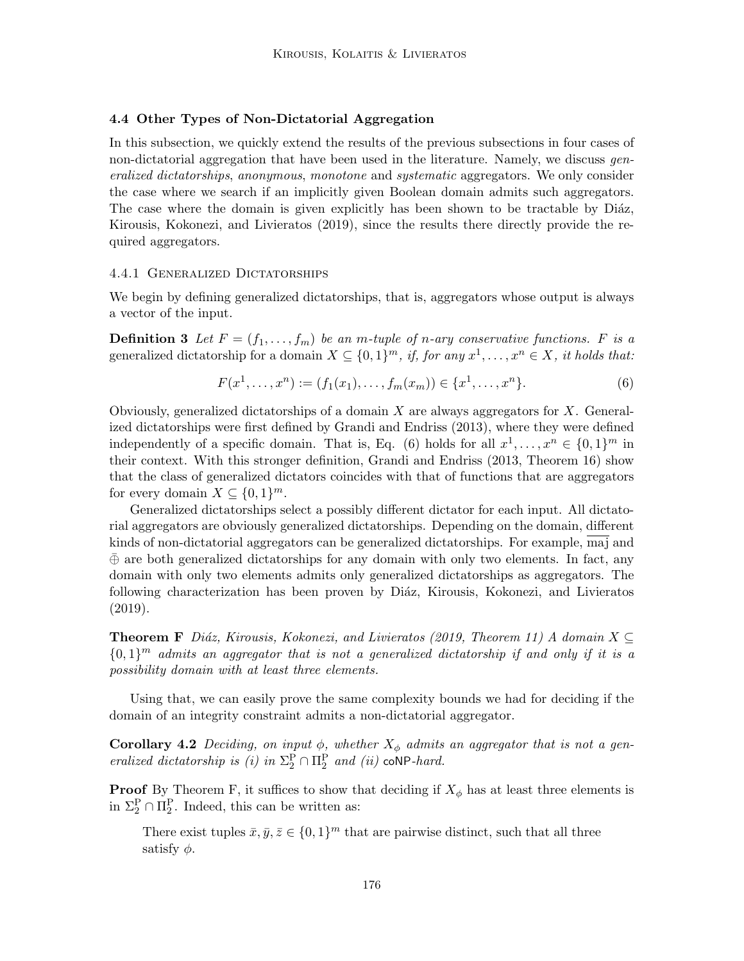# 4.4 Other Types of Non-Dictatorial Aggregation

In this subsection, we quickly extend the results of the previous subsections in four cases of non-dictatorial aggregation that have been used in the literature. Namely, we discuss generalized dictatorships, anonymous, monotone and systematic aggregators. We only consider the case where we search if an implicitly given Boolean domain admits such aggregators. The case where the domain is given explicitly has been shown to be tractable by Diáz, Kirousis, Kokonezi, and Livieratos (2019), since the results there directly provide the required aggregators.

# 4.4.1 Generalized Dictatorships

We begin by defining generalized dictatorships, that is, aggregators whose output is always a vector of the input.

**Definition 3** Let  $F = (f_1, \ldots, f_m)$  be an m-tuple of n-ary conservative functions. F is a generalized dictatorship for a domain  $X \subseteq \{0,1\}^m$ , if, for any  $x^1, \ldots, x^n \in X$ , it holds that:

$$
F(x1,...,xn) := (f1(x1),...,fm(xm)) \in \{x1,...,xn\}.
$$
 (6)

Obviously, generalized dictatorships of a domain  $X$  are always aggregators for  $X$ . Generalized dictatorships were first defined by Grandi and Endriss (2013), where they were defined independently of a specific domain. That is, Eq. (6) holds for all  $x^1, \ldots, x^n \in \{0,1\}^m$  in their context. With this stronger definition, Grandi and Endriss (2013, Theorem 16) show that the class of generalized dictators coincides with that of functions that are aggregators for every domain  $X \subseteq \{0,1\}^m$ .

Generalized dictatorships select a possibly different dictator for each input. All dictatorial aggregators are obviously generalized dictatorships. Depending on the domain, different kinds of non-dictatorial aggregators can be generalized dictatorships. For example, maj and  $\bar{\oplus}$  are both generalized dictatorships for any domain with only two elements. In fact, any domain with only two elements admits only generalized dictatorships as aggregators. The following characterization has been proven by Diáz, Kirousis, Kokonezi, and Livieratos (2019).

**Theorem F** Diáz, Kirousis, Kokonezi, and Livieratos (2019, Theorem 11) A domain  $X \subseteq$  ${0,1}^m$  admits an aggregator that is not a generalized dictatorship if and only if it is a possibility domain with at least three elements.

Using that, we can easily prove the same complexity bounds we had for deciding if the domain of an integrity constraint admits a non-dictatorial aggregator.

**Corollary 4.2** Deciding, on input  $\phi$ , whether  $X_{\phi}$  admits an aggregator that is not a generalized dictatorship is (i) in  $\Sigma_2^P \cap \Pi_2^P$  and (ii) coNP-hard.

**Proof** By Theorem F, it suffices to show that deciding if  $X_{\phi}$  has at least three elements is in  $\Sigma_2^P \cap \Pi_2^P$ . Indeed, this can be written as:

There exist tuples  $\bar{x}, \bar{y}, \bar{z} \in \{0, 1\}^m$  that are pairwise distinct, such that all three satisfy  $\phi$ .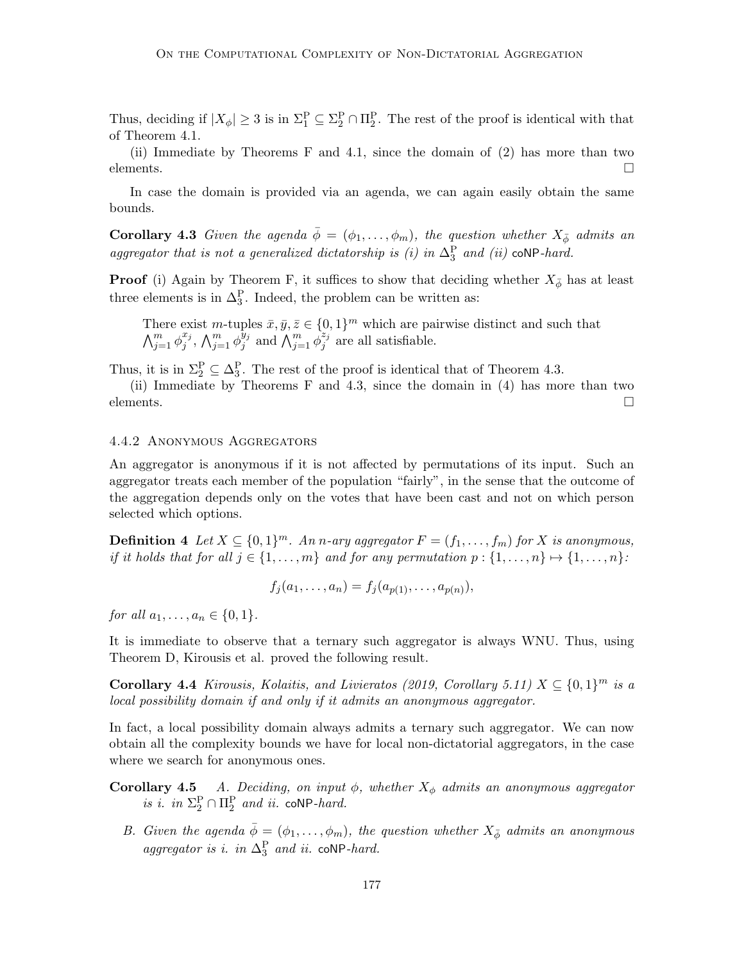Thus, deciding if  $|X_{\phi}| \geq 3$  is in  $\Sigma_1^P \subseteq \Sigma_2^P \cap \Pi_2^P$ . The rest of the proof is identical with that of Theorem 4.1.

(ii) Immediate by Theorems F and 4.1, since the domain of (2) has more than two  $\Box$ elements.

In case the domain is provided via an agenda, we can again easily obtain the same bounds.

**Corollary 4.3** Given the agenda  $\bar{\phi} = (\phi_1, \ldots, \phi_m)$ , the question whether  $X_{\bar{\phi}}$  admits an aggregator that is not a generalized dictatorship is (i) in  $\Delta_3^{\rm P}$  and (ii) coNP-hard.

**Proof** (i) Again by Theorem F, it suffices to show that deciding whether  $X_{\phi}$  has at least three elements is in  $\Delta_3^P$ . Indeed, the problem can be written as:

There exist m-tuples  $\bar{x}, \bar{y}, \bar{z} \in \{0, 1\}^m$  which are pairwise distinct and such that  $\bigwedge_{j=1}^m \phi_j^{x_j}$  $_j^{x_j},\, \bigwedge_{j=1}^m \phi_j^{\overline{y}_j}$  $\hat{y}_j$  and  $\bigwedge_{j=1}^m \phi_j^{z_j}$  $j^{2j}$  are all satisfiable.

Thus, it is in  $\Sigma_2^P \subseteq \Delta_3^P$ . The rest of the proof is identical that of Theorem 4.3.

(ii) Immediate by Theorems F and 4.3, since the domain in (4) has more than two elements.  $\Box$ 

#### 4.4.2 Anonymous Aggregators

An aggregator is anonymous if it is not affected by permutations of its input. Such an aggregator treats each member of the population "fairly", in the sense that the outcome of the aggregation depends only on the votes that have been cast and not on which person selected which options.

**Definition 4** Let  $X \subseteq \{0,1\}^m$ . An n-ary aggregator  $F = (f_1, \ldots, f_m)$  for X is anonymous, if it holds that for all  $j \in \{1, \ldots, m\}$  and for any permutation  $p : \{1, \ldots, n\} \mapsto \{1, \ldots, n\}$ :

$$
f_j(a_1, \ldots, a_n) = f_j(a_{p(1)}, \ldots, a_{p(n)}),
$$

for all  $a_1, \ldots, a_n \in \{0, 1\}.$ 

It is immediate to observe that a ternary such aggregator is always WNU. Thus, using Theorem D, Kirousis et al. proved the following result.

Corollary 4.4 Kirousis, Kolaitis, and Livieratos (2019, Corollary 5.11)  $X \subseteq \{0,1\}^m$  is a local possibility domain if and only if it admits an anonymous aggregator.

In fact, a local possibility domain always admits a ternary such aggregator. We can now obtain all the complexity bounds we have for local non-dictatorial aggregators, in the case where we search for anonymous ones.

- **Corollary 4.5** A. Deciding, on input  $\phi$ , whether  $X_{\phi}$  admits an anonymous aggregator is i. in  $\Sigma_2^P \cap \Pi_2^P$  and ii. coNP-hard.
	- B. Given the agenda  $\bar{\phi} = (\phi_1, \ldots, \phi_m)$ , the question whether  $X_{\bar{\phi}}$  admits an anonymous aggregator is i. in  $\Delta_3^P$  and ii. coNP-hard.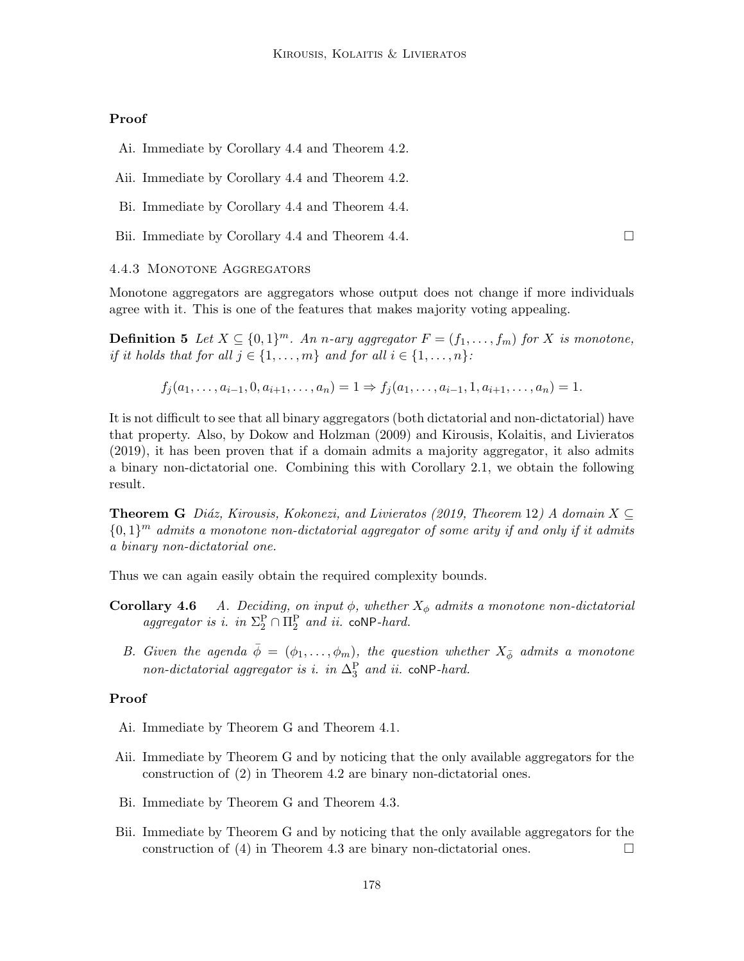# Proof

- Ai. Immediate by Corollary 4.4 and Theorem 4.2.
- Aii. Immediate by Corollary 4.4 and Theorem 4.2.
- Bi. Immediate by Corollary 4.4 and Theorem 4.4.
- Bii. Immediate by Corollary 4.4 and Theorem 4.4.

#### 4.4.3 Monotone Aggregators

Monotone aggregators are aggregators whose output does not change if more individuals agree with it. This is one of the features that makes majority voting appealing.

**Definition 5** Let  $X \subseteq \{0,1\}^m$ . An n-ary aggregator  $F = (f_1, \ldots, f_m)$  for X is monotone, if it holds that for all  $j \in \{1, \ldots, m\}$  and for all  $i \in \{1, \ldots, n\}$ :

$$
f_j(a_1, \ldots, a_{i-1}, 0, a_{i+1}, \ldots, a_n) = 1 \Rightarrow f_j(a_1, \ldots, a_{i-1}, 1, a_{i+1}, \ldots, a_n) = 1.
$$

It is not difficult to see that all binary aggregators (both dictatorial and non-dictatorial) have that property. Also, by Dokow and Holzman (2009) and Kirousis, Kolaitis, and Livieratos (2019), it has been proven that if a domain admits a majority aggregator, it also admits a binary non-dictatorial one. Combining this with Corollary 2.1, we obtain the following result.

**Theorem G** Diáz, Kirousis, Kokonezi, and Livieratos (2019, Theorem 12) A domain  $X \subseteq$  ${0,1}^m$  admits a monotone non-dictatorial aggregator of some arity if and only if it admits a binary non-dictatorial one.

Thus we can again easily obtain the required complexity bounds.

- **Corollary 4.6** A. Deciding, on input  $\phi$ , whether  $X_{\phi}$  admits a monotone non-dictatorial aggregator is i. in  $\Sigma_2^P \cap \Pi_2^P$  and ii. coNP-hard.
	- B. Given the agenda  $\bar{\phi} = (\phi_1, \ldots, \phi_m)$ , the question whether  $X_{\bar{\phi}}$  admits a monotone non-dictatorial aggregator is i. in  $\Delta_3^P$  and ii. coNP-hard.

#### Proof

- Ai. Immediate by Theorem G and Theorem 4.1.
- Aii. Immediate by Theorem G and by noticing that the only available aggregators for the construction of (2) in Theorem 4.2 are binary non-dictatorial ones.
- Bi. Immediate by Theorem G and Theorem 4.3.
- Bii. Immediate by Theorem G and by noticing that the only available aggregators for the construction of (4) in Theorem 4.3 are binary non-dictatorial ones.  $\Box$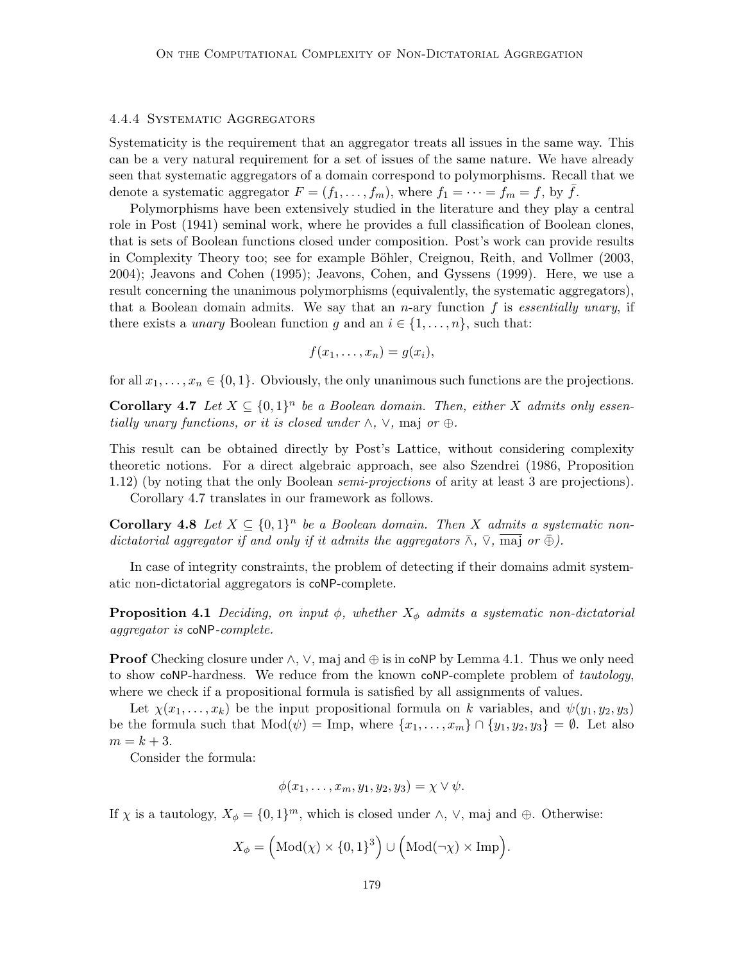#### 4.4.4 Systematic Aggregators

Systematicity is the requirement that an aggregator treats all issues in the same way. This can be a very natural requirement for a set of issues of the same nature. We have already seen that systematic aggregators of a domain correspond to polymorphisms. Recall that we denote a systematic aggregator  $F = (f_1, \ldots, f_m)$ , where  $f_1 = \cdots = f_m = f$ , by f.

Polymorphisms have been extensively studied in the literature and they play a central role in Post (1941) seminal work, where he provides a full classification of Boolean clones, that is sets of Boolean functions closed under composition. Post's work can provide results in Complexity Theory too; see for example Böhler, Creignou, Reith, and Vollmer (2003, 2004); Jeavons and Cohen (1995); Jeavons, Cohen, and Gyssens (1999). Here, we use a result concerning the unanimous polymorphisms (equivalently, the systematic aggregators), that a Boolean domain admits. We say that an *n*-ary function f is essentially unary, if there exists a *unary* Boolean function g and an  $i \in \{1, \ldots, n\}$ , such that:

$$
f(x_1,\ldots,x_n)=g(x_i),
$$

for all  $x_1, \ldots, x_n \in \{0, 1\}$ . Obviously, the only unanimous such functions are the projections.

**Corollary 4.7** Let  $X \subseteq \{0,1\}^n$  be a Boolean domain. Then, either X admits only essentially unary functions, or it is closed under  $\wedge$ ,  $\vee$ , maj or  $\oplus$ .

This result can be obtained directly by Post's Lattice, without considering complexity theoretic notions. For a direct algebraic approach, see also Szendrei (1986, Proposition 1.12) (by noting that the only Boolean semi-projections of arity at least 3 are projections).

Corollary 4.7 translates in our framework as follows.

**Corollary 4.8** Let  $X \subseteq \{0,1\}^n$  be a Boolean domain. Then X admits a systematic nondictatorial aggregator if and only if it admits the aggregators  $\bar{\wedge}$ ,  $\bar{\vee}$ ,  $\bar{\text{maj}}$  or  $\bar{\oplus}$ ).

In case of integrity constraints, the problem of detecting if their domains admit systematic non-dictatorial aggregators is coNP-complete.

**Proposition 4.1** Deciding, on input  $\phi$ , whether  $X_{\phi}$  admits a systematic non-dictatorial aggregator is coNP-complete.

**Proof** Checking closure under  $\wedge$ ,  $\vee$ , maj and  $\oplus$  is in coNP by Lemma 4.1. Thus we only need to show coNP-hardness. We reduce from the known coNP-complete problem of tautology, where we check if a propositional formula is satisfied by all assignments of values.

Let  $\chi(x_1, \ldots, x_k)$  be the input propositional formula on k variables, and  $\psi(y_1, y_2, y_3)$ be the formula such that  $Mod(\psi) = Imp$ , where  $\{x_1, \ldots, x_m\} \cap \{y_1, y_2, y_3\} = \emptyset$ . Let also  $m = k + 3.$ 

Consider the formula:

$$
\phi(x_1,\ldots,x_m,y_1,y_2,y_3)=\chi\vee\psi.
$$

If  $\chi$  is a tautology,  $X_{\phi} = \{0, 1\}^m$ , which is closed under  $\wedge$ ,  $\vee$ , maj and  $\oplus$ . Otherwise:

$$
X_{\phi} = \left(\text{Mod}(\chi) \times \{0, 1\}^{3}\right) \cup \left(\text{Mod}(\neg \chi) \times \text{Imp}\right).
$$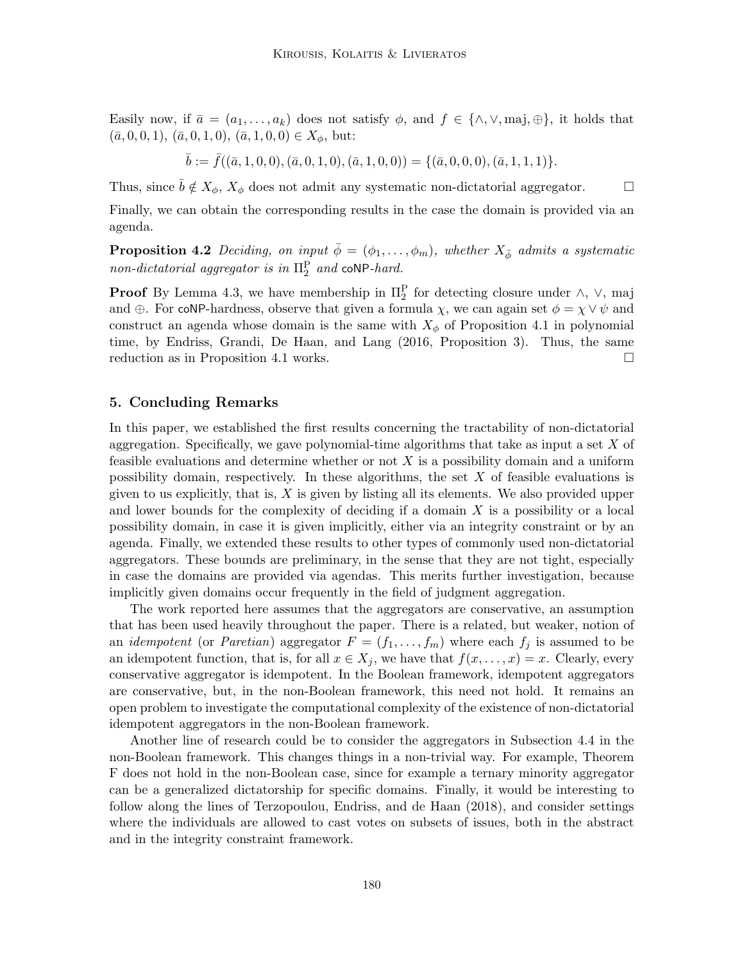Easily now, if  $\bar{a} = (a_1, \ldots, a_k)$  does not satisfy  $\phi$ , and  $f \in \{\wedge, \vee, \text{maj}, \oplus\}$ , it holds that  $(\bar{a}, 0, 0, 1), (\bar{a}, 0, 1, 0), (\bar{a}, 1, 0, 0) \in X_{\phi}$ , but:

$$
\bar{b} := \bar{f}((\bar{a},1,0,0),(\bar{a},0,1,0),(\bar{a},1,0,0)) = \{(\bar{a},0,0,0),(\bar{a},1,1,1)\}.
$$

Thus, since  $\bar{b} \notin X_{\phi}, X_{\phi}$  does not admit any systematic non-dictatorial aggregator.  $\square$ 

Finally, we can obtain the corresponding results in the case the domain is provided via an agenda.

**Proposition 4.2** Deciding, on input  $\bar{\phi} = (\phi_1, \ldots, \phi_m)$ , whether  $X_{\bar{\phi}}$  admits a systematic non-dictatorial aggregator is in  $\Pi_2^{\rm P}$  and coNP-hard.

**Proof** By Lemma 4.3, we have membership in  $\Pi_2^{\text{P}}$  for detecting closure under  $\wedge$ ,  $\vee$ , maj and  $\oplus$ . For coNP-hardness, observe that given a formula  $\chi$ , we can again set  $\phi = \chi \vee \psi$  and construct an agenda whose domain is the same with  $X_{\phi}$  of Proposition 4.1 in polynomial time, by Endriss, Grandi, De Haan, and Lang (2016, Proposition 3). Thus, the same reduction as in Proposition 4.1 works.  $\square$ 

# 5. Concluding Remarks

In this paper, we established the first results concerning the tractability of non-dictatorial aggregation. Specifically, we gave polynomial-time algorithms that take as input a set  $X$  of feasible evaluations and determine whether or not  $X$  is a possibility domain and a uniform possibility domain, respectively. In these algorithms, the set  $X$  of feasible evaluations is given to us explicitly, that is,  $X$  is given by listing all its elements. We also provided upper and lower bounds for the complexity of deciding if a domain  $X$  is a possibility or a local possibility domain, in case it is given implicitly, either via an integrity constraint or by an agenda. Finally, we extended these results to other types of commonly used non-dictatorial aggregators. These bounds are preliminary, in the sense that they are not tight, especially in case the domains are provided via agendas. This merits further investigation, because implicitly given domains occur frequently in the field of judgment aggregation.

The work reported here assumes that the aggregators are conservative, an assumption that has been used heavily throughout the paper. There is a related, but weaker, notion of an *idempotent* (or *Paretian*) aggregator  $F = (f_1, \ldots, f_m)$  where each  $f_j$  is assumed to be an idempotent function, that is, for all  $x \in X_j$ , we have that  $f(x, \ldots, x) = x$ . Clearly, every conservative aggregator is idempotent. In the Boolean framework, idempotent aggregators are conservative, but, in the non-Boolean framework, this need not hold. It remains an open problem to investigate the computational complexity of the existence of non-dictatorial idempotent aggregators in the non-Boolean framework.

Another line of research could be to consider the aggregators in Subsection 4.4 in the non-Boolean framework. This changes things in a non-trivial way. For example, Theorem F does not hold in the non-Boolean case, since for example a ternary minority aggregator can be a generalized dictatorship for specific domains. Finally, it would be interesting to follow along the lines of Terzopoulou, Endriss, and de Haan (2018), and consider settings where the individuals are allowed to cast votes on subsets of issues, both in the abstract and in the integrity constraint framework.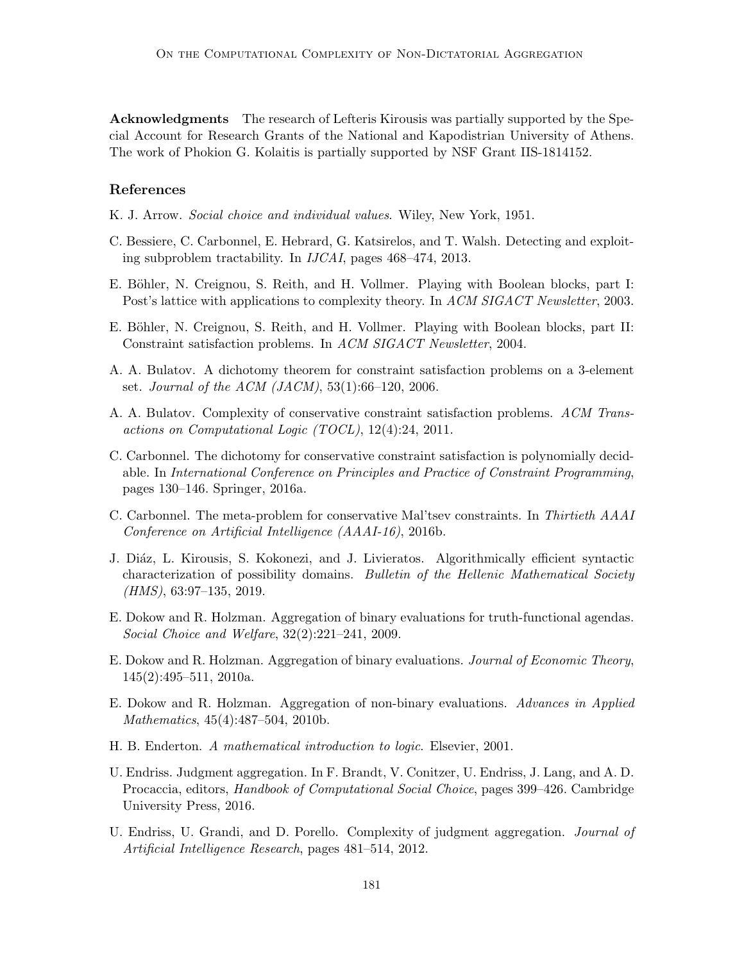Acknowledgments The research of Lefteris Kirousis was partially supported by the Special Account for Research Grants of the National and Kapodistrian University of Athens. The work of Phokion G. Kolaitis is partially supported by NSF Grant IIS-1814152.

# References

- K. J. Arrow. Social choice and individual values. Wiley, New York, 1951.
- C. Bessiere, C. Carbonnel, E. Hebrard, G. Katsirelos, and T. Walsh. Detecting and exploiting subproblem tractability. In IJCAI, pages 468–474, 2013.
- E. Böhler, N. Creignou, S. Reith, and H. Vollmer. Playing with Boolean blocks, part I: Post's lattice with applications to complexity theory. In ACM SIGACT Newsletter, 2003.
- E. Böhler, N. Creignou, S. Reith, and H. Vollmer. Playing with Boolean blocks, part II: Constraint satisfaction problems. In ACM SIGACT Newsletter, 2004.
- A. A. Bulatov. A dichotomy theorem for constraint satisfaction problems on a 3-element set. Journal of the ACM (JACM),  $53(1):66-120$ ,  $2006$ .
- A. A. Bulatov. Complexity of conservative constraint satisfaction problems. ACM Transactions on Computational Logic (TOCL), 12(4):24, 2011.
- C. Carbonnel. The dichotomy for conservative constraint satisfaction is polynomially decidable. In International Conference on Principles and Practice of Constraint Programming, pages 130–146. Springer, 2016a.
- C. Carbonnel. The meta-problem for conservative Mal'tsev constraints. In Thirtieth AAAI Conference on Artificial Intelligence (AAAI-16), 2016b.
- J. Diáz, L. Kirousis, S. Kokonezi, and J. Livieratos. Algorithmically efficient syntactic characterization of possibility domains. Bulletin of the Hellenic Mathematical Society (HMS), 63:97–135, 2019.
- E. Dokow and R. Holzman. Aggregation of binary evaluations for truth-functional agendas. Social Choice and Welfare, 32(2):221–241, 2009.
- E. Dokow and R. Holzman. Aggregation of binary evaluations. Journal of Economic Theory, 145(2):495–511, 2010a.
- E. Dokow and R. Holzman. Aggregation of non-binary evaluations. Advances in Applied Mathematics, 45(4):487–504, 2010b.
- H. B. Enderton. A mathematical introduction to logic. Elsevier, 2001.
- U. Endriss. Judgment aggregation. In F. Brandt, V. Conitzer, U. Endriss, J. Lang, and A. D. Procaccia, editors, *Handbook of Computational Social Choice*, pages 399–426. Cambridge University Press, 2016.
- U. Endriss, U. Grandi, and D. Porello. Complexity of judgment aggregation. Journal of Artificial Intelligence Research, pages 481–514, 2012.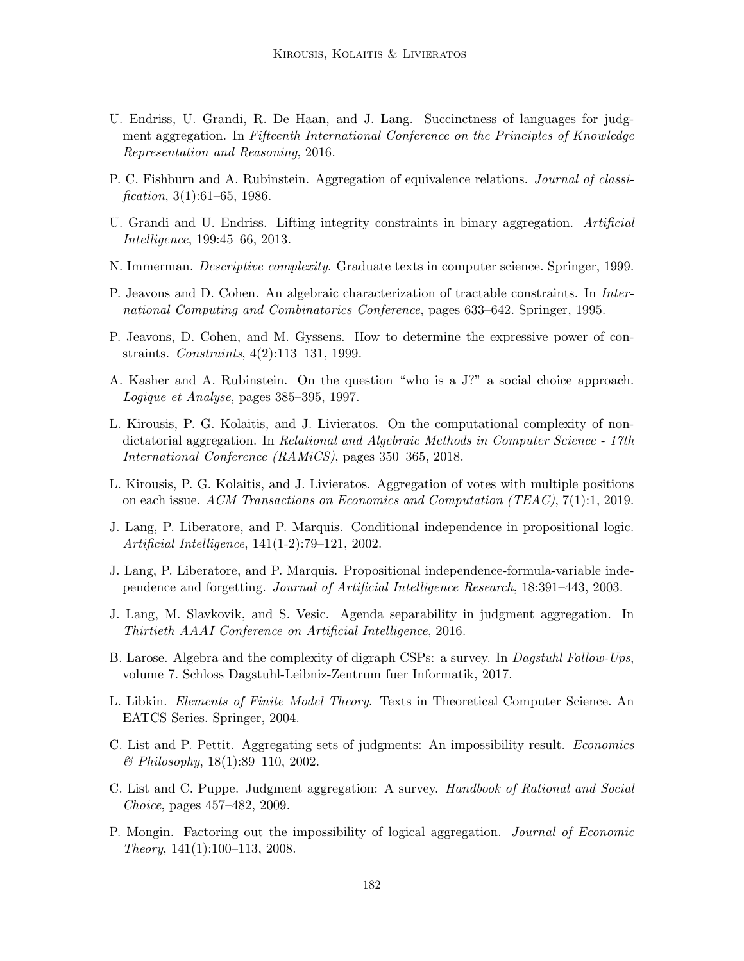- U. Endriss, U. Grandi, R. De Haan, and J. Lang. Succinctness of languages for judgment aggregation. In Fifteenth International Conference on the Principles of Knowledge Representation and Reasoning, 2016.
- P. C. Fishburn and A. Rubinstein. Aggregation of equivalence relations. *Journal of classi*fication,  $3(1):61-65$ , 1986.
- U. Grandi and U. Endriss. Lifting integrity constraints in binary aggregation. Artificial Intelligence, 199:45–66, 2013.
- N. Immerman. *Descriptive complexity*. Graduate texts in computer science. Springer, 1999.
- P. Jeavons and D. Cohen. An algebraic characterization of tractable constraints. In International Computing and Combinatorics Conference, pages 633–642. Springer, 1995.
- P. Jeavons, D. Cohen, and M. Gyssens. How to determine the expressive power of constraints. Constraints, 4(2):113–131, 1999.
- A. Kasher and A. Rubinstein. On the question "who is a J?" a social choice approach. Logique et Analyse, pages 385–395, 1997.
- L. Kirousis, P. G. Kolaitis, and J. Livieratos. On the computational complexity of nondictatorial aggregation. In Relational and Algebraic Methods in Computer Science - 17th International Conference (RAMiCS), pages 350–365, 2018.
- L. Kirousis, P. G. Kolaitis, and J. Livieratos. Aggregation of votes with multiple positions on each issue. ACM Transactions on Economics and Computation (TEAC), 7(1):1, 2019.
- J. Lang, P. Liberatore, and P. Marquis. Conditional independence in propositional logic. Artificial Intelligence, 141(1-2):79–121, 2002.
- J. Lang, P. Liberatore, and P. Marquis. Propositional independence-formula-variable independence and forgetting. Journal of Artificial Intelligence Research, 18:391–443, 2003.
- J. Lang, M. Slavkovik, and S. Vesic. Agenda separability in judgment aggregation. In Thirtieth AAAI Conference on Artificial Intelligence, 2016.
- B. Larose. Algebra and the complexity of digraph CSPs: a survey. In *Dagstuhl Follow-Ups*, volume 7. Schloss Dagstuhl-Leibniz-Zentrum fuer Informatik, 2017.
- L. Libkin. Elements of Finite Model Theory. Texts in Theoretical Computer Science. An EATCS Series. Springer, 2004.
- C. List and P. Pettit. Aggregating sets of judgments: An impossibility result. Economics & Philosophy, 18(1):89–110, 2002.
- C. List and C. Puppe. Judgment aggregation: A survey. Handbook of Rational and Social Choice, pages 457–482, 2009.
- P. Mongin. Factoring out the impossibility of logical aggregation. Journal of Economic Theory, 141(1):100–113, 2008.